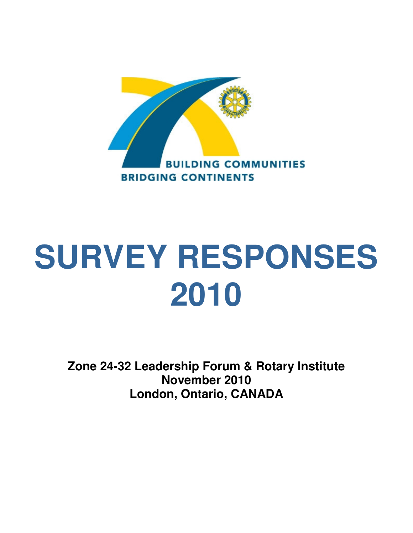

# **SURVEY RESPONSES 2010**

**Zone 24-32 Leadership Forum & Rotary Institute November 2010 London, Ontario, CANADA**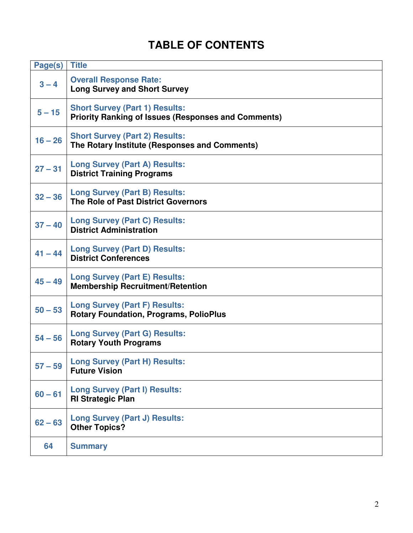# **TABLE OF CONTENTS**

| Page(s)   | <b>Title</b>                                                                                        |
|-----------|-----------------------------------------------------------------------------------------------------|
| $3 - 4$   | <b>Overall Response Rate:</b><br><b>Long Survey and Short Survey</b>                                |
| $5 - 15$  | <b>Short Survey (Part 1) Results:</b><br><b>Priority Ranking of Issues (Responses and Comments)</b> |
| $16 - 26$ | <b>Short Survey (Part 2) Results:</b><br>The Rotary Institute (Responses and Comments)              |
| $27 - 31$ | <b>Long Survey (Part A) Results:</b><br><b>District Training Programs</b>                           |
| $32 - 36$ | <b>Long Survey (Part B) Results:</b><br>The Role of Past District Governors                         |
| $37 - 40$ | <b>Long Survey (Part C) Results:</b><br><b>District Administration</b>                              |
| $41 - 44$ | <b>Long Survey (Part D) Results:</b><br><b>District Conferences</b>                                 |
| $45 - 49$ | <b>Long Survey (Part E) Results:</b><br><b>Membership Recruitment/Retention</b>                     |
| $50 - 53$ | <b>Long Survey (Part F) Results:</b><br><b>Rotary Foundation, Programs, PolioPlus</b>               |
| $54 - 56$ | <b>Long Survey (Part G) Results:</b><br><b>Rotary Youth Programs</b>                                |
| $57 - 59$ | <b>Long Survey (Part H) Results:</b><br><b>Future Vision</b>                                        |
| $60 - 61$ | <b>Long Survey (Part I) Results:</b><br><b>RI Strategic Plan</b>                                    |
| $62 - 63$ | <b>Long Survey (Part J) Results:</b><br><b>Other Topics?</b>                                        |
| 64        | <b>Summary</b>                                                                                      |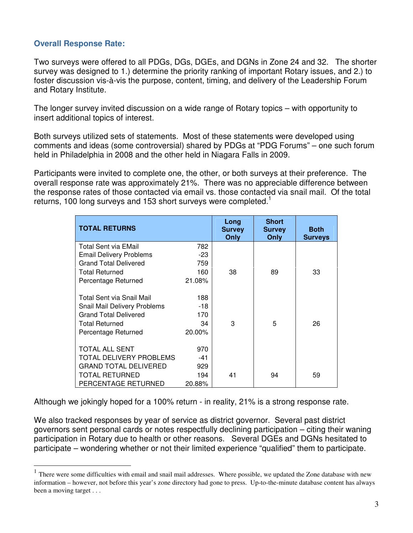# **Overall Response Rate:**

 $\overline{a}$ 

Two surveys were offered to all PDGs, DGs, DGEs, and DGNs in Zone 24 and 32. The shorter survey was designed to 1.) determine the priority ranking of important Rotary issues, and 2.) to foster discussion vis-à-vis the purpose, content, timing, and delivery of the Leadership Forum and Rotary Institute.

The longer survey invited discussion on a wide range of Rotary topics – with opportunity to insert additional topics of interest.

Both surveys utilized sets of statements. Most of these statements were developed using comments and ideas (some controversial) shared by PDGs at "PDG Forums" – one such forum held in Philadelphia in 2008 and the other held in Niagara Falls in 2009.

Participants were invited to complete one, the other, or both surveys at their preference. The overall response rate was approximately 21%. There was no appreciable difference between the response rates of those contacted via email vs. those contacted via snail mail. Of the total returns, 100 long surveys and 153 short surveys were completed.<sup>1</sup>

| <b>TOTAL RETURNS</b>           |           | Long<br><b>Survey</b><br>Only | <b>Short</b><br><b>Survey</b><br>Only | <b>Both</b><br><b>Surveys</b> |
|--------------------------------|-----------|-------------------------------|---------------------------------------|-------------------------------|
| Total Sent via EMail           | 782       |                               |                                       |                               |
| <b>Email Delivery Problems</b> | -23       |                               |                                       |                               |
| <b>Grand Total Delivered</b>   | 759       |                               |                                       |                               |
| <b>Total Returned</b>          | 160       | 38                            | 89                                    | 33                            |
| Percentage Returned            | 21.08%    |                               |                                       |                               |
|                                |           |                               |                                       |                               |
| Total Sent via Snail Mail      | 188       |                               |                                       |                               |
| Snail Mail Delivery Problems   | $-18$     |                               |                                       |                               |
| <b>Grand Total Delivered</b>   | 170       |                               |                                       |                               |
| <b>Total Returned</b>          | 34        | 3                             | 5                                     | 26                            |
| Percentage Returned            | $20.00\%$ |                               |                                       |                               |
|                                |           |                               |                                       |                               |
| TOTAL ALL SENT                 | 970       |                               |                                       |                               |
| TOTAL DELIVERY PROBLEMS        | $-41$     |                               |                                       |                               |
| <b>GRAND TOTAL DELIVERED</b>   | 929       |                               |                                       |                               |
| TOTAL RETURNED                 | 194       | 41                            | 94                                    | 59                            |
| PERCENTAGE RETURNED            | 20.88%    |                               |                                       |                               |

Although we jokingly hoped for a 100% return - in reality, 21% is a strong response rate.

We also tracked responses by year of service as district governor. Several past district governors sent personal cards or notes respectfully declining participation – citing their waning participation in Rotary due to health or other reasons. Several DGEs and DGNs hesitated to participate – wondering whether or not their limited experience "qualified" them to participate.

<sup>&</sup>lt;sup>1</sup> There were some difficulties with email and snail mail addresses. Where possible, we updated the Zone database with new information – however, not before this year's zone directory had gone to press. Up-to-the-minute database content has always been a moving target . . .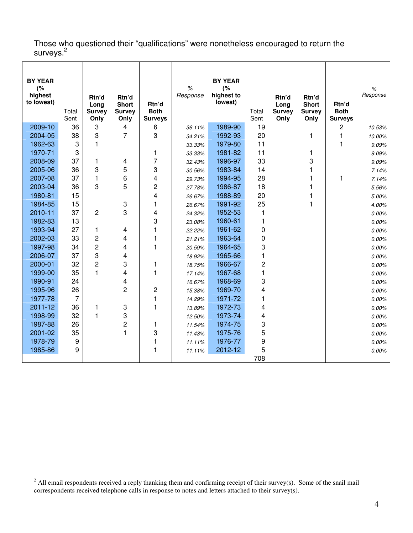Those who questioned their "qualifications" were nonetheless encouraged to return the surveys.<sup>2</sup>

| <b>BY YEAR</b><br>(%<br>highest<br>to lowest) | Total<br>Sent  | Rtn'd<br>Long<br><b>Survey</b><br>Only | Rtn'd<br><b>Short</b><br><b>Survey</b><br>Only | Rtn'd<br><b>Both</b><br><b>Surveys</b> | $\%$<br>Response | <b>BY YEAR</b><br>(%<br>highest to<br>lowest) | Total<br>Sent  | Rtn'd<br>Long<br><b>Survey</b><br>Only | Rtn'd<br><b>Short</b><br><b>Survey</b><br>Only | Rtn'd<br><b>Both</b><br><b>Surveys</b> | %<br>Response |
|-----------------------------------------------|----------------|----------------------------------------|------------------------------------------------|----------------------------------------|------------------|-----------------------------------------------|----------------|----------------------------------------|------------------------------------------------|----------------------------------------|---------------|
| 2009-10                                       | 36             | 3                                      | 4                                              | 6                                      | 36.11%           | 1989-90                                       | 19             |                                        |                                                | 2                                      | 10.53%        |
| 2004-05                                       | 38             | 3                                      | $\overline{7}$                                 | 3                                      | 34.21%           | 1992-93                                       | 20             |                                        | $\mathbf{1}$                                   | 1                                      | 10.00%        |
| 1962-63                                       | 3              | $\mathbf{1}$                           |                                                |                                        | 33.33%           | 1979-80                                       | 11             |                                        |                                                | 1                                      | 9.09%         |
| 1970-71                                       | 3              |                                        |                                                | 1                                      | 33.33%           | 1981-82                                       | 11             |                                        | 1                                              |                                        | 9.09%         |
| 2008-09                                       | 37             | 1                                      | 4                                              | $\overline{7}$                         | 32.43%           | 1996-97                                       | 33             |                                        | 3                                              |                                        | 9.09%         |
| 2005-06                                       | 36             | 3                                      | 5                                              | 3                                      | 30.56%           | 1983-84                                       | 14             |                                        | 1                                              |                                        | 7.14%         |
| 2007-08                                       | 37             | 1                                      | 6                                              | 4                                      | 29.73%           | 1994-95                                       | 28             |                                        | 1                                              | 1                                      | 7.14%         |
| 2003-04                                       | 36             | 3                                      | 5                                              | $\overline{c}$                         | 27.78%           | 1986-87                                       | 18             |                                        | 1                                              |                                        | 5.56%         |
| 1980-81                                       | 15             |                                        |                                                | $\overline{4}$                         | 26.67%           | 1988-89                                       | 20             |                                        | 1                                              |                                        | 5.00%         |
| 1984-85                                       | 15             |                                        | 3                                              | 1                                      | 26.67%           | 1991-92                                       | 25             |                                        | $\overline{1}$                                 |                                        | 4.00%         |
| 2010-11                                       | 37             | $\overline{2}$                         | 3                                              | 4                                      | 24.32%           | 1952-53                                       | 1              |                                        |                                                |                                        | 0.00%         |
| 1982-83                                       | 13             |                                        |                                                | 3                                      | 23.08%           | 1960-61                                       | 1              |                                        |                                                |                                        | 0.00%         |
| 1993-94                                       | 27             | 1                                      | 4                                              | 1                                      | 22.22%           | 1961-62                                       | 0              |                                        |                                                |                                        | 0.00%         |
| 2002-03                                       | 33             | $\overline{c}$                         | 4                                              | 1                                      | 21.21%           | 1963-64                                       | 0              |                                        |                                                |                                        | 0.00%         |
| 1997-98                                       | 34             | $\overline{2}$                         | 4                                              | 1                                      | 20.59%           | 1964-65                                       | 3              |                                        |                                                |                                        | 0.00%         |
| 2006-07                                       | 37             | 3                                      | 4                                              |                                        | 18.92%           | 1965-66                                       | 1              |                                        |                                                |                                        | 0.00%         |
| 2000-01                                       | 32             | $\overline{2}$                         | 3                                              | 1                                      | 18.75%           | 1966-67                                       | $\overline{c}$ |                                        |                                                |                                        | 0.00%         |
| 1999-00                                       | 35             | $\blacksquare$                         | 4                                              | 1                                      | 17.14%           | 1967-68                                       | 1              |                                        |                                                |                                        | 0.00%         |
| 1990-91                                       | 24             |                                        | 4                                              |                                        | 16.67%           | 1968-69                                       | 3              |                                        |                                                |                                        | 0.00%         |
| 1995-96                                       | 26             |                                        | 2                                              | $\overline{c}$                         | 15.38%           | 1969-70                                       | 4              |                                        |                                                |                                        | 0.00%         |
| 1977-78                                       | $\overline{7}$ |                                        |                                                | 1                                      | 14.29%           | 1971-72                                       | 1              |                                        |                                                |                                        | 0.00%         |
| $2011 - 12$                                   | 36             | $\mathbf{1}$                           | 3                                              | 1                                      | 13.89%           | 1972-73                                       | 4              |                                        |                                                |                                        | 0.00%         |
| 1998-99                                       | 32             | $\blacksquare$                         | 3                                              |                                        | 12.50%           | 1973-74                                       | 4              |                                        |                                                |                                        | 0.00%         |
| 1987-88                                       | 26             |                                        | $\overline{c}$                                 | 1                                      | 11.54%           | 1974-75                                       | 3              |                                        |                                                |                                        | 0.00%         |
| 2001-02                                       | 35             |                                        | 1                                              | 3                                      | 11.43%           | 1975-76                                       | 5              |                                        |                                                |                                        | 0.00%         |
| 1978-79                                       | 9              |                                        |                                                | 1                                      | 11.11%           | 1976-77                                       | 9              |                                        |                                                |                                        | 0.00%         |
| 1985-86                                       | 9              |                                        |                                                | 1                                      | 11.11%           | 2012-12                                       | 5              |                                        |                                                |                                        | $0.00\%$      |
|                                               |                |                                        |                                                |                                        |                  |                                               | 708            |                                        |                                                |                                        |               |

<sup>&</sup>lt;sup>2</sup> All email respondents received a reply thanking them and confirming receipt of their survey(s). Some of the snail mail correspondents received telephone calls in response to notes and letters attached to their survey(s).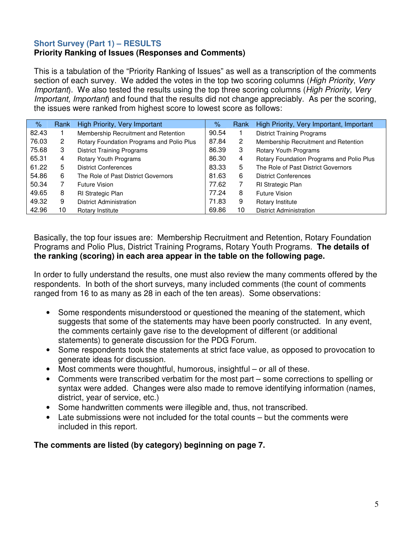# **Short Survey (Part 1) – RESULTS**

# **Priority Ranking of Issues (Responses and Comments)**

This is a tabulation of the "Priority Ranking of Issues" as well as a transcription of the comments section of each survey. We added the votes in the top two scoring columns (*High Priority, Very* Important). We also tested the results using the top three scoring columns (High Priority, Very Important, Important) and found that the results did not change appreciably. As per the scoring, the issues were ranked from highest score to lowest score as follows:

| $\%$  | Rank | High Priority, Very Important             | $\%$  | Rank | High Priority, Very Important, Important  |
|-------|------|-------------------------------------------|-------|------|-------------------------------------------|
| 82.43 |      | Membership Recruitment and Retention      | 90.54 |      | <b>District Training Programs</b>         |
| 76.03 | 2    | Rotary Foundation Programs and Polio Plus | 87.84 | 2    | Membership Recruitment and Retention      |
| 75.68 | 3    | <b>District Training Programs</b>         | 86.39 | 3    | Rotary Youth Programs                     |
| 65.31 | 4    | Rotary Youth Programs                     | 86.30 | 4    | Rotary Foundation Programs and Polio Plus |
| 61.22 | 5    | <b>District Conferences</b>               | 83.33 | 5    | The Role of Past District Governors       |
| 54.86 | 6    | The Role of Past District Governors       | 81.63 | 6    | <b>District Conferences</b>               |
| 50.34 |      | Future Vision                             | 77.62 | 7    | <b>RI Strategic Plan</b>                  |
| 49.65 | 8    | <b>RI Strategic Plan</b>                  | 77.24 | 8    | Future Vision                             |
| 49.32 | 9    | <b>District Administration</b>            | 71.83 | 9    | Rotary Institute                          |
| 42.96 | 10   | Rotary Institute                          | 69.86 | 10   | <b>District Administration</b>            |

Basically, the top four issues are: Membership Recruitment and Retention, Rotary Foundation Programs and Polio Plus, District Training Programs, Rotary Youth Programs. **The details of the ranking (scoring) in each area appear in the table on the following page.** 

In order to fully understand the results, one must also review the many comments offered by the respondents. In both of the short surveys, many included comments (the count of comments ranged from 16 to as many as 28 in each of the ten areas). Some observations:

- Some respondents misunderstood or questioned the meaning of the statement, which suggests that some of the statements may have been poorly constructed. In any event, the comments certainly gave rise to the development of different (or additional statements) to generate discussion for the PDG Forum.
- Some respondents took the statements at strict face value, as opposed to provocation to generate ideas for discussion.
- Most comments were thoughtful, humorous, insightful or all of these.
- Comments were transcribed verbatim for the most part some corrections to spelling or syntax were added. Changes were also made to remove identifying information (names, district, year of service, etc.)
- Some handwritten comments were illegible and, thus, not transcribed.
- Late submissions were not included for the total counts  $-$  but the comments were included in this report.

**The comments are listed (by category) beginning on page 7.**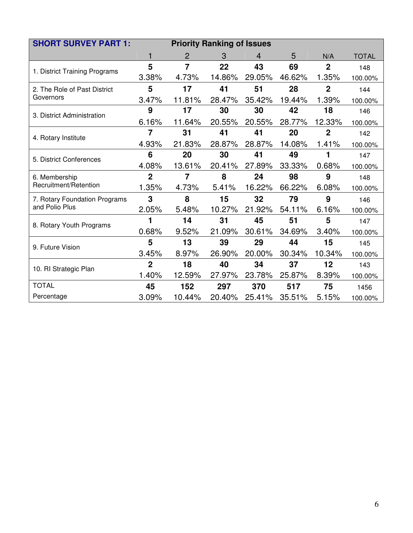| <b>SHORT SURVEY PART 1:</b>   | <b>Priority Ranking of Issues</b> |                |        |        |        |                |              |  |  |  |
|-------------------------------|-----------------------------------|----------------|--------|--------|--------|----------------|--------------|--|--|--|
|                               |                                   | $\overline{2}$ | 3      | 4      | 5      | N/A            | <b>TOTAL</b> |  |  |  |
| 1. District Training Programs | 5                                 | $\overline{7}$ | 22     | 43     | 69     | $\overline{2}$ | 148          |  |  |  |
|                               | 3.38%                             | 4.73%          | 14.86% | 29.05% | 46.62% | 1.35%          | 100.00%      |  |  |  |
| 2. The Role of Past District  | 5                                 | 17             | 41     | 51     | 28     | $\overline{2}$ | 144          |  |  |  |
| Governors                     | 3.47%                             | 11.81%         | 28.47% | 35.42% | 19.44% | 1.39%          | 100.00%      |  |  |  |
| 3. District Administration    | 9                                 | 17             | 30     | 30     | 42     | 18             | 146          |  |  |  |
|                               | 6.16%                             | 11.64%         | 20.55% | 20.55% | 28.77% | 12.33%         | 100.00%      |  |  |  |
| 4. Rotary Institute           | 7                                 | 31             | 41     | 41     | 20     | $\mathbf{2}$   | 142          |  |  |  |
|                               | 4.93%                             | 21.83%         | 28.87% | 28.87% | 14.08% | 1.41%          | 100.00%      |  |  |  |
| 5. District Conferences       | 6                                 | 20             | 30     | 41     | 49     |                | 147          |  |  |  |
|                               | 4.08%                             | 13.61%         | 20.41% | 27.89% | 33.33% | 0.68%          | 100.00%      |  |  |  |
| 6. Membership                 | $\overline{2}$                    | 7              | 8      | 24     | 98     | 9              | 148          |  |  |  |
| Recruitment/Retention         | 1.35%                             | 4.73%          | 5.41%  | 16.22% | 66.22% | 6.08%          | 100.00%      |  |  |  |
| 7. Rotary Foundation Programs | 3                                 | 8              | 15     | 32     | 79     | 9              | 146          |  |  |  |
| and Polio Plus                | 2.05%                             | 5.48%          | 10.27% | 21.92% | 54.11% | 6.16%          | 100.00%      |  |  |  |
| 8. Rotary Youth Programs      | 1                                 | 14             | 31     | 45     | 51     | 5              | 147          |  |  |  |
|                               | 0.68%                             | 9.52%          | 21.09% | 30.61% | 34.69% | 3.40%          | 100.00%      |  |  |  |
| 9. Future Vision              | 5                                 | 13             | 39     | 29     | 44     | 15             | 145          |  |  |  |
|                               | 3.45%                             | 8.97%          | 26.90% | 20.00% | 30.34% | 10.34%         | 100.00%      |  |  |  |
| 10. RI Strategic Plan         | $\overline{2}$                    | 18             | 40     | 34     | 37     | 12             | 143          |  |  |  |
|                               | 1.40%                             | 12.59%         | 27.97% | 23.78% | 25.87% | 8.39%          | 100.00%      |  |  |  |
| <b>TOTAL</b>                  | 45                                | 152            | 297    | 370    | 517    | 75             | 1456         |  |  |  |
| Percentage                    | 3.09%                             | 10.44%         | 20.40% | 25.41% | 35.51% | 5.15%          | 100.00%      |  |  |  |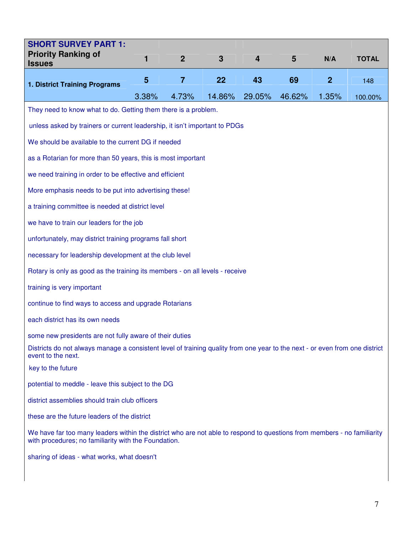| <b>SHORT SURVEY PART 1:</b><br><b>Priority Ranking of</b><br><b>Issues</b>                                                                                                      | 1     | $\overline{2}$ | 3      | 4      | $5\phantom{1}$ | N/A              | <b>TOTAL</b> |  |  |  |
|---------------------------------------------------------------------------------------------------------------------------------------------------------------------------------|-------|----------------|--------|--------|----------------|------------------|--------------|--|--|--|
| 1. District Training Programs                                                                                                                                                   | 5     | $\overline{7}$ | 22     | 43     | 69             | $\boldsymbol{2}$ | 148          |  |  |  |
|                                                                                                                                                                                 | 3.38% | 4.73%          | 14.86% | 29.05% | 46.62%         | 1.35%            | 100.00%      |  |  |  |
| They need to know what to do. Getting them there is a problem.                                                                                                                  |       |                |        |        |                |                  |              |  |  |  |
| unless asked by trainers or current leadership, it isn't important to PDGs                                                                                                      |       |                |        |        |                |                  |              |  |  |  |
| We should be available to the current DG if needed                                                                                                                              |       |                |        |        |                |                  |              |  |  |  |
| as a Rotarian for more than 50 years, this is most important                                                                                                                    |       |                |        |        |                |                  |              |  |  |  |
| we need training in order to be effective and efficient                                                                                                                         |       |                |        |        |                |                  |              |  |  |  |
| More emphasis needs to be put into advertising these!                                                                                                                           |       |                |        |        |                |                  |              |  |  |  |
| a training committee is needed at district level                                                                                                                                |       |                |        |        |                |                  |              |  |  |  |
| we have to train our leaders for the job                                                                                                                                        |       |                |        |        |                |                  |              |  |  |  |
| unfortunately, may district training programs fall short                                                                                                                        |       |                |        |        |                |                  |              |  |  |  |
| necessary for leadership development at the club level                                                                                                                          |       |                |        |        |                |                  |              |  |  |  |
| Rotary is only as good as the training its members - on all levels - receive                                                                                                    |       |                |        |        |                |                  |              |  |  |  |
| training is very important                                                                                                                                                      |       |                |        |        |                |                  |              |  |  |  |
| continue to find ways to access and upgrade Rotarians                                                                                                                           |       |                |        |        |                |                  |              |  |  |  |
| each district has its own needs                                                                                                                                                 |       |                |        |        |                |                  |              |  |  |  |
| some new presidents are not fully aware of their duties                                                                                                                         |       |                |        |        |                |                  |              |  |  |  |
| Districts do not always manage a consistent level of training quality from one year to the next - or even from one district<br>event to the next.                               |       |                |        |        |                |                  |              |  |  |  |
| key to the future                                                                                                                                                               |       |                |        |        |                |                  |              |  |  |  |
| potential to meddle - leave this subject to the DG                                                                                                                              |       |                |        |        |                |                  |              |  |  |  |
| district assemblies should train club officers                                                                                                                                  |       |                |        |        |                |                  |              |  |  |  |
| these are the future leaders of the district                                                                                                                                    |       |                |        |        |                |                  |              |  |  |  |
| We have far too many leaders within the district who are not able to respond to questions from members - no familiarity<br>with procedures; no familiarity with the Foundation. |       |                |        |        |                |                  |              |  |  |  |
| sharing of ideas - what works, what doesn't                                                                                                                                     |       |                |        |        |                |                  |              |  |  |  |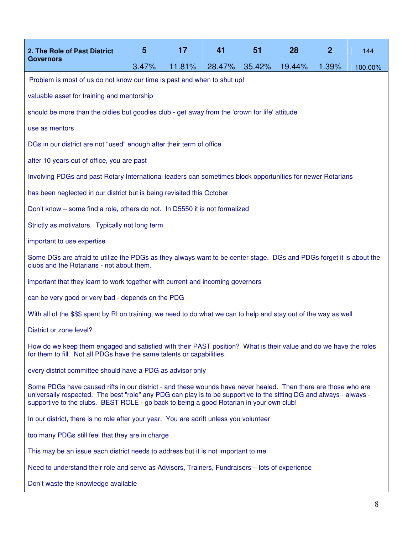| 2. The Role of Past District                                                                                                                                                                                                                                                                                                     | 5     | 17     | 41     | 51     | 28     | $\mathbf{2}$ | 144     |  |  |
|----------------------------------------------------------------------------------------------------------------------------------------------------------------------------------------------------------------------------------------------------------------------------------------------------------------------------------|-------|--------|--------|--------|--------|--------------|---------|--|--|
| <b>Governors</b>                                                                                                                                                                                                                                                                                                                 | 3.47% | 11.81% | 28.47% | 35.42% | 19.44% | 1.39%        | 100.00% |  |  |
| Problem is most of us do not know our time is past and when to shut up!                                                                                                                                                                                                                                                          |       |        |        |        |        |              |         |  |  |
| valuable asset for training and mentorship                                                                                                                                                                                                                                                                                       |       |        |        |        |        |              |         |  |  |
| should be more than the oldies but goodies club - get away from the 'crown for life' attitude                                                                                                                                                                                                                                    |       |        |        |        |        |              |         |  |  |
| use as mentors                                                                                                                                                                                                                                                                                                                   |       |        |        |        |        |              |         |  |  |
| DGs in our district are not "used" enough after their term of office                                                                                                                                                                                                                                                             |       |        |        |        |        |              |         |  |  |
| after 10 years out of office, you are past                                                                                                                                                                                                                                                                                       |       |        |        |        |        |              |         |  |  |
| Involving PDGs and past Rotary International leaders can sometimes block opportunities for newer Rotarians                                                                                                                                                                                                                       |       |        |        |        |        |              |         |  |  |
| has been neglected in our district but is being revisited this October                                                                                                                                                                                                                                                           |       |        |        |        |        |              |         |  |  |
| Don't know – some find a role, others do not. In D5550 it is not formalized                                                                                                                                                                                                                                                      |       |        |        |        |        |              |         |  |  |
| Strictly as motivators. Typically not long term                                                                                                                                                                                                                                                                                  |       |        |        |        |        |              |         |  |  |
| important to use expertise                                                                                                                                                                                                                                                                                                       |       |        |        |        |        |              |         |  |  |
| Some DGs are afraid to utilize the PDGs as they always want to be center stage. DGs and PDGs forget it is about the<br>clubs and the Rotarians - not about them.                                                                                                                                                                 |       |        |        |        |        |              |         |  |  |
| important that they learn to work together with current and incoming governors                                                                                                                                                                                                                                                   |       |        |        |        |        |              |         |  |  |
| can be very good or very bad - depends on the PDG                                                                                                                                                                                                                                                                                |       |        |        |        |        |              |         |  |  |
| With all of the \$\$\$ spent by RI on training, we need to do what we can to help and stay out of the way as well                                                                                                                                                                                                                |       |        |        |        |        |              |         |  |  |
| District or zone level?                                                                                                                                                                                                                                                                                                          |       |        |        |        |        |              |         |  |  |
| How do we keep them engaged and satisfied with their PAST position? What is their value and do we have the roles<br>for them to fill. Not all PDGs have the same talents or capabilities.                                                                                                                                        |       |        |        |        |        |              |         |  |  |
| every district committee should have a PDG as advisor only                                                                                                                                                                                                                                                                       |       |        |        |        |        |              |         |  |  |
| Some PDGs have caused rifts in our district - and these wounds have never healed. Then there are those who are<br>universally respected. The best "role" any PDG can play is to be supportive to the sitting DG and always - always -<br>supportive to the clubs. BEST ROLE - go back to being a good Rotarian in your own club! |       |        |        |        |        |              |         |  |  |
| In our district, there is no role after your year. You are adrift unless you volunteer                                                                                                                                                                                                                                           |       |        |        |        |        |              |         |  |  |
| too many PDGs still feel that they are in charge                                                                                                                                                                                                                                                                                 |       |        |        |        |        |              |         |  |  |
| This may be an issue each district needs to address but it is not important to me                                                                                                                                                                                                                                                |       |        |        |        |        |              |         |  |  |
| Need to understand their role and serve as Advisors, Trainers, Fundraisers - lots of experience                                                                                                                                                                                                                                  |       |        |        |        |        |              |         |  |  |
| Don't waste the knowledge available                                                                                                                                                                                                                                                                                              |       |        |        |        |        |              |         |  |  |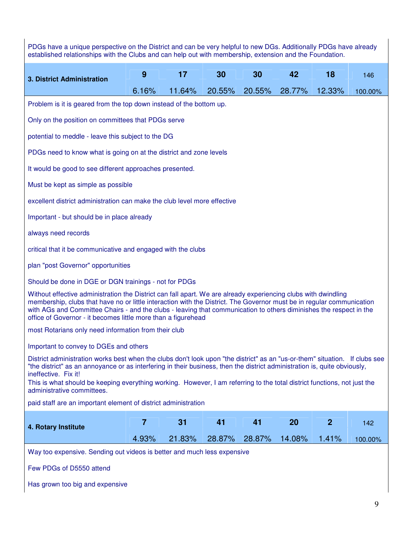| PDGs have a unique perspective on the District and can be very helpful to new DGs. Additionally PDGs have already<br>established relationships with the Clubs and can help out with membership, extension and the Foundation.                                                                                                                                                                                                              |                                                    |        |        |        |        |                |         |  |  |
|--------------------------------------------------------------------------------------------------------------------------------------------------------------------------------------------------------------------------------------------------------------------------------------------------------------------------------------------------------------------------------------------------------------------------------------------|----------------------------------------------------|--------|--------|--------|--------|----------------|---------|--|--|
| 3. District Administration                                                                                                                                                                                                                                                                                                                                                                                                                 | 9                                                  | 17     | 30     | 30     | 42     | 18             | 146     |  |  |
|                                                                                                                                                                                                                                                                                                                                                                                                                                            | 6.16%                                              | 11.64% | 20.55% | 20.55% | 28.77% | 12.33%         | 100.00% |  |  |
| Problem is it is geared from the top down instead of the bottom up.                                                                                                                                                                                                                                                                                                                                                                        |                                                    |        |        |        |        |                |         |  |  |
| Only on the position on committees that PDGs serve                                                                                                                                                                                                                                                                                                                                                                                         |                                                    |        |        |        |        |                |         |  |  |
|                                                                                                                                                                                                                                                                                                                                                                                                                                            | potential to meddle - leave this subject to the DG |        |        |        |        |                |         |  |  |
| PDGs need to know what is going on at the district and zone levels                                                                                                                                                                                                                                                                                                                                                                         |                                                    |        |        |        |        |                |         |  |  |
| It would be good to see different approaches presented.                                                                                                                                                                                                                                                                                                                                                                                    |                                                    |        |        |        |        |                |         |  |  |
| Must be kept as simple as possible                                                                                                                                                                                                                                                                                                                                                                                                         |                                                    |        |        |        |        |                |         |  |  |
| excellent district administration can make the club level more effective                                                                                                                                                                                                                                                                                                                                                                   |                                                    |        |        |        |        |                |         |  |  |
| Important - but should be in place already                                                                                                                                                                                                                                                                                                                                                                                                 |                                                    |        |        |        |        |                |         |  |  |
| always need records                                                                                                                                                                                                                                                                                                                                                                                                                        |                                                    |        |        |        |        |                |         |  |  |
| critical that it be communicative and engaged with the clubs                                                                                                                                                                                                                                                                                                                                                                               |                                                    |        |        |        |        |                |         |  |  |
| plan "post Governor" opportunities                                                                                                                                                                                                                                                                                                                                                                                                         |                                                    |        |        |        |        |                |         |  |  |
| Should be done in DGE or DGN trainings - not for PDGs                                                                                                                                                                                                                                                                                                                                                                                      |                                                    |        |        |        |        |                |         |  |  |
| Without effective administration the District can fall apart. We are already experiencing clubs with dwindling<br>membership, clubs that have no or little interaction with the District. The Governor must be in regular communication<br>with AGs and Committee Chairs - and the clubs - leaving that communication to others diminishes the respect in the<br>office of Governor - it becomes little more than a figurehead             |                                                    |        |        |        |        |                |         |  |  |
| most Rotarians only need information from their club                                                                                                                                                                                                                                                                                                                                                                                       |                                                    |        |        |        |        |                |         |  |  |
| Important to convey to DGEs and others                                                                                                                                                                                                                                                                                                                                                                                                     |                                                    |        |        |        |        |                |         |  |  |
| District administration works best when the clubs don't look upon "the district" as an "us-or-them" situation. If clubs see<br>"the district" as an annoyance or as interfering in their business, then the district administration is, quite obviously,<br>ineffective. Fix it!<br>This is what should be keeping everything working. However, I am referring to the total district functions, not just the<br>administrative committees. |                                                    |        |        |        |        |                |         |  |  |
| paid staff are an important element of district administration                                                                                                                                                                                                                                                                                                                                                                             |                                                    |        |        |        |        |                |         |  |  |
| 4. Rotary Institute                                                                                                                                                                                                                                                                                                                                                                                                                        | $\overline{7}$                                     | 31     | 41     | 41     | 20     | $\overline{2}$ | 142     |  |  |
|                                                                                                                                                                                                                                                                                                                                                                                                                                            | 4.93%                                              | 21.83% | 28.87% | 28.87% | 14.08% | 1.41%          | 100.00% |  |  |
| Way too expensive. Sending out videos is better and much less expensive<br>Few PDGs of D5550 attend                                                                                                                                                                                                                                                                                                                                        |                                                    |        |        |        |        |                |         |  |  |

Has grown too big and expensive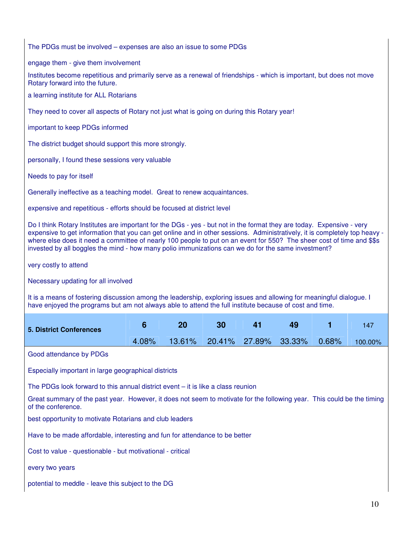The PDGs must be involved – expenses are also an issue to some PDGs

engage them - give them involvement

Institutes become repetitious and primarily serve as a renewal of friendships - which is important, but does not move Rotary forward into the future.

a learning institute for ALL Rotarians

They need to cover all aspects of Rotary not just what is going on during this Rotary year!

important to keep PDGs informed

The district budget should support this more strongly.

personally, I found these sessions very valuable

Needs to pay for itself

Generally ineffective as a teaching model. Great to renew acquaintances.

expensive and repetitious - efforts should be focused at district level

Do I think Rotary Institutes are important for the DGs - yes - but not in the format they are today. Expensive - very expensive to get information that you can get online and in other sessions. Administratively, it is completely top heavy where else does it need a committee of nearly 100 people to put on an event for 550? The sheer cost of time and \$\$s invested by all boggles the mind - how many polio immunizations can we do for the same investment?

very costly to attend

Necessary updating for all involved

It is a means of fostering discussion among the leadership, exploring issues and allowing for meaningful dialogue. I have enjoyed the programs but am not always able to attend the full institute because of cost and time.

| <b>5. District Conferences</b> | - 20                                            | - 30- | - 41 | 49 | 147 |
|--------------------------------|-------------------------------------------------|-------|------|----|-----|
|                                | 4.08% 13.61% 20.41% 27.89% 33.33% 0.68% 100.00% |       |      |    |     |

Good attendance by PDGs

Especially important in large geographical districts

The PDGs look forward to this annual district event – it is like a class reunion

Great summary of the past year. However, it does not seem to motivate for the following year. This could be the timing of the conference.

best opportunity to motivate Rotarians and club leaders

Have to be made affordable, interesting and fun for attendance to be better

Cost to value - questionable - but motivational - critical

every two years

potential to meddle - leave this subject to the DG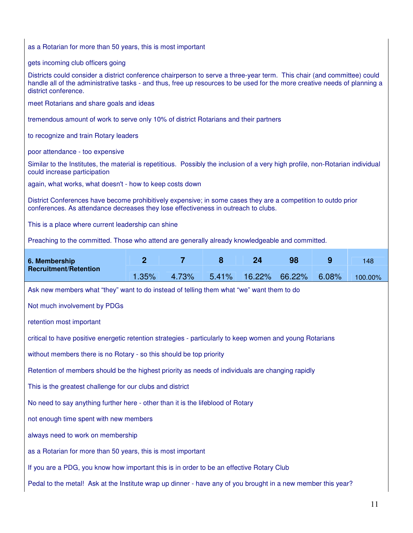| as a Rotarian for more than 50 years, this is most important                                                                                                                                                                                                                 |                                                                                                                                                               |                |       |        |                                                                                 |       |         |  |  |  |  |  |
|------------------------------------------------------------------------------------------------------------------------------------------------------------------------------------------------------------------------------------------------------------------------------|---------------------------------------------------------------------------------------------------------------------------------------------------------------|----------------|-------|--------|---------------------------------------------------------------------------------|-------|---------|--|--|--|--|--|
| gets incoming club officers going                                                                                                                                                                                                                                            |                                                                                                                                                               |                |       |        |                                                                                 |       |         |  |  |  |  |  |
| Districts could consider a district conference chairperson to serve a three-year term. This chair (and committee) could<br>handle all of the administrative tasks - and thus, free up resources to be used for the more creative needs of planning a<br>district conference. |                                                                                                                                                               |                |       |        |                                                                                 |       |         |  |  |  |  |  |
| meet Rotarians and share goals and ideas                                                                                                                                                                                                                                     |                                                                                                                                                               |                |       |        |                                                                                 |       |         |  |  |  |  |  |
| tremendous amount of work to serve only 10% of district Rotarians and their partners                                                                                                                                                                                         |                                                                                                                                                               |                |       |        |                                                                                 |       |         |  |  |  |  |  |
| to recognize and train Rotary leaders                                                                                                                                                                                                                                        |                                                                                                                                                               |                |       |        |                                                                                 |       |         |  |  |  |  |  |
| poor attendance - too expensive                                                                                                                                                                                                                                              |                                                                                                                                                               |                |       |        |                                                                                 |       |         |  |  |  |  |  |
| Similar to the Institutes, the material is repetitious. Possibly the inclusion of a very high profile, non-Rotarian individual<br>could increase participation                                                                                                               |                                                                                                                                                               |                |       |        |                                                                                 |       |         |  |  |  |  |  |
| again, what works, what doesn't - how to keep costs down                                                                                                                                                                                                                     |                                                                                                                                                               |                |       |        |                                                                                 |       |         |  |  |  |  |  |
| District Conferences have become prohibitively expensive; in some cases they are a competition to outdo prior<br>conferences. As attendance decreases they lose effectiveness in outreach to clubs.                                                                          |                                                                                                                                                               |                |       |        |                                                                                 |       |         |  |  |  |  |  |
| This is a place where current leadership can shine                                                                                                                                                                                                                           |                                                                                                                                                               |                |       |        |                                                                                 |       |         |  |  |  |  |  |
| Preaching to the committed. Those who attend are generally already knowledgeable and committed.                                                                                                                                                                              |                                                                                                                                                               |                |       |        |                                                                                 |       |         |  |  |  |  |  |
| 6. Membership                                                                                                                                                                                                                                                                | $\overline{2}$                                                                                                                                                | $\overline{7}$ | 8     | 24     | 98                                                                              | 9     | 148     |  |  |  |  |  |
| <b>Recruitment/Retention</b>                                                                                                                                                                                                                                                 | 1.35%                                                                                                                                                         | 4.73%          | 5.41% | 16.22% | 66.22%                                                                          | 6.08% | 100.00% |  |  |  |  |  |
| Ask new members what "they" want to do instead of telling them what "we" want them to do                                                                                                                                                                                     |                                                                                                                                                               |                |       |        |                                                                                 |       |         |  |  |  |  |  |
| Not much involvement by PDGs                                                                                                                                                                                                                                                 |                                                                                                                                                               |                |       |        |                                                                                 |       |         |  |  |  |  |  |
| retention most important                                                                                                                                                                                                                                                     |                                                                                                                                                               |                |       |        |                                                                                 |       |         |  |  |  |  |  |
| critical to have positive energetic retention strategies - particularly to keep women and young Rotarians                                                                                                                                                                    |                                                                                                                                                               |                |       |        |                                                                                 |       |         |  |  |  |  |  |
| without members there is no Rotary - so this should be top priority                                                                                                                                                                                                          |                                                                                                                                                               |                |       |        |                                                                                 |       |         |  |  |  |  |  |
|                                                                                                                                                                                                                                                                              |                                                                                                                                                               |                |       |        |                                                                                 |       |         |  |  |  |  |  |
|                                                                                                                                                                                                                                                                              | Retention of members should be the highest priority as needs of individuals are changing rapidly<br>This is the greatest challenge for our clubs and district |                |       |        |                                                                                 |       |         |  |  |  |  |  |
|                                                                                                                                                                                                                                                                              |                                                                                                                                                               |                |       |        | No need to say anything further here - other than it is the lifeblood of Rotary |       |         |  |  |  |  |  |
| not enough time spent with new members                                                                                                                                                                                                                                       |                                                                                                                                                               |                |       |        |                                                                                 |       |         |  |  |  |  |  |
|                                                                                                                                                                                                                                                                              |                                                                                                                                                               |                |       |        |                                                                                 |       |         |  |  |  |  |  |
| always need to work on membership                                                                                                                                                                                                                                            |                                                                                                                                                               |                |       |        |                                                                                 |       |         |  |  |  |  |  |
| as a Rotarian for more than 50 years, this is most important                                                                                                                                                                                                                 |                                                                                                                                                               |                |       |        |                                                                                 |       |         |  |  |  |  |  |
| If you are a PDG, you know how important this is in order to be an effective Rotary Club                                                                                                                                                                                     |                                                                                                                                                               |                |       |        |                                                                                 |       |         |  |  |  |  |  |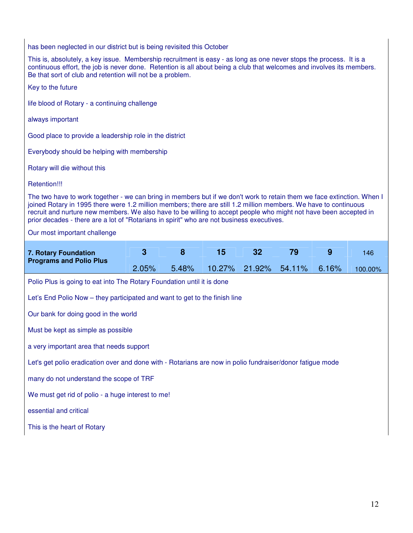has been neglected in our district but is being revisited this October

This is, absolutely, a key issue. Membership recruitment is easy - as long as one never stops the process. It is a continuous effort, the job is never done. Retention is all about being a club that welcomes and involves its members. Be that sort of club and retention will not be a problem.

| Key to the future                                                                                                                                                                                                                                                                                                                                                                                                                                           |       |       |        |        |        |       |         |  |  |
|-------------------------------------------------------------------------------------------------------------------------------------------------------------------------------------------------------------------------------------------------------------------------------------------------------------------------------------------------------------------------------------------------------------------------------------------------------------|-------|-------|--------|--------|--------|-------|---------|--|--|
| life blood of Rotary - a continuing challenge                                                                                                                                                                                                                                                                                                                                                                                                               |       |       |        |        |        |       |         |  |  |
| always important                                                                                                                                                                                                                                                                                                                                                                                                                                            |       |       |        |        |        |       |         |  |  |
| Good place to provide a leadership role in the district                                                                                                                                                                                                                                                                                                                                                                                                     |       |       |        |        |        |       |         |  |  |
| Everybody should be helping with membership                                                                                                                                                                                                                                                                                                                                                                                                                 |       |       |        |        |        |       |         |  |  |
| Rotary will die without this                                                                                                                                                                                                                                                                                                                                                                                                                                |       |       |        |        |        |       |         |  |  |
| Retention!!!                                                                                                                                                                                                                                                                                                                                                                                                                                                |       |       |        |        |        |       |         |  |  |
| The two have to work together - we can bring in members but if we don't work to retain them we face extinction. When I<br>joined Rotary in 1995 there were 1.2 million members; there are still 1.2 million members. We have to continuous<br>recruit and nurture new members. We also have to be willing to accept people who might not have been accepted in<br>prior decades - there are a lot of "Rotarians in spirit" who are not business executives. |       |       |        |        |        |       |         |  |  |
| Our most important challenge                                                                                                                                                                                                                                                                                                                                                                                                                                |       |       |        |        |        |       |         |  |  |
|                                                                                                                                                                                                                                                                                                                                                                                                                                                             | 3     | 8     | 15     | 32     | 79     | 9     | 146     |  |  |
| 7. Rotary Foundation<br><b>Programs and Polio Plus</b>                                                                                                                                                                                                                                                                                                                                                                                                      | 2.05% | 5.48% | 10.27% | 21.92% | 54.11% | 6.16% | 100.00% |  |  |
| Polio Plus is going to eat into The Rotary Foundation until it is done                                                                                                                                                                                                                                                                                                                                                                                      |       |       |        |        |        |       |         |  |  |
| Let's End Polio Now – they participated and want to get to the finish line                                                                                                                                                                                                                                                                                                                                                                                  |       |       |        |        |        |       |         |  |  |
| Our bank for doing good in the world                                                                                                                                                                                                                                                                                                                                                                                                                        |       |       |        |        |        |       |         |  |  |
| Must be kept as simple as possible                                                                                                                                                                                                                                                                                                                                                                                                                          |       |       |        |        |        |       |         |  |  |
| a very important area that needs support                                                                                                                                                                                                                                                                                                                                                                                                                    |       |       |        |        |        |       |         |  |  |
| Let's get polio eradication over and done with - Rotarians are now in polio fundraiser/donor fatigue mode                                                                                                                                                                                                                                                                                                                                                   |       |       |        |        |        |       |         |  |  |
| many do not understand the scope of TRF                                                                                                                                                                                                                                                                                                                                                                                                                     |       |       |        |        |        |       |         |  |  |
| We must get rid of polio - a huge interest to me!                                                                                                                                                                                                                                                                                                                                                                                                           |       |       |        |        |        |       |         |  |  |
| essential and critical                                                                                                                                                                                                                                                                                                                                                                                                                                      |       |       |        |        |        |       |         |  |  |
| This is the heart of Rotary                                                                                                                                                                                                                                                                                                                                                                                                                                 |       |       |        |        |        |       |         |  |  |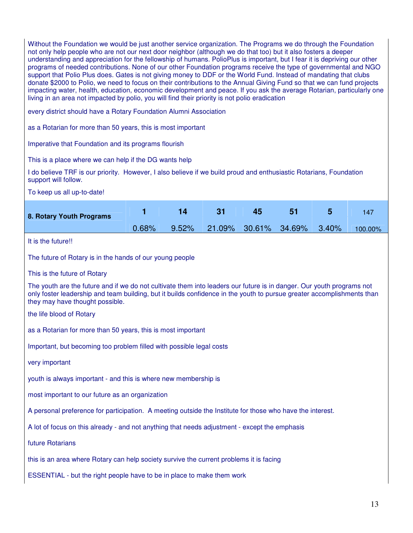Without the Foundation we would be just another service organization. The Programs we do through the Foundation not only help people who are not our next door neighbor (although we do that too) but it also fosters a deeper understanding and appreciation for the fellowship of humans. PolioPlus is important, but I fear it is depriving our other programs of needed contributions. None of our other Foundation programs receive the type of governmental and NGO support that Polio Plus does. Gates is not giving money to DDF or the World Fund. Instead of mandating that clubs donate \$2000 to Polio, we need to focus on their contributions to the Annual Giving Fund so that we can fund projects impacting water, health, education, economic development and peace. If you ask the average Rotarian, particularly one living in an area not impacted by polio, you will find their priority is not polio eradication

every district should have a Rotary Foundation Alumni Association

as a Rotarian for more than 50 years, this is most important

Imperative that Foundation and its programs flourish

This is a place where we can help if the DG wants help

I do believe TRF is our priority. However, I also believe if we build proud and enthusiastic Rotarians, Foundation support will follow.

To keep us all up-to-date!

| 8. Rotary Youth Programs | $\mathbf{14}$ | $\sim$ 31                                         | 45 51 8 | $\sim$ 5 $\sim$ | $-147$ |
|--------------------------|---------------|---------------------------------------------------|---------|-----------------|--------|
|                          |               | $0.68\%$ 9.52% 21.09% 30.61% 34.69% 3.40% 100.00% |         |                 |        |

It is the future!!

The future of Rotary is in the hands of our young people

This is the future of Rotary

The youth are the future and if we do not cultivate them into leaders our future is in danger. Our youth programs not only foster leadership and team building, but it builds confidence in the youth to pursue greater accomplishments than they may have thought possible.

the life blood of Rotary

as a Rotarian for more than 50 years, this is most important

Important, but becoming too problem filled with possible legal costs

very important

youth is always important - and this is where new membership is

most important to our future as an organization

A personal preference for participation. A meeting outside the Institute for those who have the interest.

A lot of focus on this already - and not anything that needs adjustment - except the emphasis

future Rotarians

this is an area where Rotary can help society survive the current problems it is facing

ESSENTIAL - but the right people have to be in place to make them work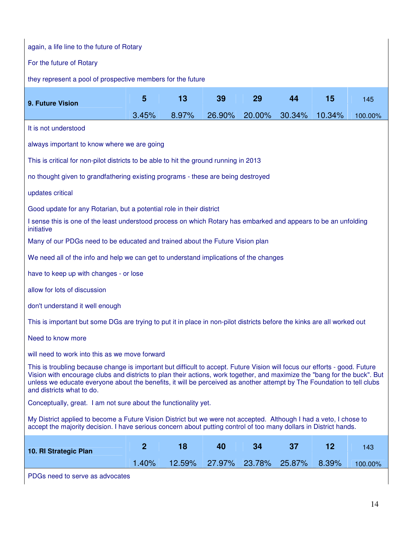| again, a life line to the future of Rotary                                                                                                                                                                                                                                                                                                                                                                     |                                                      |        |        |        |        |        |         |  |  |  |  |  |
|----------------------------------------------------------------------------------------------------------------------------------------------------------------------------------------------------------------------------------------------------------------------------------------------------------------------------------------------------------------------------------------------------------------|------------------------------------------------------|--------|--------|--------|--------|--------|---------|--|--|--|--|--|
| For the future of Rotary                                                                                                                                                                                                                                                                                                                                                                                       |                                                      |        |        |        |        |        |         |  |  |  |  |  |
| they represent a pool of prospective members for the future                                                                                                                                                                                                                                                                                                                                                    |                                                      |        |        |        |        |        |         |  |  |  |  |  |
|                                                                                                                                                                                                                                                                                                                                                                                                                | $5\phantom{.0}$<br>13<br>39<br>29<br>15<br>44<br>145 |        |        |        |        |        |         |  |  |  |  |  |
| 9. Future Vision                                                                                                                                                                                                                                                                                                                                                                                               | 3.45%                                                | 8.97%  | 26.90% | 20.00% | 30.34% | 10.34% | 100.00% |  |  |  |  |  |
| It is not understood                                                                                                                                                                                                                                                                                                                                                                                           |                                                      |        |        |        |        |        |         |  |  |  |  |  |
| always important to know where we are going                                                                                                                                                                                                                                                                                                                                                                    |                                                      |        |        |        |        |        |         |  |  |  |  |  |
| This is critical for non-pilot districts to be able to hit the ground running in 2013                                                                                                                                                                                                                                                                                                                          |                                                      |        |        |        |        |        |         |  |  |  |  |  |
| no thought given to grandfathering existing programs - these are being destroyed                                                                                                                                                                                                                                                                                                                               |                                                      |        |        |        |        |        |         |  |  |  |  |  |
| updates critical                                                                                                                                                                                                                                                                                                                                                                                               |                                                      |        |        |        |        |        |         |  |  |  |  |  |
| Good update for any Rotarian, but a potential role in their district                                                                                                                                                                                                                                                                                                                                           |                                                      |        |        |        |        |        |         |  |  |  |  |  |
| I sense this is one of the least understood process on which Rotary has embarked and appears to be an unfolding<br>initiative                                                                                                                                                                                                                                                                                  |                                                      |        |        |        |        |        |         |  |  |  |  |  |
| Many of our PDGs need to be educated and trained about the Future Vision plan                                                                                                                                                                                                                                                                                                                                  |                                                      |        |        |        |        |        |         |  |  |  |  |  |
| We need all of the info and help we can get to understand implications of the changes                                                                                                                                                                                                                                                                                                                          |                                                      |        |        |        |        |        |         |  |  |  |  |  |
| have to keep up with changes - or lose                                                                                                                                                                                                                                                                                                                                                                         |                                                      |        |        |        |        |        |         |  |  |  |  |  |
| allow for lots of discussion                                                                                                                                                                                                                                                                                                                                                                                   |                                                      |        |        |        |        |        |         |  |  |  |  |  |
| don't understand it well enough                                                                                                                                                                                                                                                                                                                                                                                |                                                      |        |        |        |        |        |         |  |  |  |  |  |
| This is important but some DGs are trying to put it in place in non-pilot districts before the kinks are all worked out                                                                                                                                                                                                                                                                                        |                                                      |        |        |        |        |        |         |  |  |  |  |  |
| Need to know more                                                                                                                                                                                                                                                                                                                                                                                              |                                                      |        |        |        |        |        |         |  |  |  |  |  |
| will need to work into this as we move forward                                                                                                                                                                                                                                                                                                                                                                 |                                                      |        |        |        |        |        |         |  |  |  |  |  |
| This is troubling because change is important but difficult to accept. Future Vision will focus our efforts - good. Future<br>Vision with encourage clubs and districts to plan their actions, work together, and maximize the "bang for the buck". But<br>unless we educate everyone about the benefits, it will be perceived as another attempt by The Foundation to tell clubs<br>and districts what to do. |                                                      |        |        |        |        |        |         |  |  |  |  |  |
| Conceptually, great. I am not sure about the functionality yet.                                                                                                                                                                                                                                                                                                                                                |                                                      |        |        |        |        |        |         |  |  |  |  |  |
| My District applied to become a Future Vision District but we were not accepted. Although I had a veto, I chose to<br>accept the majority decision. I have serious concern about putting control of too many dollars in District hands.                                                                                                                                                                        |                                                      |        |        |        |        |        |         |  |  |  |  |  |
|                                                                                                                                                                                                                                                                                                                                                                                                                | $\boldsymbol{2}$                                     | 18     | 40     | 34     | 37     | 12     | 143     |  |  |  |  |  |
| 10. RI Strategic Plan                                                                                                                                                                                                                                                                                                                                                                                          | 1.40%                                                | 12.59% | 27.97% | 23.78% | 25.87% | 8.39%  | 100.00% |  |  |  |  |  |
|                                                                                                                                                                                                                                                                                                                                                                                                                |                                                      |        |        |        |        |        |         |  |  |  |  |  |

PDGs need to serve as advocates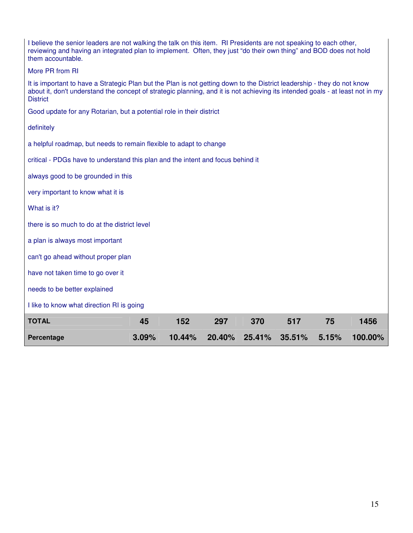| I believe the senior leaders are not walking the talk on this item. RI Presidents are not speaking to each other,<br>reviewing and having an integrated plan to implement. Often, they just "do their own thing" and BOD does not hold<br>them accountable.                 |       |        |        |        |        |       |         |  |  |  |
|-----------------------------------------------------------------------------------------------------------------------------------------------------------------------------------------------------------------------------------------------------------------------------|-------|--------|--------|--------|--------|-------|---------|--|--|--|
| More PR from RI                                                                                                                                                                                                                                                             |       |        |        |        |        |       |         |  |  |  |
| It is important to have a Strategic Plan but the Plan is not getting down to the District leadership - they do not know<br>about it, don't understand the concept of strategic planning, and it is not achieving its intended goals - at least not in my<br><b>District</b> |       |        |        |        |        |       |         |  |  |  |
| Good update for any Rotarian, but a potential role in their district                                                                                                                                                                                                        |       |        |        |        |        |       |         |  |  |  |
| definitely                                                                                                                                                                                                                                                                  |       |        |        |        |        |       |         |  |  |  |
| a helpful roadmap, but needs to remain flexible to adapt to change                                                                                                                                                                                                          |       |        |        |        |        |       |         |  |  |  |
| critical - PDGs have to understand this plan and the intent and focus behind it                                                                                                                                                                                             |       |        |        |        |        |       |         |  |  |  |
| always good to be grounded in this                                                                                                                                                                                                                                          |       |        |        |        |        |       |         |  |  |  |
| very important to know what it is                                                                                                                                                                                                                                           |       |        |        |        |        |       |         |  |  |  |
| What is it?                                                                                                                                                                                                                                                                 |       |        |        |        |        |       |         |  |  |  |
| there is so much to do at the district level                                                                                                                                                                                                                                |       |        |        |        |        |       |         |  |  |  |
| a plan is always most important                                                                                                                                                                                                                                             |       |        |        |        |        |       |         |  |  |  |
| can't go ahead without proper plan                                                                                                                                                                                                                                          |       |        |        |        |        |       |         |  |  |  |
| have not taken time to go over it                                                                                                                                                                                                                                           |       |        |        |        |        |       |         |  |  |  |
| needs to be better explained                                                                                                                                                                                                                                                |       |        |        |        |        |       |         |  |  |  |
| I like to know what direction RI is going                                                                                                                                                                                                                                   |       |        |        |        |        |       |         |  |  |  |
| <b>TOTAL</b>                                                                                                                                                                                                                                                                | 45    | 152    | 297    | 370    | 517    | 75    | 1456    |  |  |  |
| Percentage                                                                                                                                                                                                                                                                  | 3.09% | 10.44% | 20.40% | 25.41% | 35.51% | 5.15% | 100.00% |  |  |  |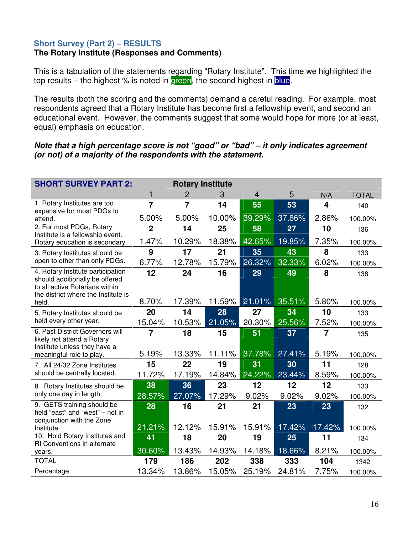# **Short Survey (Part 2) – RESULTS**

# **The Rotary Institute (Responses and Comments)**

This is a tabulation of the statements regarding "Rotary Institute". This time we highlighted the top results – the highest  $%$  is noted in green, the second highest in blue.

The results (both the scoring and the comments) demand a careful reading. For example, most respondents agreed that a Rotary Institute has become first a fellowship event, and second an educational event. However, the comments suggest that some would hope for more (or at least, equal) emphasis on education.

# **Note that a high percentage score is not "good" or "bad" – it only indicates agreement (or not) of a majority of the respondents with the statement.**

| <b>SHORT SURVEY PART 2:</b>                                                                             | <b>Rotary Institute</b> |                |        |                         |        |                         |              |  |  |
|---------------------------------------------------------------------------------------------------------|-------------------------|----------------|--------|-------------------------|--------|-------------------------|--------------|--|--|
|                                                                                                         | 1                       | 2              | 3      | $\overline{\mathbf{4}}$ | 5      | N/A                     | <b>TOTAL</b> |  |  |
| 1. Rotary Institutes are too<br>expensive for most PDGs to                                              | $\overline{7}$          | $\overline{7}$ | 14     | 55                      | 53     | $\overline{\mathbf{4}}$ | 140          |  |  |
| attend.                                                                                                 | 5.00%                   | 5.00%          | 10.00% | 39.29%                  | 37.86% | 2.86%                   | 100.00%      |  |  |
| 2. For most PDGs, Rotary<br>Institute is a fellowship event.                                            | $\overline{2}$          | 14             | 25     | 58                      | 27     | 10                      | 136          |  |  |
| Rotary education is secondary.                                                                          | 1.47%                   | 10.29%         | 18.38% | 42.65%                  | 19.85% | 7.35%                   | 100.00%      |  |  |
| 3. Rotary Institutes should be                                                                          | 9                       | 17             | 21     | 35                      | 43     | 8                       | 133          |  |  |
| open to other than only PDGs.                                                                           | 6.77%                   | 12.78%         | 15.79% | 26.32%                  | 32.33% | 6.02%                   | 100.00%      |  |  |
| 4. Rotary Institute participation                                                                       | 12                      | 24             | 16     | 29                      | 49     | 8                       | 138          |  |  |
| should additionally be offered<br>to all active Rotarians within<br>the district where the Institute is |                         |                |        |                         |        |                         |              |  |  |
| held.                                                                                                   | 8.70%                   | 17.39%         | 11.59% | 21.01%                  | 35.51% | 5.80%                   | 100.00%      |  |  |
| 5. Rotary Institutes should be                                                                          | 20                      | 14             | 28     | 27                      | 34     | 10                      | 133          |  |  |
| held every other year.                                                                                  | 15.04%                  | 10.53%         | 21.05% | 20.30%                  | 25.56% | 7.52%                   | 100.00%      |  |  |
| 6. Past District Governors will<br>likely not attend a Rotary<br>Institute unless they have a           | $\overline{7}$          | 18             | 15     | 51                      | 37     | $\overline{7}$          | 135          |  |  |
| meaningful role to play.                                                                                | 5.19%                   | 13.33%         | 11.11% | 37.78%                  | 27.41% | 5.19%                   | 100.00%      |  |  |
| 7. All 24/32 Zone Institutes                                                                            | 15                      | 22             | 19     | 31                      | 30     | 11                      | 128          |  |  |
| should be centrally located.                                                                            | 11.72%                  | 17.19%         | 14.84% | 24.22%                  | 23.44% | 8.59%                   | 100.00%      |  |  |
| 8. Rotary Institutes should be                                                                          | 38                      | 36             | 23     | 12                      | 12     | 12                      | 133          |  |  |
| only one day in length.                                                                                 | 28.57%                  | 27.07%         | 17.29% | 9.02%                   | 9.02%  | 9.02%                   | 100.00%      |  |  |
| 9. GETS training should be<br>held "east" and "west" - not in<br>conjunction with the Zone              | 28                      | 16             | 21     | 21                      | 23     | 23                      | 132          |  |  |
| Institute.                                                                                              | 21.21%                  | 12.12%         | 15.91% | 15.91%                  | 17.42% | 17.42%                  | 100.00%      |  |  |
| 10. Hold Rotary Institutes and                                                                          | 41                      | 18             | 20     | 19                      | 25     | 11                      | 134          |  |  |
| RI Conventions in alternate<br>years.                                                                   | 30.60%                  | 13.43%         | 14.93% | 14.18%                  | 18.66% | 8.21%                   | 100.00%      |  |  |
| <b>TOTAL</b>                                                                                            | 179                     | 186            | 202    | 338                     | 333    | 104                     | 1342         |  |  |
| Percentage                                                                                              | 13.34%                  | 13.86%         | 15.05% | 25.19%                  | 24.81% | 7.75%                   | 100.00%      |  |  |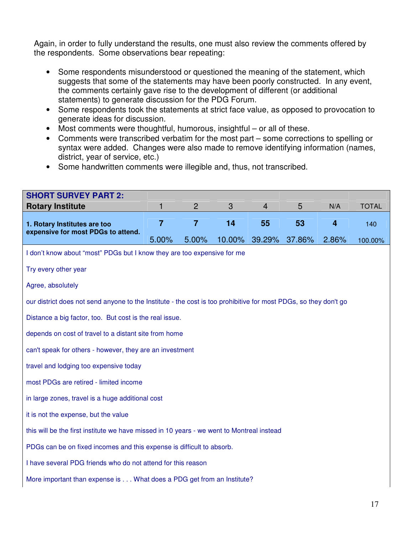Again, in order to fully understand the results, one must also review the comments offered by the respondents. Some observations bear repeating:

- Some respondents misunderstood or questioned the meaning of the statement, which suggests that some of the statements may have been poorly constructed. In any event, the comments certainly gave rise to the development of different (or additional statements) to generate discussion for the PDG Forum.
- Some respondents took the statements at strict face value, as opposed to provocation to generate ideas for discussion.
- Most comments were thoughtful, humorous, insightful or all of these.
- Comments were transcribed verbatim for the most part some corrections to spelling or syntax were added. Changes were also made to remove identifying information (names, district, year of service, etc.)
- Some handwritten comments were illegible and, thus, not transcribed.

| <b>SHORT SURVEY PART 2:</b>                                                                                      |                |                |        |                |        |                         |              |
|------------------------------------------------------------------------------------------------------------------|----------------|----------------|--------|----------------|--------|-------------------------|--------------|
| <b>Rotary Institute</b>                                                                                          | 1              | $\overline{2}$ | 3      | $\overline{4}$ | 5      | N/A                     | <b>TOTAL</b> |
| 1. Rotary Institutes are too                                                                                     | $\overline{7}$ | $\overline{7}$ | 14     | 55             | 53     | $\overline{\mathbf{4}}$ | 140          |
| expensive for most PDGs to attend.                                                                               | 5.00%          | 5.00%          | 10.00% | 39.29%         | 37.86% | 2.86%                   | 100.00%      |
| I don't know about "most" PDGs but I know they are too expensive for me                                          |                |                |        |                |        |                         |              |
| Try every other year                                                                                             |                |                |        |                |        |                         |              |
| Agree, absolutely                                                                                                |                |                |        |                |        |                         |              |
| our district does not send anyone to the Institute - the cost is too prohibitive for most PDGs, so they don't go |                |                |        |                |        |                         |              |
| Distance a big factor, too. But cost is the real issue.                                                          |                |                |        |                |        |                         |              |
| depends on cost of travel to a distant site from home                                                            |                |                |        |                |        |                         |              |
| can't speak for others - however, they are an investment                                                         |                |                |        |                |        |                         |              |
| travel and lodging too expensive today                                                                           |                |                |        |                |        |                         |              |
| most PDGs are retired - limited income                                                                           |                |                |        |                |        |                         |              |
| in large zones, travel is a huge additional cost                                                                 |                |                |        |                |        |                         |              |
| it is not the expense, but the value                                                                             |                |                |        |                |        |                         |              |
| this will be the first institute we have missed in 10 years - we went to Montreal instead                        |                |                |        |                |        |                         |              |
| PDGs can be on fixed incomes and this expense is difficult to absorb.                                            |                |                |        |                |        |                         |              |
| I have several PDG friends who do not attend for this reason                                                     |                |                |        |                |        |                         |              |
| More important than expense is What does a PDG get from an Institute?                                            |                |                |        |                |        |                         |              |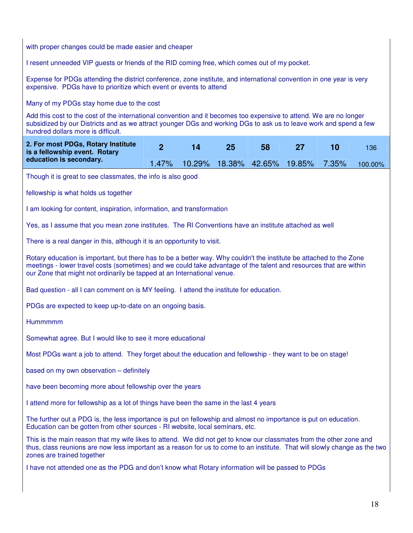with proper changes could be made easier and cheaper I resent unneeded VIP guests or friends of the RID coming free, which comes out of my pocket. Expense for PDGs attending the district conference, zone institute, and international convention in one year is very expensive. PDGs have to prioritize which event or events to attend Many of my PDGs stay home due to the cost Add this cost to the cost of the international convention and it becomes too expensive to attend. We are no longer subsidized by our Districts and as we attract younger DGs and working DGs to ask us to leave work and spend a few hundred dollars more is difficult. **2 14 25 58 27 10** 136 **2. For most PDGs, Rotary Institute is a fellowship event. Rotary education is secondary. 1.47% 10.29% 18.38% 42.65% 19.85% 7.35% 100.00%** Though it is great to see classmates, the info is also good fellowship is what holds us together I am looking for content, inspiration, information, and transformation Yes, as I assume that you mean zone institutes. The RI Conventions have an institute attached as well There is a real danger in this, although it is an opportunity to visit. Rotary education is important, but there has to be a better way. Why couldn't the institute be attached to the Zone meetings - lower travel costs (sometimes) and we could take advantage of the talent and resources that are within our Zone that might not ordinarily be tapped at an International venue. Bad question - all I can comment on is MY feeling. I attend the institute for education. PDGs are expected to keep up-to-date on an ongoing basis. **Hummmmm** Somewhat agree. But I would like to see it more educational Most PDGs want a job to attend. They forget about the education and fellowship - they want to be on stage! based on my own observation – definitely have been becoming more about fellowship over the years I attend more for fellowship as a lot of things have been the same in the last 4 years The further out a PDG is, the less importance is put on fellowship and almost no importance is put on education. Education can be gotten from other sources - RI website, local seminars, etc. This is the main reason that my wife likes to attend. We did not get to know our classmates from the other zone and thus, class reunions are now less important as a reason for us to come to an institute. That will slowly change as the two zones are trained together I have not attended one as the PDG and don't know what Rotary information will be passed to PDGs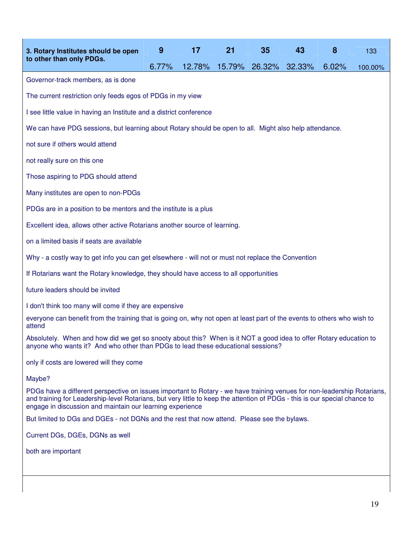| 3. Rotary Institutes should be open                                                                                                                                                                                                                                                                                | 9     | 17     | 21     | 35     | 43     | 8     | 133     |
|--------------------------------------------------------------------------------------------------------------------------------------------------------------------------------------------------------------------------------------------------------------------------------------------------------------------|-------|--------|--------|--------|--------|-------|---------|
| to other than only PDGs.                                                                                                                                                                                                                                                                                           | 6.77% | 12.78% | 15.79% | 26.32% | 32.33% | 6.02% | 100.00% |
| Governor-track members, as is done                                                                                                                                                                                                                                                                                 |       |        |        |        |        |       |         |
| The current restriction only feeds egos of PDGs in my view                                                                                                                                                                                                                                                         |       |        |        |        |        |       |         |
| I see little value in having an Institute and a district conference                                                                                                                                                                                                                                                |       |        |        |        |        |       |         |
| We can have PDG sessions, but learning about Rotary should be open to all. Might also help attendance.                                                                                                                                                                                                             |       |        |        |        |        |       |         |
| not sure if others would attend                                                                                                                                                                                                                                                                                    |       |        |        |        |        |       |         |
| not really sure on this one                                                                                                                                                                                                                                                                                        |       |        |        |        |        |       |         |
| Those aspiring to PDG should attend                                                                                                                                                                                                                                                                                |       |        |        |        |        |       |         |
| Many institutes are open to non-PDGs                                                                                                                                                                                                                                                                               |       |        |        |        |        |       |         |
| PDGs are in a position to be mentors and the institute is a plus                                                                                                                                                                                                                                                   |       |        |        |        |        |       |         |
| Excellent idea, allows other active Rotarians another source of learning.                                                                                                                                                                                                                                          |       |        |        |        |        |       |         |
| on a limited basis if seats are available                                                                                                                                                                                                                                                                          |       |        |        |        |        |       |         |
| Why - a costly way to get info you can get elsewhere - will not or must not replace the Convention                                                                                                                                                                                                                 |       |        |        |        |        |       |         |
| If Rotarians want the Rotary knowledge, they should have access to all opportunities                                                                                                                                                                                                                               |       |        |        |        |        |       |         |
| future leaders should be invited                                                                                                                                                                                                                                                                                   |       |        |        |        |        |       |         |
| I don't think too many will come if they are expensive                                                                                                                                                                                                                                                             |       |        |        |        |        |       |         |
| everyone can benefit from the training that is going on, why not open at least part of the events to others who wish to<br>attend                                                                                                                                                                                  |       |        |        |        |        |       |         |
| Absolutely. When and how did we get so snooty about this? When is it NOT a good idea to offer Rotary education to<br>anyone who wants it? And who other than PDGs to lead these educational sessions?                                                                                                              |       |        |        |        |        |       |         |
| only if costs are lowered will they come                                                                                                                                                                                                                                                                           |       |        |        |        |        |       |         |
| Maybe?                                                                                                                                                                                                                                                                                                             |       |        |        |        |        |       |         |
| PDGs have a different perspective on issues important to Rotary - we have training venues for non-leadership Rotarians,<br>and training for Leadership-level Rotarians, but very little to keep the attention of PDGs - this is our special chance to<br>engage in discussion and maintain our learning experience |       |        |        |        |        |       |         |
| But limited to DGs and DGEs - not DGNs and the rest that now attend. Please see the bylaws.                                                                                                                                                                                                                        |       |        |        |        |        |       |         |
| Current DGs, DGEs, DGNs as well                                                                                                                                                                                                                                                                                    |       |        |        |        |        |       |         |
| both are important                                                                                                                                                                                                                                                                                                 |       |        |        |        |        |       |         |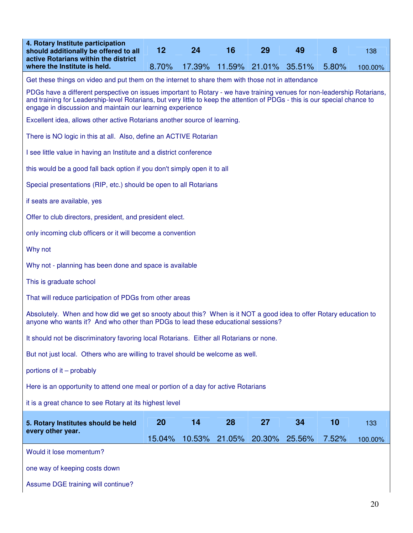| 4. Rotary Institute participation<br>should additionally be offered to all<br>active Rotarians within the district                                                                                                                                                                                                 | 12     | 24     | 16     | 29                   | 49     | 8     | 138     |  |  |  |
|--------------------------------------------------------------------------------------------------------------------------------------------------------------------------------------------------------------------------------------------------------------------------------------------------------------------|--------|--------|--------|----------------------|--------|-------|---------|--|--|--|
| where the Institute is held.                                                                                                                                                                                                                                                                                       | 8.70%  | 17.39% |        | 11.59% 21.01% 35.51% |        | 5.80% | 100.00% |  |  |  |
| Get these things on video and put them on the internet to share them with those not in attendance                                                                                                                                                                                                                  |        |        |        |                      |        |       |         |  |  |  |
| PDGs have a different perspective on issues important to Rotary - we have training venues for non-leadership Rotarians,<br>and training for Leadership-level Rotarians, but very little to keep the attention of PDGs - this is our special chance to<br>engage in discussion and maintain our learning experience |        |        |        |                      |        |       |         |  |  |  |
| Excellent idea, allows other active Rotarians another source of learning.                                                                                                                                                                                                                                          |        |        |        |                      |        |       |         |  |  |  |
| There is NO logic in this at all. Also, define an ACTIVE Rotarian                                                                                                                                                                                                                                                  |        |        |        |                      |        |       |         |  |  |  |
| I see little value in having an Institute and a district conference                                                                                                                                                                                                                                                |        |        |        |                      |        |       |         |  |  |  |
| this would be a good fall back option if you don't simply open it to all                                                                                                                                                                                                                                           |        |        |        |                      |        |       |         |  |  |  |
| Special presentations (RIP, etc.) should be open to all Rotarians                                                                                                                                                                                                                                                  |        |        |        |                      |        |       |         |  |  |  |
| if seats are available, yes                                                                                                                                                                                                                                                                                        |        |        |        |                      |        |       |         |  |  |  |
| Offer to club directors, president, and president elect.                                                                                                                                                                                                                                                           |        |        |        |                      |        |       |         |  |  |  |
| only incoming club officers or it will become a convention                                                                                                                                                                                                                                                         |        |        |        |                      |        |       |         |  |  |  |
| Why not                                                                                                                                                                                                                                                                                                            |        |        |        |                      |        |       |         |  |  |  |
| Why not - planning has been done and space is available                                                                                                                                                                                                                                                            |        |        |        |                      |        |       |         |  |  |  |
| This is graduate school                                                                                                                                                                                                                                                                                            |        |        |        |                      |        |       |         |  |  |  |
| That will reduce participation of PDGs from other areas                                                                                                                                                                                                                                                            |        |        |        |                      |        |       |         |  |  |  |
| Absolutely. When and how did we get so snooty about this? When is it NOT a good idea to offer Rotary education to<br>anyone who wants it? And who other than PDGs to lead these educational sessions?                                                                                                              |        |        |        |                      |        |       |         |  |  |  |
| It should not be discriminatory favoring local Rotarians. Either all Rotarians or none.                                                                                                                                                                                                                            |        |        |        |                      |        |       |         |  |  |  |
| But not just local. Others who are willing to travel should be welcome as well.                                                                                                                                                                                                                                    |        |        |        |                      |        |       |         |  |  |  |
| portions of it – probably                                                                                                                                                                                                                                                                                          |        |        |        |                      |        |       |         |  |  |  |
| Here is an opportunity to attend one meal or portion of a day for active Rotarians                                                                                                                                                                                                                                 |        |        |        |                      |        |       |         |  |  |  |
| it is a great chance to see Rotary at its highest level                                                                                                                                                                                                                                                            |        |        |        |                      |        |       |         |  |  |  |
| 5. Rotary Institutes should be held                                                                                                                                                                                                                                                                                | 20     | 14     | 28     | 27                   | 34     | 10    | 133     |  |  |  |
| every other year.                                                                                                                                                                                                                                                                                                  | 15.04% | 10.53% | 21.05% | 20.30%               | 25.56% | 7.52% | 100.00% |  |  |  |
| Would it lose momentum?                                                                                                                                                                                                                                                                                            |        |        |        |                      |        |       |         |  |  |  |
| one way of keeping costs down                                                                                                                                                                                                                                                                                      |        |        |        |                      |        |       |         |  |  |  |
| Assume DGE training will continue?                                                                                                                                                                                                                                                                                 |        |        |        |                      |        |       |         |  |  |  |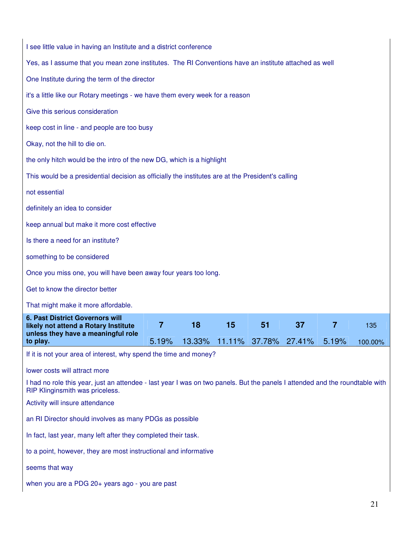| I see little value in having an Institute and a district conference                                                                                             |       |        |    |                      |    |       |         |
|-----------------------------------------------------------------------------------------------------------------------------------------------------------------|-------|--------|----|----------------------|----|-------|---------|
| Yes, as I assume that you mean zone institutes. The RI Conventions have an institute attached as well                                                           |       |        |    |                      |    |       |         |
| One Institute during the term of the director                                                                                                                   |       |        |    |                      |    |       |         |
| it's a little like our Rotary meetings - we have them every week for a reason                                                                                   |       |        |    |                      |    |       |         |
| Give this serious consideration                                                                                                                                 |       |        |    |                      |    |       |         |
| keep cost in line - and people are too busy                                                                                                                     |       |        |    |                      |    |       |         |
| Okay, not the hill to die on.                                                                                                                                   |       |        |    |                      |    |       |         |
| the only hitch would be the intro of the new DG, which is a highlight                                                                                           |       |        |    |                      |    |       |         |
| This would be a presidential decision as officially the institutes are at the President's calling                                                               |       |        |    |                      |    |       |         |
| not essential                                                                                                                                                   |       |        |    |                      |    |       |         |
| definitely an idea to consider                                                                                                                                  |       |        |    |                      |    |       |         |
| keep annual but make it more cost effective                                                                                                                     |       |        |    |                      |    |       |         |
| Is there a need for an institute?                                                                                                                               |       |        |    |                      |    |       |         |
| something to be considered                                                                                                                                      |       |        |    |                      |    |       |         |
| Once you miss one, you will have been away four years too long.                                                                                                 |       |        |    |                      |    |       |         |
| Get to know the director better                                                                                                                                 |       |        |    |                      |    |       |         |
| That might make it more affordable.                                                                                                                             |       |        |    |                      |    |       |         |
| <b>6. Past District Governors will</b><br>likely not attend a Rotary Institute                                                                                  | 7     | 18     | 15 | 51                   | 37 | 7     | 135     |
| unless they have a meaningful role<br>to play.                                                                                                                  | 5.19% | 13.33% |    | 11.11% 37.78% 27.41% |    | 5.19% | 100.00% |
| If it is not your area of interest, why spend the time and money?                                                                                               |       |        |    |                      |    |       |         |
| lower costs will attract more                                                                                                                                   |       |        |    |                      |    |       |         |
| I had no role this year, just an attendee - last year I was on two panels. But the panels I attended and the roundtable with<br>RIP Klinginsmith was priceless. |       |        |    |                      |    |       |         |
| Activity will insure attendance                                                                                                                                 |       |        |    |                      |    |       |         |
| an RI Director should involves as many PDGs as possible                                                                                                         |       |        |    |                      |    |       |         |
| In fact, last year, many left after they completed their task.                                                                                                  |       |        |    |                      |    |       |         |
| to a point, however, they are most instructional and informative                                                                                                |       |        |    |                      |    |       |         |
| seems that way                                                                                                                                                  |       |        |    |                      |    |       |         |
| when you are a PDG 20+ years ago - you are past                                                                                                                 |       |        |    |                      |    |       |         |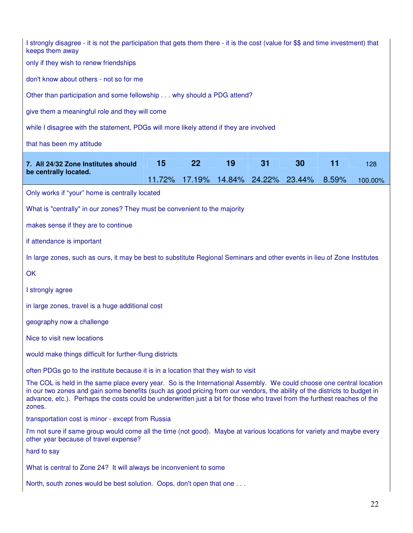| I strongly disagree - it is not the participation that gets them there - it is the cost (value for \$\$ and time investment) that<br>keeps them away                                                                                                                                                                                                                                    |        |        |        |        |        |       |         |
|-----------------------------------------------------------------------------------------------------------------------------------------------------------------------------------------------------------------------------------------------------------------------------------------------------------------------------------------------------------------------------------------|--------|--------|--------|--------|--------|-------|---------|
| only if they wish to renew friendships                                                                                                                                                                                                                                                                                                                                                  |        |        |        |        |        |       |         |
| don't know about others - not so for me                                                                                                                                                                                                                                                                                                                                                 |        |        |        |        |        |       |         |
| Other than participation and some fellowship why should a PDG attend?                                                                                                                                                                                                                                                                                                                   |        |        |        |        |        |       |         |
| give them a meaningful role and they will come                                                                                                                                                                                                                                                                                                                                          |        |        |        |        |        |       |         |
| while I disagree with the statement, PDGs will more likely attend if they are involved                                                                                                                                                                                                                                                                                                  |        |        |        |        |        |       |         |
| that has been my attitude                                                                                                                                                                                                                                                                                                                                                               |        |        |        |        |        |       |         |
| 7. All 24/32 Zone Institutes should                                                                                                                                                                                                                                                                                                                                                     | 15     | 22     | 19     | 31     | 30     | 11    | 128     |
| be centrally located.                                                                                                                                                                                                                                                                                                                                                                   | 11.72% | 17.19% | 14.84% | 24.22% | 23.44% | 8.59% | 100.00% |
| Only works if "your" home is centrally located                                                                                                                                                                                                                                                                                                                                          |        |        |        |        |        |       |         |
| What is "centrally" in our zones? They must be convenient to the majority                                                                                                                                                                                                                                                                                                               |        |        |        |        |        |       |         |
| makes sense if they are to continue                                                                                                                                                                                                                                                                                                                                                     |        |        |        |        |        |       |         |
| if attendance is important                                                                                                                                                                                                                                                                                                                                                              |        |        |        |        |        |       |         |
| In large zones, such as ours, it may be best to substitute Regional Seminars and other events in lieu of Zone Institutes                                                                                                                                                                                                                                                                |        |        |        |        |        |       |         |
| OK                                                                                                                                                                                                                                                                                                                                                                                      |        |        |        |        |        |       |         |
| I strongly agree                                                                                                                                                                                                                                                                                                                                                                        |        |        |        |        |        |       |         |
| in large zones, travel is a huge additional cost                                                                                                                                                                                                                                                                                                                                        |        |        |        |        |        |       |         |
| geography now a challenge                                                                                                                                                                                                                                                                                                                                                               |        |        |        |        |        |       |         |
| Nice to visit new locations                                                                                                                                                                                                                                                                                                                                                             |        |        |        |        |        |       |         |
| would make things difficult for further-flung districts                                                                                                                                                                                                                                                                                                                                 |        |        |        |        |        |       |         |
| often PDGs go to the institute because it is in a location that they wish to visit                                                                                                                                                                                                                                                                                                      |        |        |        |        |        |       |         |
| The COL is held in the same place every year. So is the International Assembly. We could choose one central location<br>in our two zones and gain some benefits (such as good pricing from our vendors, the ability of the districts to budget in<br>advance, etc.). Perhaps the costs could be underwritten just a bit for those who travel from the furthest reaches of the<br>zones. |        |        |        |        |        |       |         |
| transportation cost is minor - except from Russia                                                                                                                                                                                                                                                                                                                                       |        |        |        |        |        |       |         |
| I'm not sure if same group would come all the time (not good). Maybe at various locations for variety and maybe every<br>other year because of travel expense?                                                                                                                                                                                                                          |        |        |        |        |        |       |         |
| hard to say                                                                                                                                                                                                                                                                                                                                                                             |        |        |        |        |        |       |         |
| What is central to Zone 24? It will always be inconvenient to some                                                                                                                                                                                                                                                                                                                      |        |        |        |        |        |       |         |
| North, south zones would be best solution. Oops, don't open that one                                                                                                                                                                                                                                                                                                                    |        |        |        |        |        |       |         |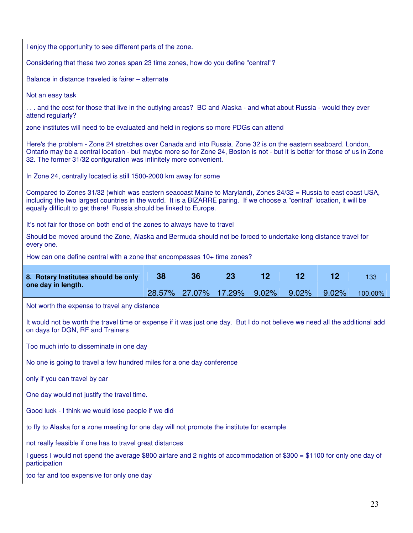| I enjoy the opportunity to see different parts of the zone.                                                                                                                                                                                                                                                          |  |                      |  |       |       |       |         |  |  |  |
|----------------------------------------------------------------------------------------------------------------------------------------------------------------------------------------------------------------------------------------------------------------------------------------------------------------------|--|----------------------|--|-------|-------|-------|---------|--|--|--|
| Considering that these two zones span 23 time zones, how do you define "central"?                                                                                                                                                                                                                                    |  |                      |  |       |       |       |         |  |  |  |
| Balance in distance traveled is fairer - alternate                                                                                                                                                                                                                                                                   |  |                      |  |       |       |       |         |  |  |  |
| Not an easy task                                                                                                                                                                                                                                                                                                     |  |                      |  |       |       |       |         |  |  |  |
| and the cost for those that live in the outlying areas? BC and Alaska - and what about Russia - would they ever<br>attend regularly?                                                                                                                                                                                 |  |                      |  |       |       |       |         |  |  |  |
| zone institutes will need to be evaluated and held in regions so more PDGs can attend                                                                                                                                                                                                                                |  |                      |  |       |       |       |         |  |  |  |
| Here's the problem - Zone 24 stretches over Canada and into Russia. Zone 32 is on the eastern seaboard. London,<br>Ontario may be a central location - but maybe more so for Zone 24, Boston is not - but it is better for those of us in Zone<br>32. The former 31/32 configuration was infinitely more convenient. |  |                      |  |       |       |       |         |  |  |  |
| In Zone 24, centrally located is still 1500-2000 km away for some                                                                                                                                                                                                                                                    |  |                      |  |       |       |       |         |  |  |  |
| Compared to Zones 31/32 (which was eastern seacoast Maine to Maryland), Zones 24/32 = Russia to east coast USA,<br>including the two largest countries in the world. It is a BIZARRE paring. If we choose a "central" location, it will be<br>equally difficult to get there! Russia should be linked to Europe.     |  |                      |  |       |       |       |         |  |  |  |
| It's not fair for those on both end of the zones to always have to travel                                                                                                                                                                                                                                            |  |                      |  |       |       |       |         |  |  |  |
| every one.                                                                                                                                                                                                                                                                                                           |  |                      |  |       |       |       |         |  |  |  |
| Should be moved around the Zone, Alaska and Bermuda should not be forced to undertake long distance travel for                                                                                                                                                                                                       |  |                      |  |       |       |       |         |  |  |  |
| How can one define central with a zone that encompasses 10+ time zones?<br>12<br>12<br>12<br>38<br>36<br>23<br>133                                                                                                                                                                                                   |  |                      |  |       |       |       |         |  |  |  |
| 8. Rotary Institutes should be only                                                                                                                                                                                                                                                                                  |  |                      |  |       |       |       |         |  |  |  |
| one day in length.                                                                                                                                                                                                                                                                                                   |  | 28.57% 27.07% 17.29% |  | 9.02% | 9.02% | 9.02% | 100.00% |  |  |  |
| Not worth the expense to travel any distance                                                                                                                                                                                                                                                                         |  |                      |  |       |       |       |         |  |  |  |
| It would not be worth the travel time or expense if it was just one day. But I do not believe we need all the additional add<br>on days for DGN, RF and Trainers                                                                                                                                                     |  |                      |  |       |       |       |         |  |  |  |
| Too much info to disseminate in one day                                                                                                                                                                                                                                                                              |  |                      |  |       |       |       |         |  |  |  |
| No one is going to travel a few hundred miles for a one day conference                                                                                                                                                                                                                                               |  |                      |  |       |       |       |         |  |  |  |
| only if you can travel by car                                                                                                                                                                                                                                                                                        |  |                      |  |       |       |       |         |  |  |  |
| One day would not justify the travel time.                                                                                                                                                                                                                                                                           |  |                      |  |       |       |       |         |  |  |  |
| Good luck - I think we would lose people if we did                                                                                                                                                                                                                                                                   |  |                      |  |       |       |       |         |  |  |  |
| to fly to Alaska for a zone meeting for one day will not promote the institute for example                                                                                                                                                                                                                           |  |                      |  |       |       |       |         |  |  |  |
| not really feasible if one has to travel great distances                                                                                                                                                                                                                                                             |  |                      |  |       |       |       |         |  |  |  |
| I guess I would not spend the average \$800 airfare and 2 nights of accommodation of \$300 = \$1100 for only one day of<br>participation                                                                                                                                                                             |  |                      |  |       |       |       |         |  |  |  |
| too far and too expensive for only one day                                                                                                                                                                                                                                                                           |  |                      |  |       |       |       |         |  |  |  |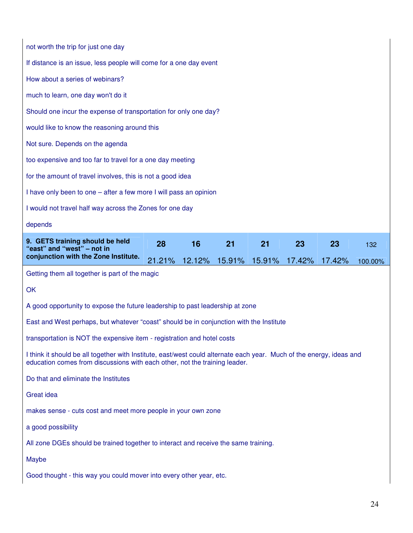| not worth the trip for just one day                                                                                                                                                                |        |        |        |        |        |        |         |  |  |
|----------------------------------------------------------------------------------------------------------------------------------------------------------------------------------------------------|--------|--------|--------|--------|--------|--------|---------|--|--|
| If distance is an issue, less people will come for a one day event                                                                                                                                 |        |        |        |        |        |        |         |  |  |
| How about a series of webinars?                                                                                                                                                                    |        |        |        |        |        |        |         |  |  |
| much to learn, one day won't do it                                                                                                                                                                 |        |        |        |        |        |        |         |  |  |
| Should one incur the expense of transportation for only one day?                                                                                                                                   |        |        |        |        |        |        |         |  |  |
| would like to know the reasoning around this                                                                                                                                                       |        |        |        |        |        |        |         |  |  |
| Not sure. Depends on the agenda                                                                                                                                                                    |        |        |        |        |        |        |         |  |  |
| too expensive and too far to travel for a one day meeting                                                                                                                                          |        |        |        |        |        |        |         |  |  |
| for the amount of travel involves, this is not a good idea                                                                                                                                         |        |        |        |        |        |        |         |  |  |
| I have only been to one – after a few more I will pass an opinion                                                                                                                                  |        |        |        |        |        |        |         |  |  |
| I would not travel half way across the Zones for one day                                                                                                                                           |        |        |        |        |        |        |         |  |  |
| depends                                                                                                                                                                                            |        |        |        |        |        |        |         |  |  |
| 9. GETS training should be held                                                                                                                                                                    | 28     | 16     | 21     | 21     | 23     | 23     | 132     |  |  |
| "east" and "west" - not in                                                                                                                                                                         |        |        |        |        |        |        |         |  |  |
| conjunction with the Zone Institute.                                                                                                                                                               | 21.21% | 12.12% | 15.91% | 15.91% | 17.42% | 17.42% | 100.00% |  |  |
| Getting them all together is part of the magic                                                                                                                                                     |        |        |        |        |        |        |         |  |  |
| OK                                                                                                                                                                                                 |        |        |        |        |        |        |         |  |  |
| A good opportunity to expose the future leadership to past leadership at zone                                                                                                                      |        |        |        |        |        |        |         |  |  |
| East and West perhaps, but whatever "coast" should be in conjunction with the Institute                                                                                                            |        |        |        |        |        |        |         |  |  |
| transportation is NOT the expensive item - registration and hotel costs                                                                                                                            |        |        |        |        |        |        |         |  |  |
| I think it should be all together with Institute, east/west could alternate each year. Much of the energy, ideas and<br>education comes from discussions with each other, not the training leader. |        |        |        |        |        |        |         |  |  |
| Do that and eliminate the Institutes                                                                                                                                                               |        |        |        |        |        |        |         |  |  |
| <b>Great idea</b>                                                                                                                                                                                  |        |        |        |        |        |        |         |  |  |
| makes sense - cuts cost and meet more people in your own zone                                                                                                                                      |        |        |        |        |        |        |         |  |  |
| a good possibility                                                                                                                                                                                 |        |        |        |        |        |        |         |  |  |
| All zone DGEs should be trained together to interact and receive the same training.                                                                                                                |        |        |        |        |        |        |         |  |  |
| Maybe                                                                                                                                                                                              |        |        |        |        |        |        |         |  |  |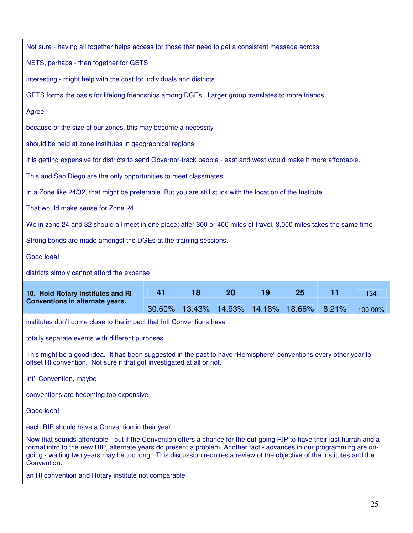| Not sure - having all together helps access for those that need to get a consistent message across                                                                                                                                                                                                                                                                                          |        |        |        |        |        |       |         |  |  |  |
|---------------------------------------------------------------------------------------------------------------------------------------------------------------------------------------------------------------------------------------------------------------------------------------------------------------------------------------------------------------------------------------------|--------|--------|--------|--------|--------|-------|---------|--|--|--|
| NETS, perhaps - then together for GETS                                                                                                                                                                                                                                                                                                                                                      |        |        |        |        |        |       |         |  |  |  |
| interesting - might help with the cost for individuals and districts                                                                                                                                                                                                                                                                                                                        |        |        |        |        |        |       |         |  |  |  |
| GETS forms the basis for lifelong friendships among DGEs. Larger group translates to more friends.                                                                                                                                                                                                                                                                                          |        |        |        |        |        |       |         |  |  |  |
| Agree                                                                                                                                                                                                                                                                                                                                                                                       |        |        |        |        |        |       |         |  |  |  |
| because of the size of our zones, this may become a necessity                                                                                                                                                                                                                                                                                                                               |        |        |        |        |        |       |         |  |  |  |
| should be held at zone institutes in geographical regions                                                                                                                                                                                                                                                                                                                                   |        |        |        |        |        |       |         |  |  |  |
| It is getting expensive for districts to send Governor-track people - east and west would make it more affordable.                                                                                                                                                                                                                                                                          |        |        |        |        |        |       |         |  |  |  |
| This and San Diego are the only opportunities to meet classmates                                                                                                                                                                                                                                                                                                                            |        |        |        |        |        |       |         |  |  |  |
| In a Zone like 24/32, that might be preferable. But you are still stuck with the location of the Institute                                                                                                                                                                                                                                                                                  |        |        |        |        |        |       |         |  |  |  |
| That would make sense for Zone 24                                                                                                                                                                                                                                                                                                                                                           |        |        |        |        |        |       |         |  |  |  |
| We in zone 24 and 32 should all meet in one place; after 300 or 400 miles of travel, 3,000 miles takes the same time                                                                                                                                                                                                                                                                        |        |        |        |        |        |       |         |  |  |  |
| Strong bonds are made amongst the DGEs at the training sessions.                                                                                                                                                                                                                                                                                                                            |        |        |        |        |        |       |         |  |  |  |
| Good idea!                                                                                                                                                                                                                                                                                                                                                                                  |        |        |        |        |        |       |         |  |  |  |
| districts simply cannot afford the expense                                                                                                                                                                                                                                                                                                                                                  |        |        |        |        |        |       |         |  |  |  |
|                                                                                                                                                                                                                                                                                                                                                                                             |        |        |        |        |        |       |         |  |  |  |
| 10. Hold Rotary Institutes and RI                                                                                                                                                                                                                                                                                                                                                           | 41     | 18     | 20     | 19     | 25     | 11    | 134     |  |  |  |
| Conventions in alternate years.                                                                                                                                                                                                                                                                                                                                                             | 30.60% | 13.43% | 14.93% | 14.18% | 18.66% | 8.21% | 100.00% |  |  |  |
| institutes don't come close to the impact that Intl Conventions have                                                                                                                                                                                                                                                                                                                        |        |        |        |        |        |       |         |  |  |  |
| totally separate events with different purposes                                                                                                                                                                                                                                                                                                                                             |        |        |        |        |        |       |         |  |  |  |
| This might be a good idea. It has been suggested in the past to have "Hemisphere" conventions every other year to<br>offset RI convention. Not sure if that got investigated at all or not.                                                                                                                                                                                                 |        |        |        |        |        |       |         |  |  |  |
| Int'l Convention, maybe                                                                                                                                                                                                                                                                                                                                                                     |        |        |        |        |        |       |         |  |  |  |
| conventions are becoming too expensive                                                                                                                                                                                                                                                                                                                                                      |        |        |        |        |        |       |         |  |  |  |
| Good idea!                                                                                                                                                                                                                                                                                                                                                                                  |        |        |        |        |        |       |         |  |  |  |
| each RIP should have a Convention in their year                                                                                                                                                                                                                                                                                                                                             |        |        |        |        |        |       |         |  |  |  |
| Now that sounds affordable - but if the Convention offers a chance for the out-going RIP to have their last hurrah and a<br>formal intro to the new RIP, alternate years do present a problem. Another fact - advances in our programming are on-<br>going - waiting two years may be too long. This discussion requires a review of the objective of the Institutes and the<br>Convention. |        |        |        |        |        |       |         |  |  |  |

 $\mathsf{l}$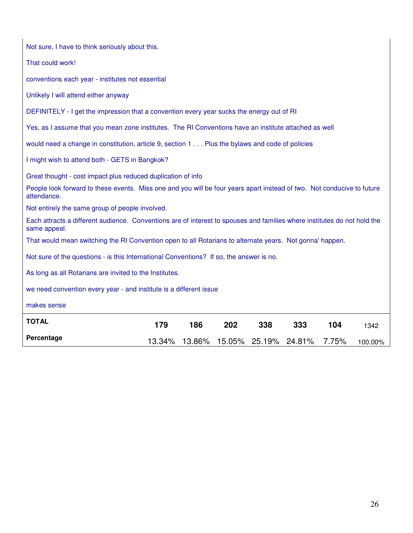| Not sure, I have to think seriously about this.                                                                                          |        |     |                             |     |     |       |         |
|------------------------------------------------------------------------------------------------------------------------------------------|--------|-----|-----------------------------|-----|-----|-------|---------|
| That could work!                                                                                                                         |        |     |                             |     |     |       |         |
| conventions each year - institutes not essential                                                                                         |        |     |                             |     |     |       |         |
| Unlikely I will attend either anyway                                                                                                     |        |     |                             |     |     |       |         |
| DEFINITELY - I get the impression that a convention every year sucks the energy out of RI                                                |        |     |                             |     |     |       |         |
| Yes, as I assume that you mean zone institutes. The RI Conventions have an institute attached as well                                    |        |     |                             |     |     |       |         |
| would need a change in constitution, article 9, section 1 Plus the bylaws and code of policies                                           |        |     |                             |     |     |       |         |
| I might wish to attend both - GETS in Bangkok?                                                                                           |        |     |                             |     |     |       |         |
| Great thought - cost impact plus reduced duplication of info                                                                             |        |     |                             |     |     |       |         |
| People look forward to these events. Miss one and you will be four years apart instead of two. Not conducive to future<br>attendance.    |        |     |                             |     |     |       |         |
| Not entirely the same group of people involved.                                                                                          |        |     |                             |     |     |       |         |
| Each attracts a different audience. Conventions are of interest to spouses and families where institutes do not hold the<br>same appeal. |        |     |                             |     |     |       |         |
| That would mean switching the RI Convention open to all Rotarians to alternate years. Not gonna' happen.                                 |        |     |                             |     |     |       |         |
| Not sure of the questions - is this International Conventions? If so, the answer is no.                                                  |        |     |                             |     |     |       |         |
| As long as all Rotarians are invited to the Institutes.                                                                                  |        |     |                             |     |     |       |         |
| we need convention every year - and institute is a different issue                                                                       |        |     |                             |     |     |       |         |
| makes sense                                                                                                                              |        |     |                             |     |     |       |         |
| <b>TOTAL</b>                                                                                                                             | 179    | 186 | 202                         | 338 | 333 | 104   | 1342    |
| Percentage                                                                                                                               | 13.34% |     | 13.86% 15.05% 25.19% 24.81% |     |     | 7.75% | 100.00% |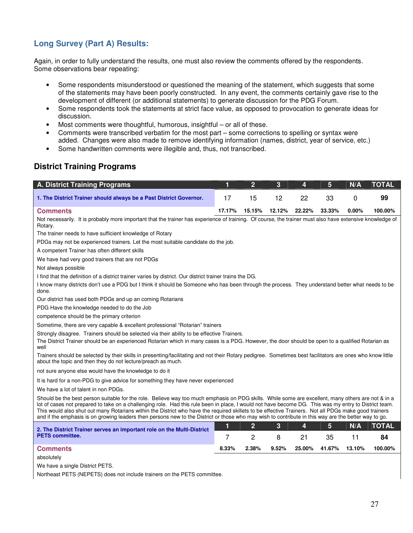# **Long Survey (Part A) Results:**

Again, in order to fully understand the results, one must also review the comments offered by the respondents. Some observations bear repeating:

- Some respondents misunderstood or questioned the meaning of the statement, which suggests that some of the statements may have been poorly constructed. In any event, the comments certainly gave rise to the development of different (or additional statements) to generate discussion for the PDG Forum.
- Some respondents took the statements at strict face value, as opposed to provocation to generate ideas for discussion.
- Most comments were thoughtful, humorous, insightful or all of these.
- Comments were transcribed verbatim for the most part some corrections to spelling or syntax were added. Changes were also made to remove identifying information (names, district, year of service, etc.)
- Some handwritten comments were illegible and, thus, not transcribed.

# **District Training Programs**

| <b>A. District Training Programs</b>                                                                                                                                                                                                                                                                                                                                                                                                                                                                                                                                                                                        | 1      | $\overline{2}$ | 3      | 4      | 5      | N/A    | <b>TOTAL</b> |
|-----------------------------------------------------------------------------------------------------------------------------------------------------------------------------------------------------------------------------------------------------------------------------------------------------------------------------------------------------------------------------------------------------------------------------------------------------------------------------------------------------------------------------------------------------------------------------------------------------------------------------|--------|----------------|--------|--------|--------|--------|--------------|
| 1. The District Trainer should always be a Past District Governor.                                                                                                                                                                                                                                                                                                                                                                                                                                                                                                                                                          | 17     | 15             | 12     | 22     | 33     | 0      | 99           |
|                                                                                                                                                                                                                                                                                                                                                                                                                                                                                                                                                                                                                             |        |                |        |        |        |        |              |
| <b>Comments</b>                                                                                                                                                                                                                                                                                                                                                                                                                                                                                                                                                                                                             | 17.17% | 15.15%         | 12.12% | 22.22% | 33.33% | 0.00%  | 100.00%      |
| Not necessarily. It is probably more important that the trainer has experience of training. Of course, the trainer must also have extensive knowledge of<br>Rotary.                                                                                                                                                                                                                                                                                                                                                                                                                                                         |        |                |        |        |        |        |              |
| The trainer needs to have sufficient knowledge of Rotary                                                                                                                                                                                                                                                                                                                                                                                                                                                                                                                                                                    |        |                |        |        |        |        |              |
| PDGs may not be experienced trainers. Let the most suitable candidate do the job.                                                                                                                                                                                                                                                                                                                                                                                                                                                                                                                                           |        |                |        |        |        |        |              |
| A competent Trainer has often different skills                                                                                                                                                                                                                                                                                                                                                                                                                                                                                                                                                                              |        |                |        |        |        |        |              |
| We have had very good trainers that are not PDGs                                                                                                                                                                                                                                                                                                                                                                                                                                                                                                                                                                            |        |                |        |        |        |        |              |
| Not always possible                                                                                                                                                                                                                                                                                                                                                                                                                                                                                                                                                                                                         |        |                |        |        |        |        |              |
| I find that the definition of a district trainer varies by district. Our district trainer trains the DG.                                                                                                                                                                                                                                                                                                                                                                                                                                                                                                                    |        |                |        |        |        |        |              |
| I know many districts don't use a PDG but I think it should be Someone who has been through the process. They understand better what needs to be<br>done.                                                                                                                                                                                                                                                                                                                                                                                                                                                                   |        |                |        |        |        |        |              |
| Our district has used both PDGs and up an coming Rotarians                                                                                                                                                                                                                                                                                                                                                                                                                                                                                                                                                                  |        |                |        |        |        |        |              |
| PDG Have the knowledge needed to do the Job                                                                                                                                                                                                                                                                                                                                                                                                                                                                                                                                                                                 |        |                |        |        |        |        |              |
| competence should be the primary criterion                                                                                                                                                                                                                                                                                                                                                                                                                                                                                                                                                                                  |        |                |        |        |        |        |              |
| Sometime, there are very capable & excellent professional "Rotarian" trainers                                                                                                                                                                                                                                                                                                                                                                                                                                                                                                                                               |        |                |        |        |        |        |              |
| Strongly disagree. Trainers should be selected via their ability to be effective Trainers.<br>The District Trainer should be an experienced Rotarian which in many cases is a PDG. However, the door should be open to a qualified Rotarian as<br>well                                                                                                                                                                                                                                                                                                                                                                      |        |                |        |        |        |        |              |
| Trainers should be selected by their skills in presenting/facilitating and not their Rotary pedigree. Sometimes best facilitators are ones who know little<br>about the topic and then they do not lecture/preach as much.                                                                                                                                                                                                                                                                                                                                                                                                  |        |                |        |        |        |        |              |
| not sure anyone else would have the knowledge to do it                                                                                                                                                                                                                                                                                                                                                                                                                                                                                                                                                                      |        |                |        |        |        |        |              |
| It is hard for a non-PDG to give advice for something they have never experienced                                                                                                                                                                                                                                                                                                                                                                                                                                                                                                                                           |        |                |        |        |        |        |              |
| We have a lot of talent in non PDGs.                                                                                                                                                                                                                                                                                                                                                                                                                                                                                                                                                                                        |        |                |        |        |        |        |              |
| Should be the best person suitable for the role. Believe way too much emphasis on PDG skills. While some are excellent, many others are not & in a<br>lot of cases not prepared to take on a challenging role. Had this rule been in place, I would not have become DG. This was my entry to District team.<br>This would also shut out many Rotarians within the District who have the required skillets to be effective Trainers. Not all PDGs make good trainers<br>and if the emphasis is on growing leaders then persons new to the District or those who may wish to contribute in this way are the better way to go. |        |                |        |        |        |        |              |
| 2. The District Trainer serves an important role on the Multi-District                                                                                                                                                                                                                                                                                                                                                                                                                                                                                                                                                      | 1      | $\overline{2}$ | 3      | 4      | 5      | N/A    | <b>TOTAL</b> |
| <b>PETS</b> committee.                                                                                                                                                                                                                                                                                                                                                                                                                                                                                                                                                                                                      | 7      | 2              | 8      | 21     | 35     | 11     | 84           |
| <b>Comments</b>                                                                                                                                                                                                                                                                                                                                                                                                                                                                                                                                                                                                             | 8.33%  | 2.38%          | 9.52%  | 25.00% | 41.67% | 13.10% | 100.00%      |
| absolutely                                                                                                                                                                                                                                                                                                                                                                                                                                                                                                                                                                                                                  |        |                |        |        |        |        |              |
|                                                                                                                                                                                                                                                                                                                                                                                                                                                                                                                                                                                                                             |        |                |        |        |        |        |              |

We have a single District PETS.

Northeast PETS (NEPETS) does not include trainers on the PETS committee.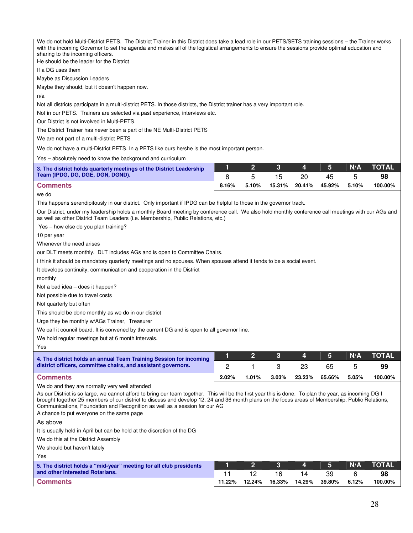We do not hold Multi-District PETS. The District Trainer in this District does take a lead role in our PETS/SETS training sessions – the Trainer works with the incoming Governor to set the agenda and makes all of the logistical arrangements to ensure the sessions provide optimal education and sharing to the incoming officers.

He should be the leader for the District

If a DG uses them

Maybe as Discussion Leaders

Maybe they should, but it doesn't happen now.

n/a

Not all districts participate in a multi-district PETS. In those districts, the District trainer has a very important role.

Not in our PETS. Trainers are selected via past experience, interviews etc.

Our District is not involved in Multi-PETS.

The District Trainer has never been a part of the NE Multi-District PETS

We are not part of a multi-district PETS

We do not have a multi-District PETS. In a PETS like ours he/she is the most important person.

Yes – absolutely need to know the background and curriculum

| 3. The district holds quarterly meetings of the District Leadership |          |       | $2 \parallel 3$ | $\begin{array}{ c c c c c } \hline \text{4} & \text{5} \end{array}$ |                            | N/A | <b>TOTAL</b> |
|---------------------------------------------------------------------|----------|-------|-----------------|---------------------------------------------------------------------|----------------------------|-----|--------------|
| Team (IPDG, DG, DGE, DGN, DGND).                                    |          |       |                 | 20                                                                  |                            |     | 98           |
| <b>Comments</b>                                                     | $8.16\%$ | 5.10% |                 |                                                                     | 15.31% 20.41% 45.92% 5.10% |     | 100.00%      |

#### we do

This happens serendipitously in our district. Only important if IPDG can be helpful to those in the governor track.

Our District, under my leadership holds a monthly Board meeting by conference call. We also hold monthly conference call meetings with our AGs and as well as other District Team Leaders (i.e. Membership, Public Relations, etc.)

Yes – how else do you plan training?

10 per year

Whenever the need arises

our DLT meets monthly. DLT includes AGs and is open to Committee Chairs.

I think it should be mandatory quarterly meetings and no spouses. When spouses attend it tends to be a social event.

It develops continuity, communication and cooperation in the District

monthly

Not a bad idea – does it happen?

Not possible due to travel costs

Not quarterly but often

This should be done monthly as we do in our district

Urge they be monthly w/AGs Trainer, Treasurer

We call it council board. It is convened by the current DG and is open to all governor line.

We hold regular meetings but at 6 month intervals.

Yes

| 4. The district holds an annual Team Training Session for incoming |       |       |          | $\begin{array}{ c c c c c c }\hline \quad & \textbf{3} & \textbf{4} & \textbf{5} \ \hline \end{array}$ |               | N/A   | $\blacksquare$ TOTAL |
|--------------------------------------------------------------------|-------|-------|----------|--------------------------------------------------------------------------------------------------------|---------------|-------|----------------------|
| district officers, committee chairs, and assistant governors.      |       |       |          |                                                                                                        |               |       | 99                   |
| ∣ Comments                                                         | 2.02% | 1.01% | $3.03\%$ |                                                                                                        | 23.23% 65.66% | 5.05% | 100.00%              |

We do and they are normally very well attended

As our District is so large, we cannot afford to bring our team together. This will be the first year this is done. To plan the year, as incoming DG I brought together 25 members of our district to discuss and develop 12, 24 and 36 month plans on the focus areas of Membership, Public Relations, Communications, Foundation and Recognition as well as a session for our AG

A chance to put everyone on the same page

As above

It is usually held in April but can be held at the discretion of the DG

We do this at the District Assembly

We should but haven't lately

Yes

| 5. The district holds a "mid-year" meeting for all club presidents |        |        |        | $\overline{\phantom{a}}$ and $\overline{\phantom{a}}$ and $\overline{\phantom{a}}$ |        | N/A   | <b>TOTAL</b> |
|--------------------------------------------------------------------|--------|--------|--------|------------------------------------------------------------------------------------|--------|-------|--------------|
| and other interested Rotarians.                                    |        |        | 16     |                                                                                    | 39     |       | 98           |
| <b>Comments</b>                                                    | 11.22% | 12.24% | 16.33% | 14.29%                                                                             | 39.80% | 6.12% | 100.00%      |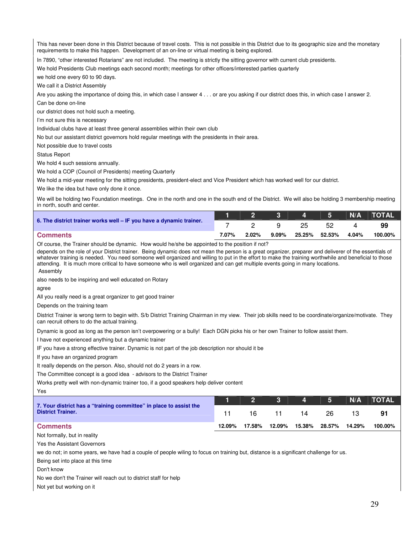This has never been done in this District because of travel costs. This is not possible in this District due to its geographic size and the monetary requirements to make this happen. Development of an on-line or virtual meeting is being explored.

In 7890, "other interested Rotarians" are not included. The meeting is strictly the sitting governor with current club presidents.

We hold Presidents Club meetings each second month; meetings for other officers/interested parties quarterly

we hold one every 60 to 90 days.

We call it a District Assembly

Are you asking the importance of doing this, in which case I answer 4 . . . or are you asking if our district does this, in which case I answer 2.

Can be done on-line

our district does not hold such a meeting.

I'm not sure this is necessary

Individual clubs have at least three general assemblies within their own club

No but our assistant district governors hold regular meetings with the presidents in their area.

Not possible due to travel costs

Status Report

We hold 4 such sessions annually.

We hold a COP (Council of Presidents) meeting Quarterly

We hold a mid-year meeting for the sitting presidents, president-elect and Vice President which has worked well for our district.

We like the idea but have only done it once.

We will be holding two Foundation meetings. One in the north and one in the south end of the District. We will also be holding 3 membership meeting in north, south and center.

|                                                                     |       |          |          |               |     |       | 1   2    3   4   5   N/A   TOTAL' |
|---------------------------------------------------------------------|-------|----------|----------|---------------|-----|-------|-----------------------------------|
| 6. The district trainer works well – IF you have a dynamic trainer. |       |          |          | 25            | 52. |       | 99                                |
| <b>Comments</b>                                                     | 7.07% | $2.02\%$ | $9.09\%$ | 25.25% 52.53% |     | 4.04% | 100.00%                           |

Of course, the Trainer should be dynamic. How would he/she be appointed to the position if not?

depends on the role of your District trainer. Being dynamic does not mean the person is a great organizer, preparer and deliverer of the essentials of whatever training is needed. You need someone well organized and willing to put in the effort to make the training worthwhile and beneficial to those attending. It is much more critical to have someone who is well organized and can get multiple events going in many locations. Assembly

also needs to be inspiring and well educated on Rotary

agree

All you really need is a great organizer to get good trainer

Depends on the training team

District Trainer is wrong term to begin with. S/b District Training Chairman in my view. Their job skills need to be coordinate/organize/motivate. They can recruit others to do the actual training.

Dynamic is good as long as the person isn't overpowering or a bully! Each DGN picks his or her own Trainer to follow assist them.

I have not experienced anything but a dynamic trainer

IF you have a strong effective trainer. Dynamic is not part of the job description nor should it be

If you have an organized program

It really depends on the person. Also, should not do 2 years in a row.

The Committee concept is a good idea - advisors to the District Trainer

Works pretty well with non-dynamic trainer too, if a good speakers help deliver content

Yes

|                                                                                                |        |        | $1 \t2 \t3 \t4 \t5$            |    |     | N/A   TOTAL |
|------------------------------------------------------------------------------------------------|--------|--------|--------------------------------|----|-----|-------------|
| 7. Your district has a "training committee" in place to assist the<br><b>District Trainer.</b> |        |        | 16 11                          | 14 | 26. |             |
| <b>Comments</b>                                                                                | 12.09% | 17.58% | 12.09%  15.38%  28.57%  14.29% |    |     | 100.00%     |

Not formally, but in reality

Yes the Assistant Governors

we do not; in some years, we have had a couple of people wiling to focus on training but, distance is a significant challenge for us.

Being set into place at this time

Don't know

No we don't the Trainer will reach out to district staff for help

Not yet but working on it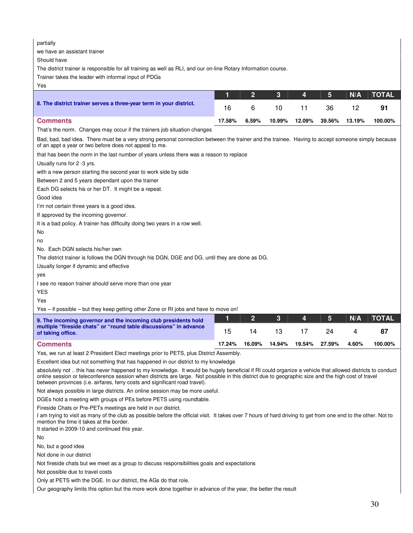| partially<br>we have an assistant trainer<br>Should have<br>The district trainer is responsible for all training as well as RLI, and our on-line Rotary Information course.<br>Trainer takes the leader with informal input of PDGs<br>Yes                                                                                                                                                    |        |                |        |        |        |        |              |
|-----------------------------------------------------------------------------------------------------------------------------------------------------------------------------------------------------------------------------------------------------------------------------------------------------------------------------------------------------------------------------------------------|--------|----------------|--------|--------|--------|--------|--------------|
|                                                                                                                                                                                                                                                                                                                                                                                               | 1      | $\overline{2}$ | 3      | 4      | 5      | N/A    | <b>TOTAL</b> |
| 8. The district trainer serves a three-year term in your district.                                                                                                                                                                                                                                                                                                                            | 16     | 6              | 10     | 11     | 36     | 12     | 91           |
| <b>Comments</b>                                                                                                                                                                                                                                                                                                                                                                               | 17.58% | 6.59%          | 10.99% | 12.09% | 39.56% | 13.19% | 100.00%      |
| That's the norm. Changes may occur if the trainers job situation changes                                                                                                                                                                                                                                                                                                                      |        |                |        |        |        |        |              |
| Bad, bad, bad idea. There must be a very strong personal connection between the trainer and the trainee. Having to accept someone simply because<br>of an appt a year or two before does not appeal to me.                                                                                                                                                                                    |        |                |        |        |        |        |              |
| that has been the norm in the last number of years unless there was a reason to replace                                                                                                                                                                                                                                                                                                       |        |                |        |        |        |        |              |
| Usually runs for 2 -3 yrs.                                                                                                                                                                                                                                                                                                                                                                    |        |                |        |        |        |        |              |
| with a new person starting the second year to work side by side                                                                                                                                                                                                                                                                                                                               |        |                |        |        |        |        |              |
| Between 2 and 5 years dependant upon the trainer                                                                                                                                                                                                                                                                                                                                              |        |                |        |        |        |        |              |
| Each DG selects his or her DT. It might be a repeat.                                                                                                                                                                                                                                                                                                                                          |        |                |        |        |        |        |              |
| Good idea                                                                                                                                                                                                                                                                                                                                                                                     |        |                |        |        |        |        |              |
| I'm not certain three years is a good idea.                                                                                                                                                                                                                                                                                                                                                   |        |                |        |        |        |        |              |
| If approved by the incoming governor.                                                                                                                                                                                                                                                                                                                                                         |        |                |        |        |        |        |              |
| It is a bad policy. A trainer has difficulty doing two years in a row well.<br>No                                                                                                                                                                                                                                                                                                             |        |                |        |        |        |        |              |
| no                                                                                                                                                                                                                                                                                                                                                                                            |        |                |        |        |        |        |              |
| No. Each DGN selects his/her own                                                                                                                                                                                                                                                                                                                                                              |        |                |        |        |        |        |              |
| The district trainer is follows the DGN through his DGN, DGE and DG. until they are done as DG.                                                                                                                                                                                                                                                                                               |        |                |        |        |        |        |              |
| Usually longer if dynamic and effective                                                                                                                                                                                                                                                                                                                                                       |        |                |        |        |        |        |              |
| yes                                                                                                                                                                                                                                                                                                                                                                                           |        |                |        |        |        |        |              |
| I see no reason trainer should serve more than one year                                                                                                                                                                                                                                                                                                                                       |        |                |        |        |        |        |              |
| <b>YES</b>                                                                                                                                                                                                                                                                                                                                                                                    |        |                |        |        |        |        |              |
| Yes                                                                                                                                                                                                                                                                                                                                                                                           |        |                |        |        |        |        |              |
| Yes - if possible - but they keep getting other Zone or RI jobs and have to move on!                                                                                                                                                                                                                                                                                                          |        |                |        |        |        |        |              |
| 9. The incoming governor and the incoming club presidents hold                                                                                                                                                                                                                                                                                                                                | 1      | $\overline{2}$ | 3      | 4      | 5      | N/A    | <b>TOTAL</b> |
| multiple "fireside chats" or "round table discussions" in advance<br>of taking office.                                                                                                                                                                                                                                                                                                        | 15     | 14             | 13     | 17     | 24     | 4      | 87           |
|                                                                                                                                                                                                                                                                                                                                                                                               |        |                |        |        |        |        |              |
| <b>Comments</b>                                                                                                                                                                                                                                                                                                                                                                               | 17.24% | 16.09%         | 14.94% | 19.54% | 27.59% | 4.60%  | 100.00%      |
| Yes, we run at least 2 President Elect meetings prior to PETS, plus District Assembly.                                                                                                                                                                                                                                                                                                        |        |                |        |        |        |        |              |
| Excellent idea but not something that has happened in our district to my knowledge                                                                                                                                                                                                                                                                                                            |        |                |        |        |        |        |              |
| absolutely not  this has never happened to my knowledge. It would be hugely beneficial if RI could organize a vehicle that allowed districts to conduct<br>online session or teleconference session when districts are large. Not possible in this district due to geographic size and the high cost of travel<br>between provinces (i.e. airfares, ferry costs and significant road travel). |        |                |        |        |        |        |              |
| Not always possible in large districts. An online session may be more useful.                                                                                                                                                                                                                                                                                                                 |        |                |        |        |        |        |              |
| DGEs hold a meeting with groups of PEs before PETS using roundtable.                                                                                                                                                                                                                                                                                                                          |        |                |        |        |        |        |              |
| Fireside Chats or Pre-PETs meetings are held in our district.<br>I am trying to visit as many of the club as possible before the official visit. It takes over 7 hours of hard driving to get from one end to the other. Not to<br>mention the time it takes at the border.<br>It started in 2009-10 and continued this year.                                                                 |        |                |        |        |        |        |              |
| No                                                                                                                                                                                                                                                                                                                                                                                            |        |                |        |        |        |        |              |
| No, but a good idea                                                                                                                                                                                                                                                                                                                                                                           |        |                |        |        |        |        |              |
| Not done in our district                                                                                                                                                                                                                                                                                                                                                                      |        |                |        |        |        |        |              |
| Not fireside chats but we meet as a group to discuss responsibilities goals and expectations                                                                                                                                                                                                                                                                                                  |        |                |        |        |        |        |              |
| Not possible due to travel costs                                                                                                                                                                                                                                                                                                                                                              |        |                |        |        |        |        |              |
| Only at PETS with the DGE. In our district, the AGs do that role.<br>Our geography limits this option but the more work done together in advance of the year, the better the result                                                                                                                                                                                                           |        |                |        |        |        |        |              |
|                                                                                                                                                                                                                                                                                                                                                                                               |        |                |        |        |        |        |              |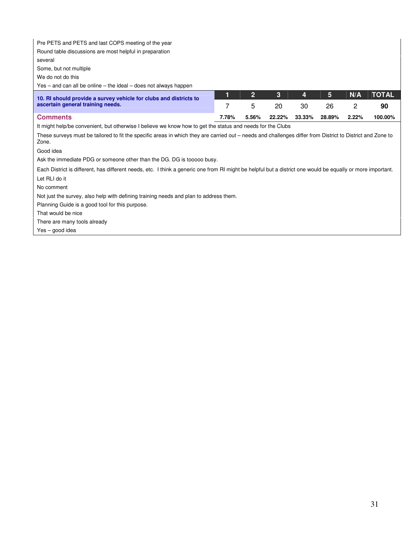| Pre PETS and PETS and last COPS meeting of the year                                                                                                                 |       |                |        |        |        |       |              |
|---------------------------------------------------------------------------------------------------------------------------------------------------------------------|-------|----------------|--------|--------|--------|-------|--------------|
| Round table discussions are most helpful in preparation                                                                                                             |       |                |        |        |        |       |              |
| several                                                                                                                                                             |       |                |        |        |        |       |              |
| Some, but not multiple                                                                                                                                              |       |                |        |        |        |       |              |
| We do not do this                                                                                                                                                   |       |                |        |        |        |       |              |
| $Yes - and can all be online - the ideal - does not always happen$                                                                                                  |       |                |        |        |        |       |              |
| 10. RI should provide a survey vehicle for clubs and districts to                                                                                                   | 1     | $\overline{2}$ | 3      | 4      | 5      | N/A   | <b>TOTAL</b> |
| ascertain general training needs.                                                                                                                                   | 7     | 5              | 20     | 30     | 26     | 2     | 90           |
| <b>Comments</b>                                                                                                                                                     | 7.78% | 5.56%          | 22.22% | 33.33% | 28.89% | 2.22% | 100.00%      |
| It might help/be convenient, but otherwise I believe we know how to get the status and needs for the Clubs                                                          |       |                |        |        |        |       |              |
| These surveys must be tailored to fit the specific areas in which they are carried out – needs and challenges differ from District to District and Zone to<br>Zone. |       |                |        |        |        |       |              |
| Good idea                                                                                                                                                           |       |                |        |        |        |       |              |
| Ask the immediate PDG or someone other than the DG. DG is tooooo busy.                                                                                              |       |                |        |        |        |       |              |
| Each District is different, has different needs, etc. I think a generic one from RI might be helpful but a district one would be equally or more important.         |       |                |        |        |        |       |              |
| Let RLI do it                                                                                                                                                       |       |                |        |        |        |       |              |
| No comment                                                                                                                                                          |       |                |        |        |        |       |              |
| Not just the survey, also help with defining training needs and plan to address them.                                                                               |       |                |        |        |        |       |              |
| Planning Guide is a good tool for this purpose.                                                                                                                     |       |                |        |        |        |       |              |
| That would be nice                                                                                                                                                  |       |                |        |        |        |       |              |
| There are many tools already                                                                                                                                        |       |                |        |        |        |       |              |
| Yes – good idea                                                                                                                                                     |       |                |        |        |        |       |              |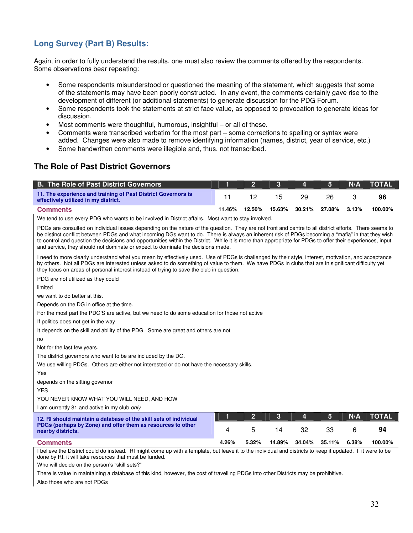# **Long Survey (Part B) Results:**

Again, in order to fully understand the results, one must also review the comments offered by the respondents. Some observations bear repeating:

- Some respondents misunderstood or questioned the meaning of the statement, which suggests that some of the statements may have been poorly constructed. In any event, the comments certainly gave rise to the development of different (or additional statements) to generate discussion for the PDG Forum.
- Some respondents took the statements at strict face value, as opposed to provocation to generate ideas for discussion.
- Most comments were thoughtful, humorous, insightful or all of these.
- Comments were transcribed verbatim for the most part some corrections to spelling or syntax were added. Changes were also made to remove identifying information (names, district, year of service, etc.)
- Some handwritten comments were illegible and, thus, not transcribed.

# **The Role of Past District Governors**

| <b>B. The Role of Past District Governors</b>                                                                                                                                                                                                                                                                                                                                                                                                                                                                                                               | 1      | $\overline{2}$ | 3      | 4      | 5      | N/A   | <b>TOTAL</b> |
|-------------------------------------------------------------------------------------------------------------------------------------------------------------------------------------------------------------------------------------------------------------------------------------------------------------------------------------------------------------------------------------------------------------------------------------------------------------------------------------------------------------------------------------------------------------|--------|----------------|--------|--------|--------|-------|--------------|
| 11. The experience and training of Past District Governors is<br>effectively utilized in my district.                                                                                                                                                                                                                                                                                                                                                                                                                                                       | 11     | 12             | 15     | 29     | 26     | 3     | 96           |
| <b>Comments</b>                                                                                                                                                                                                                                                                                                                                                                                                                                                                                                                                             | 11.46% | 12.50%         | 15.63% | 30.21% | 27.08% | 3.13% | 100.00%      |
| We tend to use every PDG who wants to be involved in District affairs. Most want to stay involved.                                                                                                                                                                                                                                                                                                                                                                                                                                                          |        |                |        |        |        |       |              |
| PDGs are consulted on individual issues depending on the nature of the question. They are not front and centre to all district efforts. There seems to<br>be distinct conflict between PDGs and what incoming DGs want to do. There is always an inherent risk of PDGs becoming a "mafia" in that they wish<br>to control and question the decisions and opportunities within the District. While it is more than appropriate for PDGs to offer their experiences, input<br>and service, they should not dominate or expect to dominate the decisions made. |        |                |        |        |        |       |              |
| I need to more clearly understand what you mean by effectively used. Use of PDGs is challenged by their style, interest, motivation, and acceptance<br>by others. Not all PDGs are interested unless asked to do something of value to them. We have PDGs in clubs that are in significant difficulty yet<br>they focus on areas of personal interest instead of trying to save the club in question.                                                                                                                                                       |        |                |        |        |        |       |              |
| PDG are not utilized as they could                                                                                                                                                                                                                                                                                                                                                                                                                                                                                                                          |        |                |        |        |        |       |              |
| limited                                                                                                                                                                                                                                                                                                                                                                                                                                                                                                                                                     |        |                |        |        |        |       |              |
| we want to do better at this.                                                                                                                                                                                                                                                                                                                                                                                                                                                                                                                               |        |                |        |        |        |       |              |
| Depends on the DG in office at the time.                                                                                                                                                                                                                                                                                                                                                                                                                                                                                                                    |        |                |        |        |        |       |              |
| For the most part the PDG'S are active, but we need to do some education for those not active                                                                                                                                                                                                                                                                                                                                                                                                                                                               |        |                |        |        |        |       |              |
| If politics does not get in the way                                                                                                                                                                                                                                                                                                                                                                                                                                                                                                                         |        |                |        |        |        |       |              |
| It depends on the skill and ability of the PDG. Some are great and others are not                                                                                                                                                                                                                                                                                                                                                                                                                                                                           |        |                |        |        |        |       |              |
| no                                                                                                                                                                                                                                                                                                                                                                                                                                                                                                                                                          |        |                |        |        |        |       |              |
| Not for the last few years.                                                                                                                                                                                                                                                                                                                                                                                                                                                                                                                                 |        |                |        |        |        |       |              |
| The district governors who want to be are included by the DG.                                                                                                                                                                                                                                                                                                                                                                                                                                                                                               |        |                |        |        |        |       |              |
| We use willing PDGs. Others are either not interested or do not have the necessary skills.                                                                                                                                                                                                                                                                                                                                                                                                                                                                  |        |                |        |        |        |       |              |
| Yes                                                                                                                                                                                                                                                                                                                                                                                                                                                                                                                                                         |        |                |        |        |        |       |              |
| depends on the sitting governor                                                                                                                                                                                                                                                                                                                                                                                                                                                                                                                             |        |                |        |        |        |       |              |
| <b>YES</b>                                                                                                                                                                                                                                                                                                                                                                                                                                                                                                                                                  |        |                |        |        |        |       |              |
| YOU NEVER KNOW WHAT YOU WILL NEED, AND HOW                                                                                                                                                                                                                                                                                                                                                                                                                                                                                                                  |        |                |        |        |        |       |              |
| I am currently 81 and active in my club only                                                                                                                                                                                                                                                                                                                                                                                                                                                                                                                |        |                |        |        |        |       |              |
| 12. RI should maintain a database of the skill sets of individual                                                                                                                                                                                                                                                                                                                                                                                                                                                                                           | 1      | $\mathbf{2}$   | 3      | 4      | 5      | N/A   | <b>TOTAL</b> |
| PDGs (perhaps by Zone) and offer them as resources to other<br>nearby districts.                                                                                                                                                                                                                                                                                                                                                                                                                                                                            | 4      | 5              | 14     | 32     | 33     | 6     | 94           |
| <b>Comments</b>                                                                                                                                                                                                                                                                                                                                                                                                                                                                                                                                             | 4.26%  | 5.32%          | 14.89% | 34.04% | 35.11% | 6.38% | 100.00%      |
| I believe the District could do instead. RI might come up with a template, but leave it to the individual and districts to keep it updated. If it were to be                                                                                                                                                                                                                                                                                                                                                                                                |        |                |        |        |        |       |              |

done by RI, it will take resources that must be funded.

Who will decide on the person's "skill sets?"

There is value in maintaining a database of this kind, however, the cost of travelling PDGs into other Districts may be prohibitive.

Also those who are not PDGs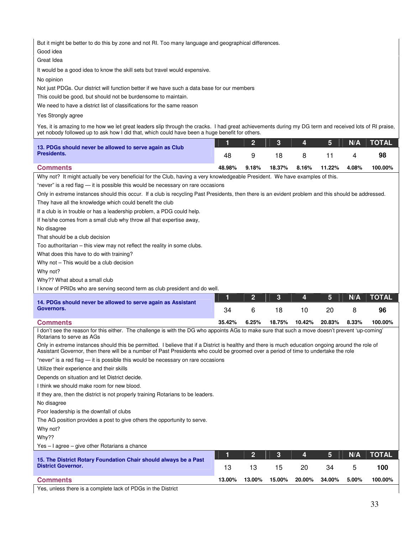But it might be better to do this by zone and not RI. Too many language and geographical differences.

Good idea

Great Idea

It would be a good idea to know the skill sets but travel would expensive.

No opinion

Not just PDGs. Our district will function better if we have such a data base for our members

This could be good, but should not be burdensome to maintain.

We need to have a district list of classifications for the same reason

Yes Strongly agree

Yes, it is amazing to me how we let great leaders slip through the cracks. I had great achievements during my DG term and received lots of RI praise, yet nobody followed up to ask how I did that, which could have been a huge benefit for others.

| 13. PDGs should never be allowed to serve again as Club                                                                      |        |          |        | $\overline{4}$ | 5            | N/A   | <b>NOTAL</b> |
|------------------------------------------------------------------------------------------------------------------------------|--------|----------|--------|----------------|--------------|-------|--------------|
| Presidents.                                                                                                                  | 48     |          | 18.    | -8             |              |       | 98           |
| <b>Comments</b>                                                                                                              | 48.98% | $9.18\%$ | 18.37% |                | 8.16% 11.22% | 4.08% | 100.00%      |
| Why not? It might actually be very beneficial for the Club, having a very knowledgeable President. We have examples of this. |        |          |        |                |              |       |              |

"never" is a red flag — it is possible this would be necessary on rare occasions

Only in extreme instances should this occur. If a club is recycling Past Presidents, then there is an evident problem and this should be addressed.

They have all the knowledge which could benefit the club

If a club is in trouble or has a leadership problem, a PDG could help.

If he/she comes from a small club why throw all that expertise away,

No disagree

That should be a club decision

Too authoritarian – this view may not reflect the reality in some clubs.

What does this have to do with training?

Why not – This would be a club decision

Why not?

Why?? What about a small club

I know of PRIDs who are serving second term as club president and do well.

| 14. PDGs should never be allowed to serve again as Assistant                                                                                               |        |          |        | <b>A</b> | 5      | N/A   | <b>TOTAL</b> |
|------------------------------------------------------------------------------------------------------------------------------------------------------------|--------|----------|--------|----------|--------|-------|--------------|
| Governors.                                                                                                                                                 | 34     |          | 18     | 10.      |        |       | 96           |
| <b>Comments</b>                                                                                                                                            | 35.42% | $6.25\%$ | 18.75% | 10.42%   | 20.83% | 8.33% | 100.00%      |
| $l$ don't see the reason for this oither. The obeliance is with the DC who appoints $\Lambda$ Cs to make sure that such a move decan't provent 'up coming' |        |          |        |          |        |       |              |

I don't see the reason for this either. The challenge is with the DG who appoints AGs to make sure that such a move doesn't prevent 'up-coming' Rotarians to serve as AGs

Only in extreme instances should this be permitted. I believe that if a District is healthy and there is much education ongoing around the role of Assistant Governor, then there will be a number of Past Presidents who could be groomed over a period of time to undertake the role

"never" is a red flag — it is possible this would be necessary on rare occasions

Utilize their experience and their skills

Depends on situation and let District decide.

I think we should make room for new blood.

If they are, then the district is not properly training Rotarians to be leaders.

No disagree

Poor leadership is the downfall of clubs

The AG position provides a post to give others the opportunity to serve.

Why not?

Why??

Yes – I agree – give other Rotarians a chance

|                                                                                               |        |        |        | AT     | 457    | N/A   | <b>TOTAL</b> |
|-----------------------------------------------------------------------------------------------|--------|--------|--------|--------|--------|-------|--------------|
| 15. The District Rotary Foundation Chair should always be a Past<br><b>District Governor.</b> |        |        | 15     | 20     | 34     |       | 100          |
| <b>Comments</b>                                                                               | 13.00% | 13.00% | 15.00% | 20.00% | 34.00% | 5.00% | 100.00%      |

Yes, unless there is a complete lack of PDGs in the District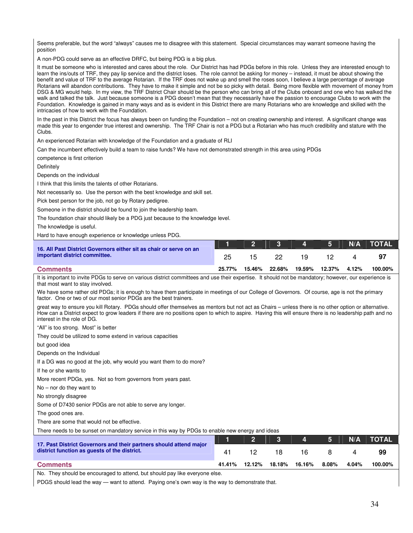Seems preferable, but the word "always" causes me to disagree with this statement. Special circumstances may warrant someone having the position

A non-PDG could serve as an effective DRFC, but being PDG is a big plus.

It must be someone who is interested and cares about the role. Our District has had PDGs before in this role. Unless they are interested enough to learn the ins/outs of TRF, they pay lip service and the district loses. The role cannot be asking for money – instead, it must be about showing the benefit and value of TRF to the average Rotarian. If the TRF does not wake up and smell the roses soon, I believe a large percentage of average Rotarians will abandon contributions. They have to make it simple and not be so picky with detail. Being more flexible with movement of money from DSG & MG would help. In my view, the TRF District Chair should be the person who can bring all of the Clubs onboard and one who has walked the walk and talked the talk. Just because someone is a PDG doesn't mean that they necessarily have the passion to encourage Clubs to work with the Foundation. Knowledge is gained in many ways and as is evident in this District there are many Rotarians who are knowledge and skilled with the intricacies of how to work with the Foundation.

In the past in this District the focus has always been on funding the Foundation – not on creating ownership and interest. A significant change was made this year to engender true interest and ownership. The TRF Chair is not a PDG but a Rotarian who has much credibility and stature with the Clubs.

An experienced Rotarian with knowledge of the Foundation and a graduate of RLI

Can the incumbent effectively build a team to raise funds? We have not demonstrated strength in this area using PDGs

competence is first criterion

**Definitely** 

Depends on the individual

I think that this limits the talents of other Rotarians.

Not necessarily so. Use the person with the best knowledge and skill set.

Pick best person for the job, not go by Rotary pedigree.

Someone in the district should be found to join the leadership team.

The foundation chair should likely be a PDG just because to the knowledge level.

The knowledge is useful.

Hard to have enough experience or knowledge unless PDG.

| 16. All Past District Governors either sit as chair or serve on an |        |        | 2 3 4 5 1 |     |               | N/A   | <b>NOTAL</b> |
|--------------------------------------------------------------------|--------|--------|-----------|-----|---------------|-------|--------------|
| important district committee.                                      |        | 15.    |           | 19. |               |       | 97           |
| <b>Comments</b>                                                    | 25.77% | 15.46% | 22.68%    |     | 19.59% 12.37% | 4.12% | 100.00%      |

#### It is important to invite PDGs to serve on various district committees and use their expertise. It should not be mandatory; however, our experience is that most want to stay involved.

We have some rather old PDGs; it is enough to have them participate in meetings of our College of Governors. Of course, age is not the primary factor. One or two of our most senior PDGs are the best trainers.

great way to ensure you kill Rotary. PDGs should offer themselves as mentors but not act as Chairs – unless there is no other option or alternative. How can a District expect to grow leaders if there are no positions open to which to aspire. Having this will ensure there is no leadership path and no interest in the role of DG.

"All" is too strong. Most" is better

They could be utilized to some extend in various capacities

but good idea

Depends on the Individual

If a DG was no good at the job, why would you want them to do more?

If he or she wants to

More recent PDGs, yes. Not so from governors from years past.

No – nor do they want to

No strongly disagree

Some of D7430 senior PDGs are not able to serve any longer.

The good ones are.

There are some that would not be effective.

There needs to be sunset on mandatory service in this way by PDGs to enable new energy and ideas

|                                                                                                                    |        |        |        | 4      | $-5$ $\parallel$ | N/A   | <b>NTOTAL</b> |
|--------------------------------------------------------------------------------------------------------------------|--------|--------|--------|--------|------------------|-------|---------------|
| 17. Past District Governors and their partners should attend major<br>district function as quests of the district. |        |        |        | 16.    |                  |       | 99            |
| <b>Comments</b>                                                                                                    | 41.41% | 12.12% | 18.18% | 16.16% | 8.08%            | 4.04% | 100.00%       |

No. They should be encouraged to attend, but should pay like everyone else.

PDGS should lead the way — want to attend. Paying one's own way is the way to demonstrate that.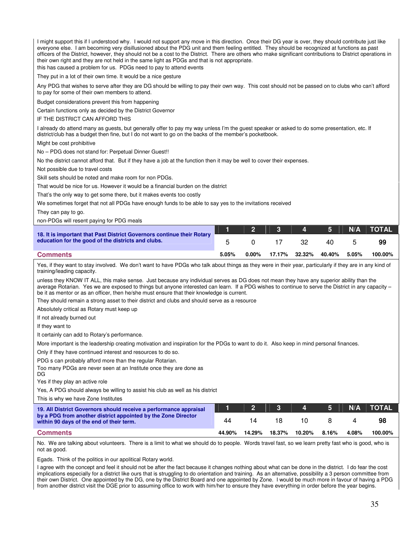I might support this if I understood why. I would not support any move in this direction. Once their DG year is over, they should contribute just like everyone else. I am becoming very disillusioned about the PDG unit and them feeling entitled. They should be recognized at functions as past officers of the District, however, they should not be a cost to the District. There are others who make significant contributions to District operations in their own right and they are not held in the same light as PDGs and that is not appropriate.

this has caused a problem for us. PDGs need to pay to attend events

They put in a lot of their own time. It would be a nice gesture

Any PDG that wishes to serve after they are DG should be willing to pay their own way. This cost should not be passed on to clubs who can't afford to pay for some of their own members to attend.

Budget considerations prevent this from happening

Certain functions only as decided by the District Governor

IF THE DISTRICT CAN AFFORD THIS

I already do attend many as guests, but generally offer to pay my way unless I'm the guest speaker or asked to do some presentation, etc. If district/club has a budget then fine, but I do not want to go on the backs of the member's pocketbook.

Might be cost prohibitive

No – PDG does not stand for: Perpetual Dinner Guest!!

No the district cannot afford that. But if they have a job at the function then it may be well to cover their expenses.

Not possible due to travel costs

Skill sets should be noted and make room for non PDGs.

That would be nice for us. However it would be a financial burden on the district

That's the only way to get some there, but it makes events too costly

We sometimes forget that not all PDGs have enough funds to be able to say yes to the invitations received

They can pay to go.

non-PDGs will resent paying for PDG meals

|                                                                                                                              |       |          | 2 3 4 5 |               |        | N/A      | <b>NTOTAL</b> |
|------------------------------------------------------------------------------------------------------------------------------|-------|----------|---------|---------------|--------|----------|---------------|
| 18. It is important that Past District Governors continue their Rotary<br>education for the good of the districts and clubs. |       |          |         | 32.           | 40.    |          | 99            |
| <b>Comments</b>                                                                                                              | 5.05% | $0.00\%$ |         | 17.17% 32.32% | 40.40% | $5.05\%$ | 100.00%       |

Yes, if they want to stay involved. We don't want to have PDGs who talk about things as they were in their year, particularly if they are in any kind of training/leading capacity.

unless they KNOW IT ALL, this make sense. Just because any individual serves as DG does not mean they have any superior ability than the average Rotarian. Yes we are exposed to things but anyone interested can learn. If a PDG wishes to continue to serve the District in any capacity – be it as mentor or as an officer, then he/she must ensure that their knowledge is current.

They should remain a strong asset to their district and clubs and should serve as a resource

Absolutely critical as Rotary must keep up

If not already burned out

If they want to

It certainly can add to Rotary's performance.

More important is the leadership creating motivation and inspiration for the PDGs to want to do it. Also keep in mind personal finances.

Only if they have continued interest and resources to do so.

PDG s can probably afford more than the regular Rotarian.

Too many PDGs are never seen at an Institute once they are done as

DG Yes if they play an active role

Yes, A PDG should always be willing to assist his club as well as his district

This is why we have Zone Institutes

| 19. All District Governors should receive a performance appraisal                                         |        |        |        | $\mathbf{A}$ | <b>ABS</b> |       | N/A TOTAL |
|-----------------------------------------------------------------------------------------------------------|--------|--------|--------|--------------|------------|-------|-----------|
| by a PDG from another district appointed by the Zone Director<br>within 90 days of the end of their term. | 44     | 14     | 18     | 10.          |            |       | 98        |
| <b>Comments</b>                                                                                           | 44.90% | 14.29% | 18.37% | 10.20%       | 8.16%      | 4.08% | 100.00%   |

No. We are talking about volunteers. There is a limit to what we should do to people. Words travel fast, so we learn pretty fast who is good, who is not as good.

Egads. Think of the politics in our apolitical Rotary world.

I agree with the concept and feel it should not be after the fact because it changes nothing about what can be done in the district. I do fear the cost implications especially for a district like ours that is struggling to do orientation and training. As an alternative, possibility a 3 person committee from their own District. One appointed by the DG, one by the District Board and one appointed by Zone. I would be much more in favour of having a PDG from another district visit the DGE prior to assuming office to work with him/her to ensure they have everything in order before the year begins.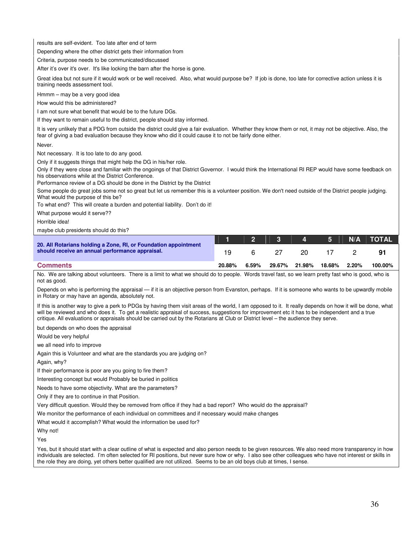results are self-evident. Too late after end of term

Depending where the other district gets their information from

Criteria, purpose needs to be communicated/discussed

After it's over it's over. It's like locking the barn after the horse is gone.

Great idea but not sure if it would work or be well received. Also, what would purpose be? If job is done, too late for corrective action unless it is training needs assessment tool.

Hmmm – may be a very good idea

How would this be administered?

I am not sure what benefit that would be to the future DGs.

If they want to remain useful to the district, people should stay informed.

It is very unlikely that a PDG from outside the district could give a fair evaluation. Whether they know them or not, it may not be objective. Also, the fear of giving a bad evaluation because they know who did it could cause it to not be fairly done either.

Never.

Not necessary. It is too late to do any good.

Only if it suggests things that might help the DG in his/her role.

Only if they were close and familiar with the ongoings of that District Governor. I would think the International RI REP would have some feedback on his observations while at the District Conference.

Performance review of a DG should be done in the District by the District

Some people do great jobs some not so great but let us remember this is a volunteer position. We don't need outside of the District people judging. What would the purpose of this be?

To what end? This will create a burden and potential liability. Don't do it!

What purpose would it serve??

Horrible idea!

maybe club presidents should do this?

|                                                                                                                    |        |       |        | $\mathbf{A}$ | 5      | N/A      | <b>NOTAL</b> |
|--------------------------------------------------------------------------------------------------------------------|--------|-------|--------|--------------|--------|----------|--------------|
| 20. All Rotarians holding a Zone, RI, or Foundation appointment<br>should receive an annual performance appraisal. | 1 Q    |       |        | 20.          |        |          |              |
| <b>Comments</b>                                                                                                    | 20.88% | 6.59% | 29.67% | 21.98%       | 18.68% | $2.20\%$ | 100.00%      |

No. We are talking about volunteers. There is a limit to what we should do to people. Words travel fast, so we learn pretty fast who is good, who is not as good.

Depends on who is performing the appraisal — if it is an objective person from Evanston, perhaps. If it is someone who wants to be upwardly mobile in Rotary or may have an agenda, absolutely not.

If this is another way to give a perk to PDGs by having them visit areas of the world, I am opposed to it. It really depends on how it will be done, what will be reviewed and who does it. To get a realistic appraisal of success, suggestions for improvement etc it has to be independent and a true critique. All evaluations or appraisals should be carried out by the Rotarians at Club or District level – the audience they serve.

but depends on who does the appraisal

Would be very helpful

we all need info to improve

Again this is Volunteer and what are the standards you are judging on?

Again, why?

If their performance is poor are you going to fire them?

Interesting concept but would Probably be buried in politics

Needs to have some objectivity. What are the parameters?

Only if they are to continue in that Position.

Very difficult question. Would they be removed from office if they had a bad report? Who would do the appraisal?

We monitor the performance of each individual on committees and if necessary would make changes

What would it accomplish? What would the information be used for?

Why not!

Yes

Yes, but it should start with a clear outline of what is expected and also person needs to be given resources. We also need more transparency in how individuals are selected. I'm often selected for RI positions, but never sure how or why. I also see other colleagues who have not interest or skills in the role they are doing, yet others better qualified are not utilized. Seems to be an old boys club at times, I sense.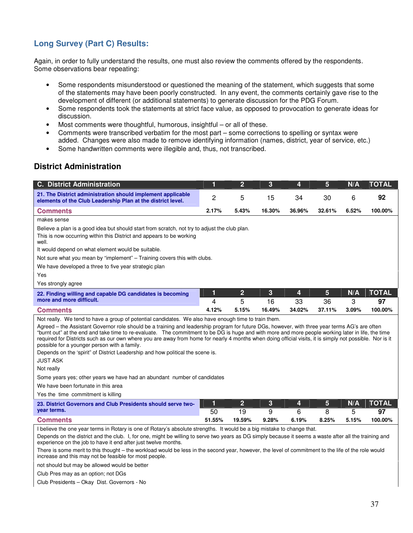# **Long Survey (Part C) Results:**

Again, in order to fully understand the results, one must also review the comments offered by the respondents. Some observations bear repeating:

- Some respondents misunderstood or questioned the meaning of the statement, which suggests that some of the statements may have been poorly constructed. In any event, the comments certainly gave rise to the development of different (or additional statements) to generate discussion for the PDG Forum.
- Some respondents took the statements at strict face value, as opposed to provocation to generate ideas for discussion.
- Most comments were thoughtful, humorous, insightful or all of these.
- Comments were transcribed verbatim for the most part some corrections to spelling or syntax were added. Changes were also made to remove identifying information (names, district, year of service, etc.)
- Some handwritten comments were illegible and, thus, not transcribed.

# **District Administration**

| <b>C. District Administration</b>                                                                                                                                                                                                                                                                                                                                                                                                                                                                                                                                                                                                                                                                                                                                                                                                                                                                    | 1      | $\overline{2}$      | 3       | 4       | 5                    | N/A      | <b>TOTAL</b>       |  |  |  |  |  |
|------------------------------------------------------------------------------------------------------------------------------------------------------------------------------------------------------------------------------------------------------------------------------------------------------------------------------------------------------------------------------------------------------------------------------------------------------------------------------------------------------------------------------------------------------------------------------------------------------------------------------------------------------------------------------------------------------------------------------------------------------------------------------------------------------------------------------------------------------------------------------------------------------|--------|---------------------|---------|---------|----------------------|----------|--------------------|--|--|--|--|--|
| 21. The District administration should implement applicable<br>elements of the Club Leadership Plan at the district level.                                                                                                                                                                                                                                                                                                                                                                                                                                                                                                                                                                                                                                                                                                                                                                           | 2      | 5                   | 15      | 34      | 30                   | 6        | 92                 |  |  |  |  |  |
| <b>Comments</b>                                                                                                                                                                                                                                                                                                                                                                                                                                                                                                                                                                                                                                                                                                                                                                                                                                                                                      | 2.17%  | 5.43%               | 16.30%  | 36.96%  | 32.61%               | 6.52%    | 100.00%            |  |  |  |  |  |
| makes sense                                                                                                                                                                                                                                                                                                                                                                                                                                                                                                                                                                                                                                                                                                                                                                                                                                                                                          |        |                     |         |         |                      |          |                    |  |  |  |  |  |
| Believe a plan is a good idea but should start from scratch, not try to adjust the club plan.<br>This is now occurring within this District and appears to be working<br>well.                                                                                                                                                                                                                                                                                                                                                                                                                                                                                                                                                                                                                                                                                                                       |        |                     |         |         |                      |          |                    |  |  |  |  |  |
| It would depend on what element would be suitable.                                                                                                                                                                                                                                                                                                                                                                                                                                                                                                                                                                                                                                                                                                                                                                                                                                                   |        |                     |         |         |                      |          |                    |  |  |  |  |  |
| Not sure what you mean by "implement" – Training covers this with clubs.                                                                                                                                                                                                                                                                                                                                                                                                                                                                                                                                                                                                                                                                                                                                                                                                                             |        |                     |         |         |                      |          |                    |  |  |  |  |  |
| We have developed a three to five year strategic plan                                                                                                                                                                                                                                                                                                                                                                                                                                                                                                                                                                                                                                                                                                                                                                                                                                                |        |                     |         |         |                      |          |                    |  |  |  |  |  |
| Yes                                                                                                                                                                                                                                                                                                                                                                                                                                                                                                                                                                                                                                                                                                                                                                                                                                                                                                  |        |                     |         |         |                      |          |                    |  |  |  |  |  |
| Yes strongly agree                                                                                                                                                                                                                                                                                                                                                                                                                                                                                                                                                                                                                                                                                                                                                                                                                                                                                   |        |                     |         |         |                      |          |                    |  |  |  |  |  |
| 22. Finding willing and capable DG candidates is becoming<br>more and more difficult.                                                                                                                                                                                                                                                                                                                                                                                                                                                                                                                                                                                                                                                                                                                                                                                                                | 1<br>4 | $\overline{2}$<br>5 | 3<br>16 | 4<br>33 | $5\phantom{.}$<br>36 | N/A<br>3 | <b>TOTAL</b><br>97 |  |  |  |  |  |
| <b>Comments</b>                                                                                                                                                                                                                                                                                                                                                                                                                                                                                                                                                                                                                                                                                                                                                                                                                                                                                      | 4.12%  | 5.15%               | 16.49%  | 34.02%  | 37.11%               | 3.09%    | 100.00%            |  |  |  |  |  |
| Not really. We tend to have a group of potential candidates. We also have enough time to train them.<br>Agreed - the Assistant Governor role should be a training and leadership program for future DGs, however, with three year terms AG's are often<br>"burnt out" at the end and take time to re-evaluate. The commitment to be DG is huge and with more and more people working later in life, the time<br>required for Districts such as our own where you are away from home for nearly 4 months when doing official visits, it is simply not possible. Nor is it<br>possible for a younger person with a family.<br>Depends on the 'spirit" of District Leadership and how political the scene is.<br><b>JUST ASK</b><br>Not really<br>Some years yes; other years we have had an abundant number of candidates<br>We have been fortunate in this area<br>Yes the time commitment is killing |        |                     |         |         |                      |          |                    |  |  |  |  |  |
| 23. District Governors and Club Presidents should serve two-                                                                                                                                                                                                                                                                                                                                                                                                                                                                                                                                                                                                                                                                                                                                                                                                                                         | 1      | $\overline{2}$      | 3       | 4       | 5                    | N/A      | <b>TOTAL</b>       |  |  |  |  |  |
| year terms.                                                                                                                                                                                                                                                                                                                                                                                                                                                                                                                                                                                                                                                                                                                                                                                                                                                                                          | 50     | 19                  | 9       | 6       | 8                    | 5        | 97                 |  |  |  |  |  |
| <b>Comments</b>                                                                                                                                                                                                                                                                                                                                                                                                                                                                                                                                                                                                                                                                                                                                                                                                                                                                                      | 51.55% | 19.59%              | 9.28%   | 6.19%   | 8.25%                | 5.15%    | 100.00%            |  |  |  |  |  |
| I believe the one year terms in Rotary is one of Rotary's absolute strengths. It would be a big mistake to change that.<br>Depends on the district and the club. I, for one, might be willing to serve two years as DG simply because it seems a waste after all the training and<br>experience on the job to have it end after just twelve months.<br>There is some merit to this thought – the workload would be less in the second year, however, the level of commitment to the life of the role would<br>increase and this may not be feasible for most people.<br>not should but may be allowed would be better                                                                                                                                                                                                                                                                                |        |                     |         |         |                      |          |                    |  |  |  |  |  |

Club Pres may as an option; not DGs

Club Presidents – Okay Dist. Governors - No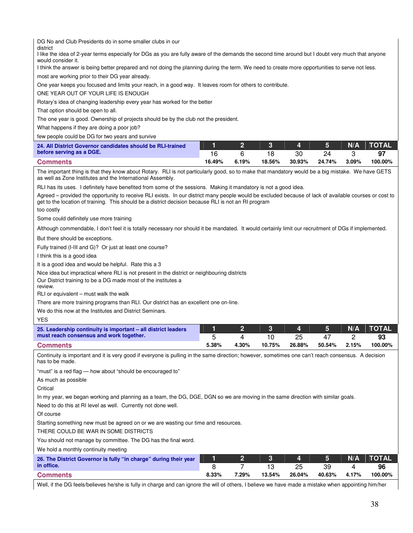| DG No and Club Presidents do in some smaller clubs in our<br>district<br>I like the idea of 2-year terms especially for DGs as you are fully aware of the demands the second time around but I doubt very much that anyone<br>would consider it.<br>I think the answer is being better prepared and not doing the planning during the term. We need to create more opportunities to serve not less.<br>most are working prior to their DG year already.<br>One year keeps you focused and limits your reach, in a good way. It leaves room for others to contribute.<br>ONE YEAR OUT OF YOUR LIFE IS ENOUGH<br>Rotary's idea of changing leadership every year has worked for the better<br>That option should be open to all.<br>The one year is good. Ownership of projects should be by the club not the president.<br>What happens if they are doing a poor job?<br>few people could be DG for two years and survive |            |                     |              |              |              |            |               |
|--------------------------------------------------------------------------------------------------------------------------------------------------------------------------------------------------------------------------------------------------------------------------------------------------------------------------------------------------------------------------------------------------------------------------------------------------------------------------------------------------------------------------------------------------------------------------------------------------------------------------------------------------------------------------------------------------------------------------------------------------------------------------------------------------------------------------------------------------------------------------------------------------------------------------|------------|---------------------|--------------|--------------|--------------|------------|---------------|
| 24. All District Governor candidates should be RLI-trained                                                                                                                                                                                                                                                                                                                                                                                                                                                                                                                                                                                                                                                                                                                                                                                                                                                               | 1          | $\overline{2}$      | 3            | 4            | 5            | N/A        | <b>TOTAL</b>  |
| before serving as a DGE.                                                                                                                                                                                                                                                                                                                                                                                                                                                                                                                                                                                                                                                                                                                                                                                                                                                                                                 | 16         | 6                   | 18           | 30           | 24           | 3          | 97            |
| <b>Comments</b><br>The important thing is that they know about Rotary. RLI is not particularly good, so to make that mandatory would be a big mistake. We have GETS                                                                                                                                                                                                                                                                                                                                                                                                                                                                                                                                                                                                                                                                                                                                                      | 16.49%     | 6.19%               | 18.56%       | 30.93%       | 24.74%       | 3.09%      | 100.00%       |
| as well as Zone Institutes and the International Assembly.<br>RLI has its uses. I definitely have benefited from some of the sessions. Making it mandatory is not a good idea.<br>Agreed - provided the opportunity to receive RLI exists. In our district many people would be excluded because of lack of available courses or cost to<br>get to the location of training. This should be a district decision because RLI is not an RI program<br>too costly                                                                                                                                                                                                                                                                                                                                                                                                                                                           |            |                     |              |              |              |            |               |
| Some could definitely use more training                                                                                                                                                                                                                                                                                                                                                                                                                                                                                                                                                                                                                                                                                                                                                                                                                                                                                  |            |                     |              |              |              |            |               |
| Although commendable, I don't feel it is totally necessary nor should it be mandated. It would certainly limit our recruitment of DGs if implemented.                                                                                                                                                                                                                                                                                                                                                                                                                                                                                                                                                                                                                                                                                                                                                                    |            |                     |              |              |              |            |               |
| But there should be exceptions.                                                                                                                                                                                                                                                                                                                                                                                                                                                                                                                                                                                                                                                                                                                                                                                                                                                                                          |            |                     |              |              |              |            |               |
|                                                                                                                                                                                                                                                                                                                                                                                                                                                                                                                                                                                                                                                                                                                                                                                                                                                                                                                          |            |                     |              |              |              |            |               |
| Fully trained (I-III and G)? Or just at least one course?                                                                                                                                                                                                                                                                                                                                                                                                                                                                                                                                                                                                                                                                                                                                                                                                                                                                |            |                     |              |              |              |            |               |
| I think this is a good idea                                                                                                                                                                                                                                                                                                                                                                                                                                                                                                                                                                                                                                                                                                                                                                                                                                                                                              |            |                     |              |              |              |            |               |
| It is a good idea and would be helpful. Rate this a 3                                                                                                                                                                                                                                                                                                                                                                                                                                                                                                                                                                                                                                                                                                                                                                                                                                                                    |            |                     |              |              |              |            |               |
| Nice idea but impractical where RLI is not present in the district or neighbouring districts<br>Our District training to be a DG made most of the institutes a<br>review.<br>RLI or equivalent – must walk the walk                                                                                                                                                                                                                                                                                                                                                                                                                                                                                                                                                                                                                                                                                                      |            |                     |              |              |              |            |               |
| There are more training programs than RLI. Our district has an excellent one on-line.                                                                                                                                                                                                                                                                                                                                                                                                                                                                                                                                                                                                                                                                                                                                                                                                                                    |            |                     |              |              |              |            |               |
| We do this now at the Institutes and District Seminars.                                                                                                                                                                                                                                                                                                                                                                                                                                                                                                                                                                                                                                                                                                                                                                                                                                                                  |            |                     |              |              |              |            |               |
| <b>YES</b>                                                                                                                                                                                                                                                                                                                                                                                                                                                                                                                                                                                                                                                                                                                                                                                                                                                                                                               |            |                     |              |              |              |            |               |
| 25. Leadership continuity is important - all district leaders                                                                                                                                                                                                                                                                                                                                                                                                                                                                                                                                                                                                                                                                                                                                                                                                                                                            | 1          | 2                   | 3            | 4            | 5            | N/A        | <b>TOTAL</b>  |
| must reach consensus and work together.                                                                                                                                                                                                                                                                                                                                                                                                                                                                                                                                                                                                                                                                                                                                                                                                                                                                                  | 5          | 4                   | 10           | 25           | 47           | 2          | 93            |
| <b>Comments</b>                                                                                                                                                                                                                                                                                                                                                                                                                                                                                                                                                                                                                                                                                                                                                                                                                                                                                                          | 5.38%      | 4.30%               | 10.75%       | 26.88%       | 50.54%       | 2.15%      | 100.00%       |
| Continuity is important and it is very good if everyone is pulling in the same direction; however, sometimes one can't reach consensus. A decision<br>has to be made.                                                                                                                                                                                                                                                                                                                                                                                                                                                                                                                                                                                                                                                                                                                                                    |            |                     |              |              |              |            |               |
| "must" is a red flag — how about "should be encouraged to"                                                                                                                                                                                                                                                                                                                                                                                                                                                                                                                                                                                                                                                                                                                                                                                                                                                               |            |                     |              |              |              |            |               |
| As much as possible                                                                                                                                                                                                                                                                                                                                                                                                                                                                                                                                                                                                                                                                                                                                                                                                                                                                                                      |            |                     |              |              |              |            |               |
| Critical                                                                                                                                                                                                                                                                                                                                                                                                                                                                                                                                                                                                                                                                                                                                                                                                                                                                                                                 |            |                     |              |              |              |            |               |
| In my year, we began working and planning as a team, the DG, DGE, DGN so we are moving in the same direction with similar goals.<br>Need to do this at RI level as well. Currently not done well.                                                                                                                                                                                                                                                                                                                                                                                                                                                                                                                                                                                                                                                                                                                        |            |                     |              |              |              |            |               |
| Of course                                                                                                                                                                                                                                                                                                                                                                                                                                                                                                                                                                                                                                                                                                                                                                                                                                                                                                                |            |                     |              |              |              |            |               |
| Starting something new must be agreed on or we are wasting our time and resources.<br>THERE COULD BE WAR IN SOME DISTRICTS                                                                                                                                                                                                                                                                                                                                                                                                                                                                                                                                                                                                                                                                                                                                                                                               |            |                     |              |              |              |            |               |
| You should not manage by committee. The DG has the final word.                                                                                                                                                                                                                                                                                                                                                                                                                                                                                                                                                                                                                                                                                                                                                                                                                                                           |            |                     |              |              |              |            |               |
| We hold a monthly continuity meeting                                                                                                                                                                                                                                                                                                                                                                                                                                                                                                                                                                                                                                                                                                                                                                                                                                                                                     |            |                     |              |              |              |            |               |
| 26. The District Governor is fully "in charge" during their year<br>in office.                                                                                                                                                                                                                                                                                                                                                                                                                                                                                                                                                                                                                                                                                                                                                                                                                                           | 1          | $\overline{2}$<br>7 | 3            | 4            | 5            | N/A        | <b>TOTAL</b>  |
| <b>Comments</b>                                                                                                                                                                                                                                                                                                                                                                                                                                                                                                                                                                                                                                                                                                                                                                                                                                                                                                          | 8<br>8.33% | 7.29%               | 13<br>13.54% | 25<br>26.04% | 39<br>40.63% | 4<br>4.17% | 96<br>100.00% |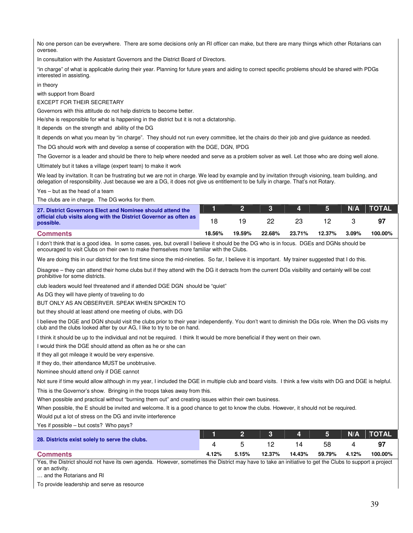No one person can be everywhere. There are some decisions only an RI officer can make, but there are many things which other Rotarians can oversee.

In consultation with the Assistant Governors and the District Board of Directors.

"in charge" of what is applicable during their year. Planning for future years and aiding to correct specific problems should be shared with PDGs interested in assisting.

in theory

with support from Board

EXCEPT FOR THEIR SECRETARY

Governors with this attitude do not help districts to become better.

He/she is responsible for what is happening in the district but it is not a dictatorship.

It depends on the strength and ability of the DG

It depends on what you mean by "in charge". They should not run every committee, let the chairs do their job and give guidance as needed.

The DG should work with and develop a sense of cooperation with the DGE, DGN, IPDG

The Governor is a leader and should be there to help where needed and serve as a problem solver as well. Let those who are doing well alone.

Ultimately but it takes a village (expert team) to make it work

We lead by invitation. It can be frustrating but we are not in charge. We lead by example and by invitation through visioning, team building, and delegation of responsibility. Just because we are a DG, it does not give us entitlement to be fully in charge. That's not Rotary.

Yes – but as the head of a team

The clubs are in charge. The DG works for them.

| 27. District Governors Elect and Nominee should attend the                     |        |        | $2 \quad 3$ |        |        |       | $N/A$ $\top$ $\top$ $\top$ $\top$ $\top$ $\top$ $\top$ $\top$ $\top$ $\top$ |
|--------------------------------------------------------------------------------|--------|--------|-------------|--------|--------|-------|-----------------------------------------------------------------------------|
| official club visits along with the District Governor as often as<br>possible. |        |        |             |        |        |       |                                                                             |
| <b>Comments</b>                                                                | 18.56% | 19.59% | 22.68%      | 23.71% | 12.37% | 3.09% | 100.00%                                                                     |

I don't think that is a good idea. In some cases, yes, but overall I believe it should be the DG who is in focus. DGEs and DGNs should be encouraged to visit Clubs on their own to make themselves more familiar with the Clubs.

We are doing this in our district for the first time since the mid-nineties. So far, I believe it is important. My trainer suggested that I do this.

Disagree – they can attend their home clubs but if they attend with the DG it detracts from the current DGs visibility and certainly will be cost prohibitive for some districts.

club leaders would feel threatened and if attended DGE DGN should be "quiet"

As DG they will have plenty of traveling to do

BUT ONLY AS AN OBSERVER. SPEAK WHEN SPOKEN TO

but they should at least attend one meeting of clubs, with DG

I believe the DGE and DGN should visit the clubs prior to their year independently. You don't want to diminish the DGs role. When the DG visits my club and the clubs looked after by our AG, I like to try to be on hand.

I think it should be up to the individual and not be required. I think It would be more beneficial if they went on their own.

I would think the DGE should attend as often as he or she can

If they all got mileage it would be very expensive.

If they do, their attendance MUST be unobtrusive.

Nominee should attend only if DGE cannot

Not sure if time would allow although in my year, I included the DGE in multiple club and board visits. I think a few visits with DG and DGE is helpful.

This is the Governor's show. Bringing in the troops takes away from this.

When possible and practical without "burning them out" and creating issues within their own business.

When possible, the E should be invited and welcome. It is a good chance to get to know the clubs. However, it should not be required.

Would put a lot of stress on the DG and invite interference

Yes if possible – but costs? Who pays?

|                                                |       |       |        |        |        |       | 1   2   3   4   5   N/A   TOTAL \ |
|------------------------------------------------|-------|-------|--------|--------|--------|-------|-----------------------------------|
| 28. Districts exist solely to serve the clubs. |       |       |        | 14     | 58.    |       | -97                               |
| <b>Comments</b>                                | 4.12% | 5.15% | 12.37% | 14.43% | 59.79% | 4.12% | 100.00%                           |

Yes, the District should not have its own agenda. However, sometimes the District may have to take an initiative to get the Clubs to support a project or an activity.

… and the Rotarians and RI

To provide leadership and serve as resource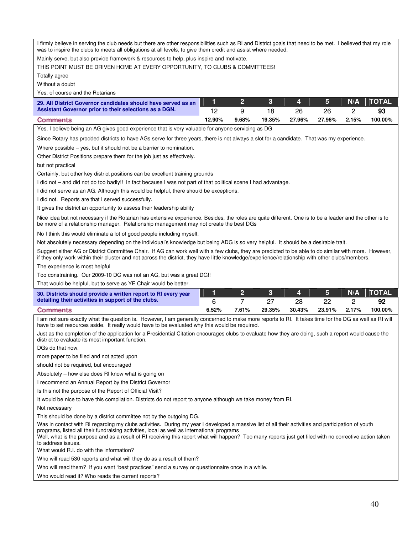I firmly believe in serving the club needs but there are other responsibilities such as RI and District goals that need to be met. I believed that my role was to inspire the clubs to meets all obligations at all levels, to give them credit and assist where needed.

Mainly serve, but also provide framework & resources to help, plus inspire and motivate.

THIS POINT MUST BE DRIVEN HOME AT EVERY OPPORTUNITY, TO CLUBS & COMMITTEES!

Totally agree

Without a doubt

Yes, of course and the Rotarians

| 29. All District Governor candidates should have served as an |        |       |        | 4 5 \  |        | N/A   | <b>NTOTAL</b> |
|---------------------------------------------------------------|--------|-------|--------|--------|--------|-------|---------------|
| Assistant Governor prior to their selections as a DGN.        |        |       |        |        |        |       |               |
| <b>Comments</b>                                               | 12.90% | 9.68% | 19.35% | 27.96% | 27.96% | 2.15% | 100.00%       |

Yes, I believe being an AG gives good experience that is very valuable for anyone servicing as DG

Since Rotary has prodded districts to have AGs serve for three years, there is not always a slot for a candidate. That was my experience.

Where possible – yes, but it should not be a barrier to nomination.

Other District Positions prepare them for the job just as effectively.

but not practical

Certainly, but other key district positions can be excellent training grounds

I did not – and did not do too badly!! In fact because I was not part of that political scene I had advantage.

I did not serve as an AG. Although this would be helpful, there should be exceptions.

I did not. Reports are that I served successfully.

It gives the district an opportunity to assess their leadership ability

Nice idea but not necessary if the Rotarian has extensive experience. Besides, the roles are quite different. One is to be a leader and the other is to be more of a relationship manager. Relationship management may not create the best DGs

No I think this would eliminate a lot of good people including myself.

Not absolutely necessary depending on the individual's knowledge but being ADG is so very helpful. It should be a desirable trait.

Suggest either AG or District Committee Chair. If AG can work well with a few clubs, they are predicted to be able to do similar with more. However, if they only work within their cluster and not across the district, they have little knowledge/experience/relationship with other clubs/members.

The experience is most helpful

Too constraining. Our 2009-10 DG was not an AG, but was a great DG!!

That would be helpful, but to serve as YE Chair would be better.

| 30. Districts should provide a written report to RI every year |       |       |        |        |        |       | <u>  2   3   4   5   N/A   TOTAL\</u> |
|----------------------------------------------------------------|-------|-------|--------|--------|--------|-------|---------------------------------------|
| detailing their activities in support of the clubs.            |       |       |        |        |        |       |                                       |
| <b>Comments</b>                                                | 6.52% | 7.61% | 29.35% | 30.43% | 23.91% | 2.17% | 100.00%                               |

I am not sure exactly what the question is. However, I am generally concerned to make more reports to RI. It takes time for the DG as well as RI will have to set resources aside. It really would have to be evaluated why this would be required.

Just as the completion of the application for a Presidential Citation encourages clubs to evaluate how they are doing, such a report would cause the district to evaluate its most important function.

DGs do that now.

more paper to be filed and not acted upon

should not be required, but encouraged

Absolutely – how else does RI know what is going on

I recommend an Annual Report by the District Governor

Is this not the purpose of the Report of Official Visit?

It would be nice to have this compilation. Districts do not report to anyone although we take money from RI.

Not necessary

This should be done by a district committee not by the outgoing DG.

Was in contact with RI regarding my clubs activities. During my year I developed a massive list of all their activities and participation of youth programs, listed all their fundraising activities, local as well as international programs

Well, what is the purpose and as a result of RI receiving this report what will happen? Too many reports just get filed with no corrective action taken to address issues.

What would R.I. do with the information?

Who will read 530 reports and what will they do as a result of them?

Who will read them? If you want "best practices" send a survey or questionnaire once in a while.

Who would read it? Who reads the current reports?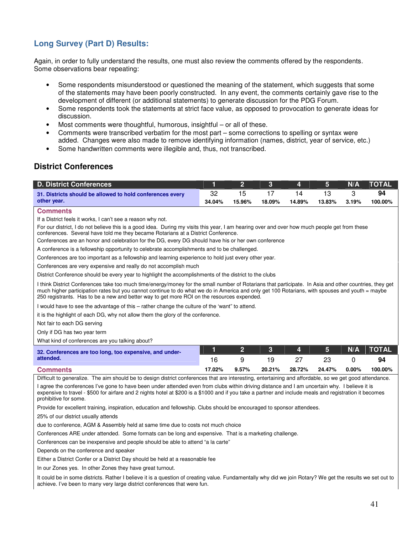# **Long Survey (Part D) Results:**

Again, in order to fully understand the results, one must also review the comments offered by the respondents. Some observations bear repeating:

- Some respondents misunderstood or questioned the meaning of the statement, which suggests that some of the statements may have been poorly constructed. In any event, the comments certainly gave rise to the development of different (or additional statements) to generate discussion for the PDG Forum.
- Some respondents took the statements at strict face value, as opposed to provocation to generate ideas for discussion.
- Most comments were thoughtful, humorous, insightful or all of these.
- Comments were transcribed verbatim for the most part some corrections to spelling or syntax were added. Changes were also made to remove identifying information (names, district, year of service, etc.)
- Some handwritten comments were illegible and, thus, not transcribed.

## **District Conferences**

| <b>D. District Conferences</b>                                                                                                                                                                                                                                                                                                                                                                         | 1      | $\overline{2}$ | 3      | 4      | 5      | N/A      | <b>TOTAL</b> |
|--------------------------------------------------------------------------------------------------------------------------------------------------------------------------------------------------------------------------------------------------------------------------------------------------------------------------------------------------------------------------------------------------------|--------|----------------|--------|--------|--------|----------|--------------|
| 31. Districts should be allowed to hold conferences every                                                                                                                                                                                                                                                                                                                                              | 32     | 15             | 17     | 14     | 13     | 3        | 94           |
| other year.                                                                                                                                                                                                                                                                                                                                                                                            | 34.04% | 15.96%         | 18.09% | 14.89% | 13.83% | 3.19%    | 100.00%      |
| <b>Comments</b>                                                                                                                                                                                                                                                                                                                                                                                        |        |                |        |        |        |          |              |
| If a District feels it works, I can't see a reason why not.                                                                                                                                                                                                                                                                                                                                            |        |                |        |        |        |          |              |
| For our district, I do not believe this is a good idea. During my visits this year, I am hearing over and over how much people get from these<br>conferences. Several have told me they became Rotarians at a District Conference.                                                                                                                                                                     |        |                |        |        |        |          |              |
| Conferences are an honor and celebration for the DG, every DG should have his or her own conference                                                                                                                                                                                                                                                                                                    |        |                |        |        |        |          |              |
| A conference is a fellowship opportunity to celebrate accomplishments and to be challenged.                                                                                                                                                                                                                                                                                                            |        |                |        |        |        |          |              |
| Conferences are too important as a fellowship and learning experience to hold just every other year.                                                                                                                                                                                                                                                                                                   |        |                |        |        |        |          |              |
| Conferences are very expensive and really do not accomplish much                                                                                                                                                                                                                                                                                                                                       |        |                |        |        |        |          |              |
| District Conference should be every year to highlight the accomplishments of the district to the clubs                                                                                                                                                                                                                                                                                                 |        |                |        |        |        |          |              |
| I think District Conferences take too much time/energy/money for the small number of Rotarians that participate. In Asia and other countries, they get<br>much higher participation rates but you cannot continue to do what we do in America and only get 100 Rotarians, with spouses and youth = maybe<br>250 registrants. Has to be a new and better way to get more ROI on the resources expended. |        |                |        |        |        |          |              |
| I would have to see the advantage of this – rather change the culture of the 'want" to attend.                                                                                                                                                                                                                                                                                                         |        |                |        |        |        |          |              |
| it is the highlight of each DG, why not allow them the glory of the conference.                                                                                                                                                                                                                                                                                                                        |        |                |        |        |        |          |              |
| Not fair to each DG serving                                                                                                                                                                                                                                                                                                                                                                            |        |                |        |        |        |          |              |
| Only if DG has two year term                                                                                                                                                                                                                                                                                                                                                                           |        |                |        |        |        |          |              |
| What kind of conferences are you talking about?                                                                                                                                                                                                                                                                                                                                                        |        |                |        |        |        |          |              |
| 32. Conferences are too long, too expensive, and under-                                                                                                                                                                                                                                                                                                                                                | 1      | $\overline{2}$ | 3      | 4      | 5      | N/A      | <b>TOTAL</b> |
| attended.                                                                                                                                                                                                                                                                                                                                                                                              | 16     | 9              | 19     | 27     | 23     | $\Omega$ | 94           |
| <b>Comments</b>                                                                                                                                                                                                                                                                                                                                                                                        | 17.02% | 9.57%          | 20.21% | 28.72% | 24.47% | 0.00%    | 100.00%      |

Difficult to generalize. The aim should be to design district conferences that are interesting, entertaining and affordable, so we get good attendance. I agree the conferences I've gone to have been under attended even from clubs within driving distance and I am uncertain why. I believe it is expensive to travel - \$500 for airfare and 2 nights hotel at \$200 is a \$1000 and if you take a partner and include meals and registration it becomes prohibitive for some.

Provide for excellent training, inspiration, education and fellowship. Clubs should be encouraged to sponsor attendees.

25% of our district usually attends

due to conference, AGM & Assembly held at same time due to costs not much choice

Conferences ARE under attended. Some formats can be long and expensive. That is a marketing challenge.

Conferences can be inexpensive and people should be able to attend "a la carte"

Depends on the conference and speaker

Either a District Confer or a District Day should be held at a reasonable fee

In our Zones yes. In other Zones they have great turnout.

It could be in some districts. Rather I believe it is a question of creating value. Fundamentally why did we join Rotary? We get the results we set out to achieve. I've been to many very large district conferences that were fun.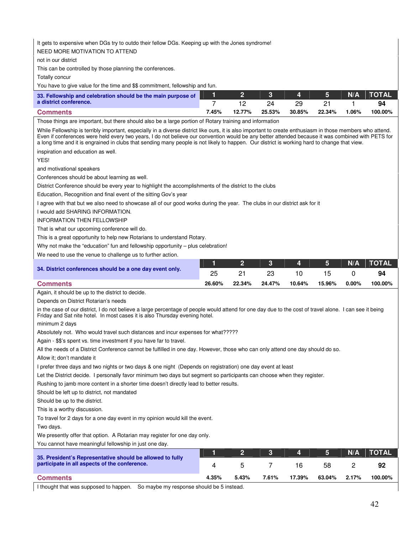#### It gets to expensive when DGs try to outdo their fellow DGs. Keeping up with the Jones syndrome!

NEED MORE MOTIVATION TO ATTEND

not in our district

This can be controlled by those planning the conferences.

Totally concur

You have to give value for the time and \$\$ commitment, fellowship and fun.

| 33. Fellowship and celebration should be the main purpose of |       |        |        | <b>NO. A. DEA</b> | $\sqrt{5}$ | N/A  | <b>TOTAL</b> |
|--------------------------------------------------------------|-------|--------|--------|-------------------|------------|------|--------------|
| a district conference.                                       |       |        |        |                   |            |      | 94           |
| <b>Comments</b>                                              | 7.45% | 12.77% | 25.53% | 30.85%            | 22.34%     | .06% | 100.00%      |

Those things are important, but there should also be a large portion of Rotary training and information

While Fellowship is terribly important, especially in a diverse district like ours, it is also important to create enthusiasm in those members who attend. Even if conferences were held every two years, I do not believe our convention would be any better attended because it was combined with PETS for a long time and it is engrained in clubs that sending many people is not likely to happen. Our district is working hard to change that view.

inspiration and education as well.

YES!

and motivational speakers

Conferences should be about learning as well.

District Conference should be every year to highlight the accomplishments of the district to the clubs

Education, Recognition and final event of the sitting Gov's year

I agree with that but we also need to showcase all of our good works during the year. The clubs in our district ask for it

I would add SHARING INFORMATION.

INFORMATION THEN FELLOWSHIP

That is what our upcoming conference will do.

This is a great opportunity to help new Rotarians to understand Rotary.

Why not make the "education" fun and fellowship opportunity - plus celebration!

We need to use the venue to challenge us to further action.

|                                                          |        |        | 1   2   3   4   5   N/A   TOTAL |        |        |          |         |
|----------------------------------------------------------|--------|--------|---------------------------------|--------|--------|----------|---------|
| 34. District conferences should be a one day event only. |        |        |                                 |        |        |          | 94      |
| <b>Comments</b>                                          | 26.60% | 22.34% | 24.47%                          | 10.64% | 15.96% | $0.00\%$ | 100.00% |

Again, it should be up to the district to decide.

Depends on District Rotarian's needs

in the case of our district, I do not believe a large percentage of people would attend for one day due to the cost of travel alone. I can see it being Friday and Sat nite hotel. In most cases it is also Thursday evening hotel.

minimum 2 days

Absolutely not. Who would travel such distances and incur expenses for what?????

Again - \$\$'s spent vs. time investment if you have far to travel.

All the needs of a District Conference cannot be fulfilled in one day. However, those who can only attend one day should do so.

Allow it; don't mandate it

I prefer three days and two nights or two days & one night (Depends on registration) one day event at least

Let the District decide. I personally favor minimum two days but segment so participants can choose when they register.

Rushing to jamb more content in a shorter time doesn't directly lead to better results.

Should be left up to district, not mandated

Should be up to the district.

This is a worthy discussion.

To travel for 2 days for a one day event in my opinion would kill the event.

Two days.

We presently offer that option. A Rotarian may register for one day only.

You cannot have meaningful fellowship in just one day.

|                                                                                                            |       |       |       | $\overline{4}$ | 5 <sup>5</sup> | N/A   | <b>TOTAL</b> |
|------------------------------------------------------------------------------------------------------------|-------|-------|-------|----------------|----------------|-------|--------------|
| 35. President's Representative should be allowed to fully<br>participate in all aspects of the conference. |       |       |       |                | 58             |       | 92           |
| <b>Comments</b>                                                                                            | 4.35% | 5.43% | 7.61% | 17.39%         | 63.04%         | 2.17% | 100.00%      |

I thought that was supposed to happen. So maybe my response should be 5 instead.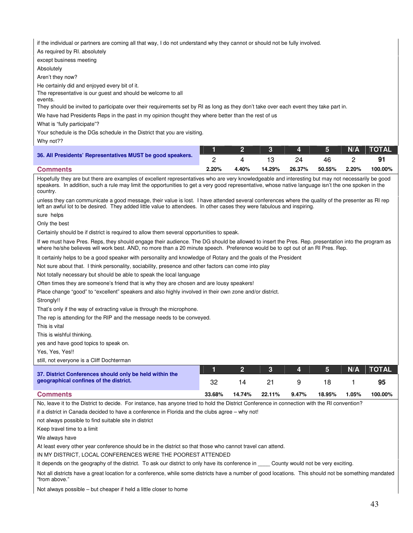if the individual or partners are coming all that way, I do not understand why they cannot or should not be fully involved.

As required by RI. absolutely

except business meeting

Absolutely

Aren't they now?

He certainly did and enjoyed every bit of it.

The representative is our guest and should be welcome to all events.

They should be invited to participate over their requirements set by RI as long as they don't take over each event they take part in.

We have had Presidents Reps in the past in my opinion thought they where better than the rest of us

What is "fully participate"?

Your schedule is the DGs schedule in the District that you are visiting.

Why not??

|                                                            |       |       |        |        |        |          | 1   2   3   4   5   N/A  TOTAL <sup> </sup> |
|------------------------------------------------------------|-------|-------|--------|--------|--------|----------|---------------------------------------------|
| 36. All Presidents' Representatives MUST be good speakers. |       |       |        |        | 46.    |          | 91                                          |
| <b>Comments</b>                                            | 2.20% | 4.40% | 14.29% | 26.37% | 50.55% | $2.20\%$ | 100.00%                                     |

Hopefully they are but there are examples of excellent representatives who are very knowledgeable and interesting but may not necessarily be good speakers. In addition, such a rule may limit the opportunities to get a very good representative, whose native language isn't the one spoken in the country.

unless they can communicate a good message, their value is lost. I have attended several conferences where the quality of the presenter as RI rep left an awful lot to be desired. They added little value to attendees. In other cases they were fabulous and inspiring.

sure helps

Only the best

Certainly should be if district is required to allow them several opportunities to speak.

If we must have Pres. Reps, they should engage their audience. The DG should be allowed to insert the Pres. Rep. presentation into the program as where he/she believes will work best. AND, no more than a 20 minute speech. Preference would be to opt out of an RI Pres. Rep.

It certainly helps to be a good speaker with personality and knowledge of Rotary and the goals of the President

Not sure about that. I think personality, sociability, presence and other factors can come into play

Not totally necessary but should be able to speak the local language

Often times they are someone's friend that is why they are chosen and are lousy speakers!

Place change "good" to "excellent" speakers and also highly involved in their own zone and/or district.

Strongly!!

That's only if the way of extracting value is through the microphone.

The rep is attending for the RIP and the message needs to be conveyed.

This is vital

This is wishful thinking.

yes and have good topics to speak on.

Yes, Yes, Yes!!

still, not everyone is a Cliff Dochterman

|                                                                                                   |        |        | $\sim$ 3 $\sim$ |       | $\boxed{4}$ $\boxed{5}$ | N/A   | <b>TOTAL</b> |
|---------------------------------------------------------------------------------------------------|--------|--------|-----------------|-------|-------------------------|-------|--------------|
| 37. District Conferences should only be held within the<br>geographical confines of the district. |        |        |                 |       |                         |       | 95           |
| <b>Comments</b>                                                                                   | 33.68% | 14.74% | 22.11%          | 9.47% | 18.95%                  | 1.05% | 100.00%      |

No, leave it to the District to decide. For instance, has anyone tried to hold the District Conference in connection with the RI convention?

if a district in Canada decided to have a conference in Florida and the clubs agree – why not!

not always possible to find suitable site in district

Keep travel time to a limit

We always have

At least every other year conference should be in the district so that those who cannot travel can attend.

IN MY DISTRICT, LOCAL CONFERENCES WERE THE POOREST ATTENDED

It depends on the geography of the district. To ask our district to only have its conference in \_\_\_\_ County would not be very exciting.

Not all districts have a great location for a conference, while some districts have a number of good locations. This should not be something mandated "from above."

Not always possible – but cheaper if held a little closer to home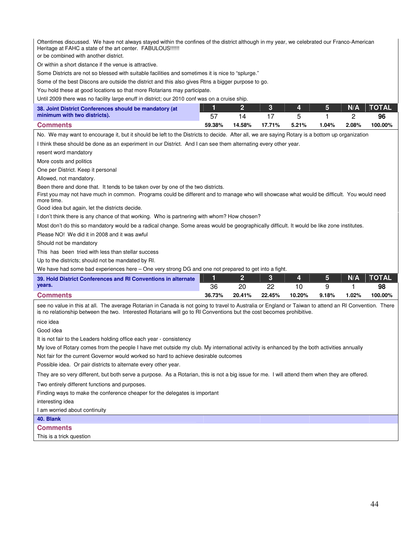Oftentimes discussed. We have not always stayed within the confines of the district although in my year, we celebrated our Franco-American Heritage at FAHC a state of the art center. FABULOUS!!!!!!

or be combined with another district.

Or within a short distance if the venue is attractive.

Some Districts are not so blessed with suitable facilities and sometimes it is nice to "splurge."

Some of the best Discons are outside the district and this also gives Rtns a bigger purpose to go.

You hold these at good locations so that more Rotarians may participate.

Until 2009 there was no facility large enuff in district; our 2010 conf was on a cruise ship.

| 38. Joint District Conferences should be mandatory (at |        |        |        |       |          |          |         |
|--------------------------------------------------------|--------|--------|--------|-------|----------|----------|---------|
| minimum with two districts).                           |        |        |        |       |          |          |         |
| <b>Comments</b>                                        | 59.38% | 14.58% | 17.71% | 5.21% | $1.04\%$ | $2.08\%$ | 100.00% |

No. We may want to encourage it, but it should be left to the Districts to decide. After all, we are saying Rotary is a bottom up organization

I think these should be done as an experiment in our District. And I can see them alternating every other year.

resent word mandatory

More costs and politics

One per District. Keep it personal

Allowed, not mandatory.

Been there and done that. It tends to be taken over by one of the two districts.

First you may not have much in common. Programs could be different and to manage who will showcase what would be difficult. You would need more time.

Good idea but again, let the districts decide.

I don't think there is any chance of that working. Who is partnering with whom? How chosen?

Most don't do this so mandatory would be a radical change. Some areas would be geographically difficult. It would be like zone institutes.

Please NO! We did it in 2008 and it was awful

Should not be mandatory

This has been tried with less than stellar success

Up to the districts; should not be mandated by RI.

We have had some bad experiences here – One very strong DG and one not prepared to get into a fight.

| 39. Hold District Conferences and RI Conventions in alternate |        |        | $-3$   | $\blacksquare$ $\blacksquare$ $\blacksquare$ |       | N/A      | <b>TOTAL</b> |
|---------------------------------------------------------------|--------|--------|--------|----------------------------------------------|-------|----------|--------------|
| vears.                                                        | 36     | ᠒      |        |                                              |       |          | 98           |
| <b>Comments</b>                                               | 36.73% | 20.41% | 22.45% | 10.20%                                       | 9.18% | $1.02\%$ | 100.00%      |

see no value in this at all. The average Rotarian in Canada is not going to travel to Australia or England or Taiwan to attend an RI Convention. There is no relationship between the two. Interested Rotarians will go to RI Conventions but the cost becomes prohibitive.

nice idea

Good idea

It is not fair to the Leaders holding office each year - consistency

My love of Rotary comes from the people I have met outside my club. My international activity is enhanced by the both activities annually

Not fair for the current Governor would worked so hard to achieve desirable outcomes

Possible idea. Or pair districts to alternate every other year.

They are so very different, but both serve a purpose. As a Rotarian, this is not a big issue for me. I will attend them when they are offered.

Two entirely different functions and purposes.

Finding ways to make the conference cheaper for the delegates is important

interesting idea

I am worried about continuity

#### **40. Blank**

#### **Comments**

This is a trick question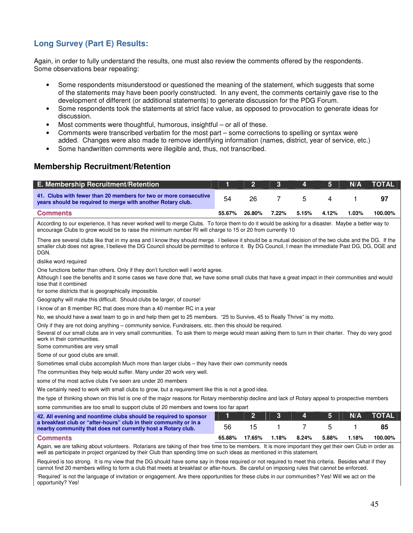# **Long Survey (Part E) Results:**

Again, in order to fully understand the results, one must also review the comments offered by the respondents. Some observations bear repeating:

- Some respondents misunderstood or questioned the meaning of the statement, which suggests that some of the statements may have been poorly constructed. In any event, the comments certainly gave rise to the development of different (or additional statements) to generate discussion for the PDG Forum.
- Some respondents took the statements at strict face value, as opposed to provocation to generate ideas for discussion.
- Most comments were thoughtful, humorous, insightful or all of these.
- Comments were transcribed verbatim for the most part some corrections to spelling or syntax were added. Changes were also made to remove identifying information (names, district, year of service, etc.)
- Some handwritten comments were illegible and, thus, not transcribed.

# **Membership Recruitment/Retention**

| <b>E. Membership Recruitment/Retention</b>                                                                                      |        |        | <b>The Company of Street</b> | $\overline{\phantom{a}}$ | T51   | N/A   | TOTAL   |
|---------------------------------------------------------------------------------------------------------------------------------|--------|--------|------------------------------|--------------------------|-------|-------|---------|
| 41. Clubs with fewer than 20 members for two or more consecutive<br>years should be required to merge with another Rotary club. | 54     | 26     |                              | 5.                       |       |       | 97      |
| <b>Comments</b>                                                                                                                 | 55.67% | 26.80% | $7.22\%$                     | 5.15%                    | 4.12% | 1.03% | 100.00% |

According to our experience, it has never worked well to merge Clubs. To force them to do it would be asking for a disaster. Maybe a better way to encourage Clubs to grow would be to raise the minimum number RI will charge to 15 or 20 from currently 10

There are several clubs like that in my area and I know they should merge. I believe it should be a mutual decision of the two clubs and the DG. If the smaller club does not agree, I believe the DG Council should be permitted to enforce it. By DG Council, I mean the immediate Past DG, DG, DGE and **DGN.** 

dislike word required

One functions better than others. Only if they don't function well I world agree.

Although I see the benefits and it some cases we have done that, we have some small clubs that have a great impact in their communities and would lose that it combined

for some districts that is geographically impossible.

Geography will make this difficult. Should clubs be larger, of course!

I know of an 8 member RC that does more than a 40 member RC in a year

No, we should have a swat team to go in and help them get to 25 members. "25 to Survive, 45 to Really Thrive" is my motto.

Only if they are not doing anything – community service, Fundraisers, etc. then this should be required.

Several of our small clubs are in very small communities. To ask them to merge would mean asking them to turn in their charter. They do very good work in their communities.

Some communities are very small

Some of our good clubs are small.

Sometimes small clubs accomplish Much more than larger clubs – they have their own community needs

The communities they help would suffer. Many under 20 work very well.

some of the most active clubs I've seen are under 20 members

We certainly need to work with small clubs to grow, but a requirement like this is not a good idea.

the type of thinking shown on this list is one of the major reasons for Rotary membership decline and lack of Rotary appeal to prospective members

some communities are too small to support clubs of 20 members and towns too far apart

| 42. All evening and noontime clubs should be required to sponsor                                                                  |        |        | $\sim$ 3 $\sim$ | $\mathbf{A}$ | <b>64</b> | N/A   | <b>TOTAL</b> |
|-----------------------------------------------------------------------------------------------------------------------------------|--------|--------|-----------------|--------------|-----------|-------|--------------|
| a breakfast club or "after-hours" club in their community or in a<br>nearby community that does not currently host a Rotary club. | 56     | 15.    |                 |              |           |       | 85           |
| <b>Comments</b>                                                                                                                   | 65.88% | 17.65% | 1.18%           | 8.24%        | 5.88%     | 1.18% | 100.00%      |

Again, we are talking about volunteers. Rotarians are taking of their free time to be members. It is more important they get their own Club in order as well as participate in project organized by their Club than spending time on such ideas as mentioned in this statement.

Required is too strong. It is my view that the DG should have some say in those required or not required to meet this criteria. Besides what if they cannot find 20 members willing to form a club that meets at breakfast or after-hours. Be careful on imposing rules that cannot be enforced.

'Required' is not the language of invitation or engagement. Are there opportunities for these clubs in our communities? Yes! Will we act on the opportunity? Yes!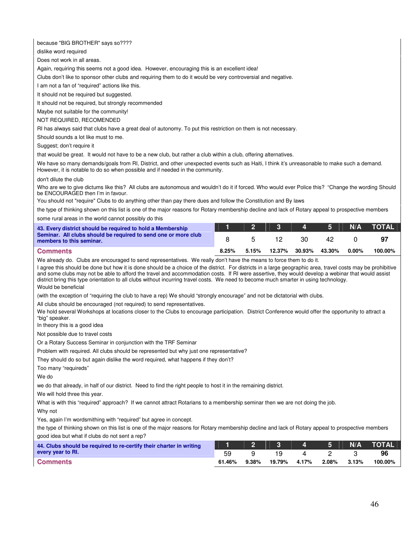because "BIG BROTHER" says so????

dislike word required

Does not work in all areas.

Again, requiring this seems not a good idea. However, encouraging this is an excellent idea!

Clubs don't like to sponsor other clubs and requiring them to do it would be very controversial and negative.

I am not a fan of "required" actions like this.

It should not be required but suggested.

It should not be required, but strongly recommended

Maybe not suitable for the community!

#### NOT REQUIRED, RECOMENDED

RI has always said that clubs have a great deal of autonomy. To put this restriction on them is not necessary.

Should sounds a lot like must to me.

Suggest; don't require it

that would be great. It would not have to be a new club, but rather a club within a club, offering alternatives.

We have so many demands/goals from RI, District, and other unexpected events such as Haiti, I think it's unreasonable to make such a demand. However, it is notable to do so when possible and if needed in the community.

don't dilute the club

Who are we to give dictums like this? All clubs are autonomous and wouldn't do it if forced. Who would ever Police this? "Change the wording Should be ENCOURAGED then I'm in favour.

You should not "require" Clubs to do anything other than pay there dues and follow the Constitution and By laws

the type of thinking shown on this list is one of the major reasons for Rotary membership decline and lack of Rotary appeal to prospective members

some rural areas in the world cannot possibly do this

| 43. Every district should be required to hold a Membership                                 |       |       |               | 4 5 1  | N/A      | <b>TOTAL</b> |
|--------------------------------------------------------------------------------------------|-------|-------|---------------|--------|----------|--------------|
| Seminar. All clubs should be required to send one or more club<br>members to this seminar. |       |       | 30.           | 42     |          | 97           |
| <b>Comments</b>                                                                            | 8.25% | 5.15% | 12.37% 30.93% | 43.30% | $0.00\%$ | 100.00%      |

We already do. Clubs are encouraged to send representatives. We really don't have the means to force them to do it.

I agree this should be done but how it is done should be a choice of the district. For districts in a large geographic area, travel costs may be prohibitive and some clubs may not be able to afford the travel and accommodation costs. If RI were assertive, they would develop a webinar that would assist district bring this type orientation to all clubs without incurring travel costs. We need to become much smarter in using technology. Would be beneficial

(with the exception of "requiring the club to have a rep) We should "strongly encourage" and not be dictatorial with clubs.

All clubs should be encouraged (not required) to send representatives.

We hold several Workshops at locations closer to the Clubs to encourage participation. District Conference would offer the opportunity to attract a "big" speaker.

In theory this is a good idea

Not possible due to travel costs

Or a Rotary Success Seminar in conjunction with the TRF Seminar

Problem with required. All clubs should be represented but why just one representative?

They should do so but again dislike the word required, what happens if they don't?

Too many "requireds"

We do

we do that already, in half of our district. Need to find the right people to host it in the remaining district.

We will hold three this year.

What is with this "required" approach? If we cannot attract Rotarians to a membership seminar then we are not doing the job.

Why not

Yes, again I'm wordsmithing with "required" but agree in concept.

the type of thinking shown on this list is one of the major reasons for Rotary membership decline and lack of Rotary appeal to prospective members good idea but what if clubs do not sent a rep?

| 44. Clubs should be required to re-certify their charter in writing |        |       |        |       | $\begin{array}{ c c c c c c } \hline \textbf{4} & \textbf{5} & \textbf{1} \ \hline \end{array}$ | N/A      | <b>TOTAL</b> |
|---------------------------------------------------------------------|--------|-------|--------|-------|-------------------------------------------------------------------------------------------------|----------|--------------|
| every year to RI.                                                   | 59     |       | 19.    |       |                                                                                                 |          | 96           |
| <b>Comments</b>                                                     | 61.46% | 9.38% | 19.79% | 4.17% | 2.08%                                                                                           | $3.13\%$ | 100.00%      |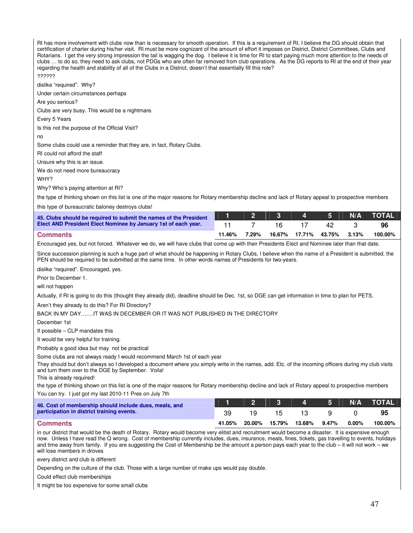RI has more involvement with clubs now than is necessary for smooth operation. If this is a requirement of RI, I believe the DG should obtain that certification of charter during his/her visit. RI must be more cognizant of the amount of effort it imposes on District, District Committees, Clubs and Rotarians. I get the very strong impression the tail is wagging the dog. I believe it is time for RI to start paying much more attention to the needs of clubs … to do so, they need to ask clubs, not PDGs who are often far removed from club operations. As the DG reports to RI at the end of their year regarding the health and stability of all of the Clubs in a District, doesn't that essentially fill this role?

#### ??????

dislike "required". Why?

Under certain circumstances perhaps

Are you serious?

Clubs are very busy. This would be a nightmare.

Every 5 Years

Is this not the purpose of the Official Visit?

no

Some clubs could use a reminder that they are, in fact, Rotary Clubs.

RI could not afford the staff

Unsure why this is an issue.

We do not need more bureaucracy

WHY?

Why? Who's paying attention at RI?

the type of thinking shown on this list is one of the major reasons for Rotary membership decline and lack of Rotary appeal to prospective members

this type of bureaucratic baloney destroys clubs!

| 45. Clubs should be required to submit the names of the President |        |       |     | 2 3 4 5 |       | N/A TOTAL |
|-------------------------------------------------------------------|--------|-------|-----|---------|-------|-----------|
| Elect AND President Elect Nominee by January 1st of each year.    |        |       | 16. | 42      |       | 96        |
| <b>Comments</b>                                                   | 11.46% | 7.29% |     |         | 3.13% | 100.00%   |

Encouraged yes, but not forced. Whatever we do, we will have clubs that come up with their Presidents Elect and Nominee later than that date.

Since succession planning is such a huge part of what should be happening in Rotary Clubs, I believe when the name of a President is submitted, the PEN should be required to be submitted at the same time. In other words names of Presidents for two-years.

dislike "required". Encouraged, yes.

Prior to December 1.

will not happen

Actually, if RI is going to do this (thought they already did), deadline should be Dec. 1st, so DGE can get information in time to plan for PETS.

Aren't they already to do this? For RI Directory?

BACK IN MY DAY…….IT WAS IN DECEMBER OR IT WAS NOT PUBLISHED IN THE DIRECTORY

December 1st

If possible – CLP mandates this

It would be very helpful for training.

Probably a good idea but may not be practical

Some clubs are not always ready I would recommend March 1st of each year

They should but don't always so I developed a document where you simply write in the names, add. Etc. of the incoming officers during my club visits and turn them over to the DGE by September. Voila!

This is already required!

the type of thinking shown on this list is one of the major reasons for Rotary membership decline and lack of Rotary appeal to prospective members You can try. I just got my last 2010-11 Pres on July 7th

| 46. Cost of membership should include dues, meals, and |        |        |        | 123451        | <b>N/A</b> | <b>NOTAL</b> |
|--------------------------------------------------------|--------|--------|--------|---------------|------------|--------------|
| participation in district training events.             | 39.    |        | 15.    | 13.           |            | 95           |
| <b>Comments</b>                                        | 41.05% | 20.00% | 15.79% | 13.68%  9.47% | $0.00\%$   | 100.00%      |

in our district that would be the death of Rotary. Rotary would become very elitist and recruitment would become a disaster. It is expensive enough now. Unless I have read the Q wrong. Cost of membership currently includes, dues, insurance, meals, fines, tickets, gas travelling to events, holidays and time away from family. If you are suggesting the Cost of Membership be the amount a person pays each year to the club – it will not work – we will lose members in droves

every district and club is different

Depending on the culture of the club. Those with a large number of make ups would pay double.

Could effect club memberships

It might be too expensive for some small clubs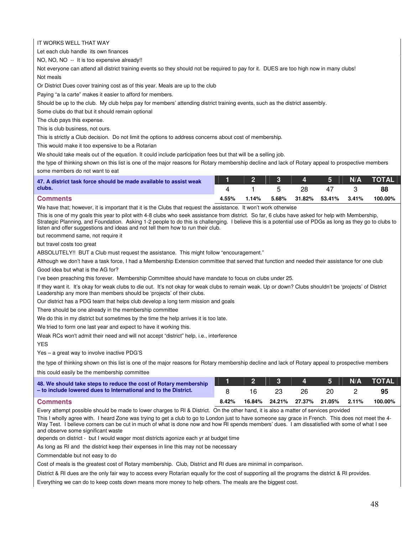IT WORKS WELL THAT WAY

Let each club handle its own finances

NO, NO, NO -- It is too expensive already!!

Not everyone can attend all district training events so they should not be required to pay for it. DUES are too high now in many clubs! Not meals

Or District Dues cover training cost as of this year. Meals are up to the club

Paying "a la carte" makes it easier to afford for members.

Should be up to the club. My club helps pay for members' attending district training events, such as the district assembly.

Some clubs do that but it should remain optional

The club pays this expense.

This is club business, not ours.

This is strictly a Club decision. Do not limit the options to address concerns about cost of membership.

This would make it too expensive to be a Rotarian

We should take meals out of the equation. It could include participation fees but that will be a selling job.

the type of thinking shown on this list is one of the major reasons for Rotary membership decline and lack of Rotary appeal to prospective members some members do not want to eat

| 47. A district task force should be made available to assist weak |       |       |       | 1 2 3 4 5 N         | N/A TOTAL |
|-------------------------------------------------------------------|-------|-------|-------|---------------------|-----------|
| clubs.                                                            |       |       |       | 47                  | 88        |
| <b>Comments</b>                                                   | 4.55% | 1.14% | 5.68% | 31.82% 53.41% 3.41% | 100.00%   |

We have that; however, it is important that it is the Clubs that request the assistance. It won't work otherwise

This is one of my goals this year to pilot with 4-8 clubs who seek assistance from district. So far, 6 clubs have asked for help with Membership, Strategic Planning, and Foundation. Asking 1-2 people to do this is challenging. I believe this is a potential use of PDGs as long as they go to clubs to listen and offer suggestions and ideas and not tell them how to run their club.

but recommend same, not require it

but travel costs too great

ABSOLUTELY!! BUT a Club must request the assistance. This might follow "encouragement."

Although we don't have a task force, I had a Membership Extension committee that served that function and needed their assistance for one club

Good idea but what is the AG for?

I've been preaching this forever. Membership Committee should have mandate to focus on clubs under 25.

If they want it. It's okay for weak clubs to die out. It's not okay for weak clubs to remain weak. Up or down? Clubs shouldn't be 'projects' of District Leadership any more than members should be 'projects' of their clubs.

Our district has a PDG team that helps club develop a long term mission and goals

There should be one already in the membership committee

We do this in my district but sometimes by the time the help arrives it is too late.

We tried to form one last year and expect to have it working this.

Weak RCs won't admit their need and will not accept "district" help, i.e., interference

YES

Yes – a great way to involve inactive PDG'S

the type of thinking shown on this list is one of the major reasons for Rotary membership decline and lack of Rotary appeal to prospective members

this could easily be the membership committee

| 48. We should take steps to reduce the cost of Rotary membership |       |        |  |                            | N/A | <b>NTOTAL</b> |
|------------------------------------------------------------------|-------|--------|--|----------------------------|-----|---------------|
| - to include lowered dues to International and to the District.  |       |        |  |                            |     | 95            |
| <b>Comments</b>                                                  | 8.42% | 16.84% |  | 24.21% 27.37% 21.05% 2.11% |     | 100.00%       |

Every attempt possible should be made to lower charges to RI & District. On the other hand, it is also a matter of services provided

This I wholly agree with. I heard Zone was trying to get a club to go to London just to have someone say grace in French. This does not meet the 4- Way Test. I believe corners can be cut in much of what is done now and how RI spends members' dues. I am dissatisfied with some of what I see and observe some significant waste

depends on district - but I would wager most districts agonize each yr at budget time

As long as RI and the district keep their expenses in line this may not be necessary

Commendable but not easy to do

Cost of meals is the greatest cost of Rotary membership. Club, District and RI dues are minimal in comparison.

District & RI dues are the only fair way to access every Rotarian equally for the cost of supporting all the programs the district & RI provides.

Everything we can do to keep costs down means more money to help others. The meals are the biggest cost.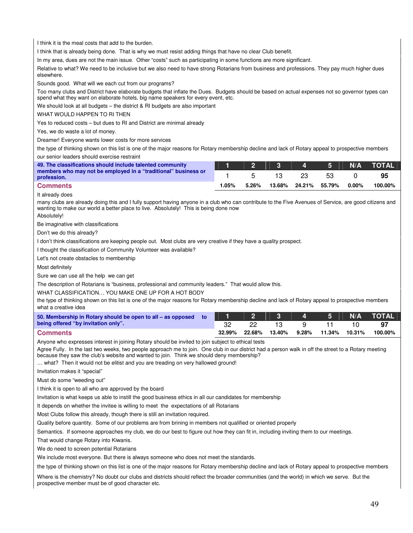I think it is the meal costs that add to the burden.

I think that is already being done. That is why we must resist adding things that have no clear Club benefit.

In my area, dues are not the main issue. Other "costs" such as participating in some functions are more significant.

Relative to what? We need to be inclusive but we also need to have strong Rotarians from business and professions. They pay much higher dues elsewhere.

Sounds good. What will we each cut from our programs?

Too many clubs and District have elaborate budgets that inflate the Dues. Budgets should be based on actual expenses not so governor types can spend what they want on elaborate hotels, big name speakers for every event, etc.

We should look at all budgets – the district & RI budgets are also important

#### WHAT WOULD HAPPEN TO RI THEN

Yes to reduced costs – but dues to RI and District are minimal already

Yes, we do waste a lot of money.

Dreamer! Everyone wants lower costs for more services

the type of thinking shown on this list is one of the major reasons for Rotary membership decline and lack of Rotary appeal to prospective members our senior leaders should exercise restraint

| 49. The classifications should include talented community                     |       |       |        | $4 \mid 5$    | N/A      | <b>TOTAL</b> |
|-------------------------------------------------------------------------------|-------|-------|--------|---------------|----------|--------------|
| members who may not be employed in a "traditional" business or<br>profession. |       |       |        |               |          | 95           |
| <b>Comments</b>                                                               | 1.05% | 5.26% | 13.68% | 24.21% 55.79% | $0.00\%$ | 100.00%      |

It already does

many clubs are already doing this and I fully support having anyone in a club who can contribute to the Five Avenues of Service, are good citizens and wanting to make our world a better place to live. Absolutely! This is being done now

Absolutely!

Be imaginative with classifications

Don't we do this already?

I don't think classifications are keeping people out. Most clubs are very creative if they have a quality prospect.

I thought the classification of Community Volunteer was available?

Let's not create obstacles to membership

Most definitely

Sure we can use all the help we can get

The description of Rotarians is "business, professional and community leaders." That would allow this.

#### WHAT CLASSIFICATION… YOU MAKE ONE UP FOR A HOT BODY

the type of thinking shown on this list is one of the major reasons for Rotary membership decline and lack of Rotary appeal to prospective members what a creative idea

| 50. Membership in Rotary should be open to all – as opposed to |        |        | 2 3 4 5 1 |          |               | N/A TOTAL |
|----------------------------------------------------------------|--------|--------|-----------|----------|---------------|-----------|
| being offered "by invitation only".                            |        |        |           | u        |               | -97       |
| <b>Comments</b>                                                | 32.99% | 22.68% | 13.40%    | $9.28\%$ | 11.34% 10.31% | 100.00%   |

Anyone who expresses interest in joining Rotary should be invited to join subject to ethical tests

Agree Fully. In the last two weeks, two people approach me to join. One club in our district had a person walk in off the street to a Rotary meeting because they saw the club's website and wanted to join. Think we should deny membership?

… what? Then it would not be elitist and you are treading on very hallowed ground!

Invitation makes it "special"

Must do some "weeding out"

I think it is open to all who are approved by the board

Invitation is what keeps us able to instill the good business ethics in all our candidates for membership

It depends on whether the invitee is willing to meet the expectations of all Rotarians

Most Clubs follow this already, though there is still an invitation required.

Quality before quantity. Some of our problems are from brining in members not qualified or oriented properly

Semantics. If someone approaches my club, we do our best to figure out how they can fit in, including inviting them to our meetings.

That would change Rotary into Kiwanis.

We do need to screen potential Rotarians

We include most everyone. But there is always someone who does not meet the standards.

the type of thinking shown on this list is one of the major reasons for Rotary membership decline and lack of Rotary appeal to prospective members

Where is the chemistry? No doubt our clubs and districts should reflect the broader communities (and the world) in which we serve. But the prospective member must be of good character etc.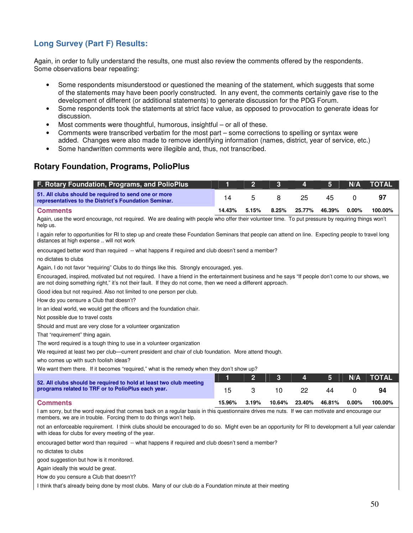# **Long Survey (Part F) Results:**

Again, in order to fully understand the results, one must also review the comments offered by the respondents. Some observations bear repeating:

- Some respondents misunderstood or questioned the meaning of the statement, which suggests that some of the statements may have been poorly constructed. In any event, the comments certainly gave rise to the development of different (or additional statements) to generate discussion for the PDG Forum.
- Some respondents took the statements at strict face value, as opposed to provocation to generate ideas for discussion.
- Most comments were thoughtful, humorous, insightful  $-$  or all of these.
- Comments were transcribed verbatim for the most part some corrections to spelling or syntax were added. Changes were also made to remove identifying information (names, district, year of service, etc.)
- Some handwritten comments were illegible and, thus, not transcribed.

# **Rotary Foundation, Programs, PolioPlus**

| F. Rotary Foundation, Programs, and PolioPlus                                                                                                                                                                                                                       | 1      | $\overline{2}$ | 3      | 4      | 5      | N/A      | <b>TOTAL</b> |
|---------------------------------------------------------------------------------------------------------------------------------------------------------------------------------------------------------------------------------------------------------------------|--------|----------------|--------|--------|--------|----------|--------------|
| 51. All clubs should be required to send one or more<br>representatives to the District's Foundation Seminar.                                                                                                                                                       | 14     | 5              | 8      | 25     | 45     | 0        | 97           |
| <b>Comments</b>                                                                                                                                                                                                                                                     | 14.43% | 5.15%          | 8.25%  | 25.77% | 46.39% | 0.00%    | 100.00%      |
| Again, use the word encourage, not required. We are dealing with people who offer their volunteer time. To put pressure by requiring things won't<br>help us.                                                                                                       |        |                |        |        |        |          |              |
| I again refer to opportunities for RI to step up and create these Foundation Seminars that people can attend on line. Expecting people to travel long<br>distances at high expense  will not work                                                                   |        |                |        |        |        |          |              |
| encouraged better word than required -- what happens if required and club doesn't send a member?                                                                                                                                                                    |        |                |        |        |        |          |              |
| no dictates to clubs                                                                                                                                                                                                                                                |        |                |        |        |        |          |              |
| Again, I do not favor "requiring" Clubs to do things like this. Strongly encouraged, yes.                                                                                                                                                                           |        |                |        |        |        |          |              |
| Encouraged, inspired, motivated but not required. I have a friend in the entertainment business and he says "If people don't come to our shows, we<br>are not doing something right," it's not their fault. If they do not come, then we need a different approach. |        |                |        |        |        |          |              |
| Good idea but not required. Also not limited to one person per club.                                                                                                                                                                                                |        |                |        |        |        |          |              |
| How do you censure a Club that doesn't?                                                                                                                                                                                                                             |        |                |        |        |        |          |              |
| In an ideal world, we would get the officers and the foundation chair.                                                                                                                                                                                              |        |                |        |        |        |          |              |
| Not possible due to travel costs                                                                                                                                                                                                                                    |        |                |        |        |        |          |              |
| Should and must are very close for a volunteer organization                                                                                                                                                                                                         |        |                |        |        |        |          |              |
| That "requirement" thing again.                                                                                                                                                                                                                                     |        |                |        |        |        |          |              |
| The word required is a tough thing to use in a volunteer organization                                                                                                                                                                                               |        |                |        |        |        |          |              |
| We required at least two per club—current president and chair of club foundation. More attend though.                                                                                                                                                               |        |                |        |        |        |          |              |
| who comes up with such foolish ideas?                                                                                                                                                                                                                               |        |                |        |        |        |          |              |
| We want them there. If it becomes "required," what is the remedy when they don't show up?                                                                                                                                                                           |        |                |        |        |        |          |              |
|                                                                                                                                                                                                                                                                     | 1      | $\overline{2}$ | 3      | 4      | 5      | N/A      | <b>TOTAL</b> |
| 52. All clubs should be required to hold at least two club meeting<br>programs related to TRF or to PolioPlus each year.                                                                                                                                            | 15     | 3              | 10     | 22     | 44     | 0        | 94           |
| <b>Comments</b>                                                                                                                                                                                                                                                     | 15.96% | 3.19%          | 10.64% | 23.40% | 46.81% | $0.00\%$ | 100.00%      |
| I am sorry, but the word required that comes back on a regular basis in this questionnaire drives me nuts. If we can motivate and encourage our<br>members, we are in trouble. Forcing them to do things won't help.                                                |        |                |        |        |        |          |              |
| not an enforceable requirement. I think clubs should be encouraged to do so. Might even be an opportunity for RI to development a full year calendar<br>with ideas for clubs for every meeting of the year.                                                         |        |                |        |        |        |          |              |
| encouraged better word than required -- what happens if required and club doesn't send a member?                                                                                                                                                                    |        |                |        |        |        |          |              |
| no dictates to clubs                                                                                                                                                                                                                                                |        |                |        |        |        |          |              |
| good suggestion but how is it monitored.                                                                                                                                                                                                                            |        |                |        |        |        |          |              |
| Again ideally this would be great.                                                                                                                                                                                                                                  |        |                |        |        |        |          |              |
| How do you censure a Club that doesn't?                                                                                                                                                                                                                             |        |                |        |        |        |          |              |
| I think that's already being done by most clubs. Many of our club do a Foundation minute at their meeting                                                                                                                                                           |        |                |        |        |        |          |              |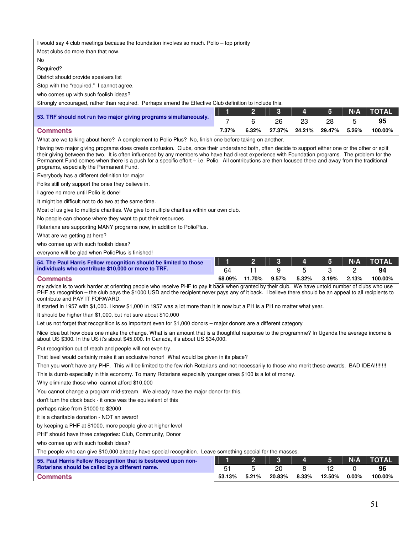I would say 4 club meetings because the foundation involves so much. Polio – top priority

Most clubs do more than that now.

No

Required?

District should provide speakers list

Stop with the "required." I cannot agree.

who comes up with such foolish ideas?

Strongly encouraged, rather than required. Perhaps amend the Effective Club definition to include this.

|                                                                  |       |          |                      | $\mathbf{3}$ $\mathbf{4}$ |       | N/A TOTAL |
|------------------------------------------------------------------|-------|----------|----------------------|---------------------------|-------|-----------|
| 53. TRF should not run two major giving programs simultaneously. |       |          | 26                   | -23                       |       | 95        |
| <b>Comments</b>                                                  | 7.37% | $6.32\%$ | 27.37% 24.21% 29.47% |                           | 5.26% | 100.00%   |

What are we talking about here? A complement to Polio Plus? No, finish one before taking on another.

Having two major giving programs does create confusion. Clubs, once their understand both, often decide to support either one or the other or split their giving between the two. It is often influenced by any members who have had direct experience with Foundation programs. The problem for the Permanent Fund comes when there is a push for a specific effort – i.e. Polio. All contributions are then focused there and away from the traditional programs, especially the Permanent Fund.

Everybody has a different definition for major

Folks still only support the ones they believe in.

I agree no more until Polio is done!

It might be difficult not to do two at the same time.

Most of us give to multiple charities. We give to multiple charities within our own club.

No people can choose where they want to put their resources

Rotarians are supporting MANY programs now, in addition to PolioPlus.

What are we getting at here?

who comes up with such foolish ideas?

everyone will be glad when PolioPlus is finished!

| 54. The Paul Harris Fellow recognition should be limited to those |        |        |       |       | 511   |       | N/A TOTAL |
|-------------------------------------------------------------------|--------|--------|-------|-------|-------|-------|-----------|
| individuals who contribute \$10,000 or more to TRF.               | 64     |        |       |       |       |       |           |
| <b>Comments</b>                                                   | 68.09% | 11.70% | 9.57% | 5.32% | 3.19% | 2.13% | 100.00%   |

my advice is to work harder at orienting people who receive PHF to pay it back when granted by their club. We have untold number of clubs who use PHF as recognition – the club pays the \$1000 USD and the recipient never pays any of it back. I believe there should be an appeal to all recipients to contribute and PAY IT FORWARD.

If started in 1957 with \$1,000. I know \$1,000 in 1957 was a lot more than it is now but a PH is a PH no matter what year.

It should be higher than \$1,000, but not sure about \$10,000

Let us not forget that recognition is so important even for \$1,000 donors – major donors are a different category

Nice idea but how does one make the change. What is an amount that is a thoughtful response to the programme? In Uganda the average income is about US \$300. In the US it's about \$45,000. In Canada, it's about US \$34,000.

Put recognition out of reach and people will not even try.

That level would certainly make it an exclusive honor! What would be given in its place?

Then you won't have any PHF. This will be limited to the few rich Rotarians and not necessarily to those who merit these awards. BAD IDEA!!!!!!!!

This is dumb especially in this economy. To many Rotarians especially younger ones \$100 is a lot of money.

Why eliminate those who cannot afford \$10,000

You cannot change a program mid-stream. We already have the major donor for this.

don't turn the clock back - it once was the equivalent of this

perhaps raise from \$1000 to \$2000

it is a charitable donation - NOT an award!

by keeping a PHF at \$1000, more people give at higher level

PHF should have three categories: Club, Community, Donor

who comes up with such foolish ideas?

The people who can give \$10,000 already have special recognition. Leave something special for the masses.

| 55. Paul Harris Fellow Recognition that is bestowed upon non- |        |       |     | $-4$ 5 $\overline{5}$ |       | N/A TOTAL |
|---------------------------------------------------------------|--------|-------|-----|-----------------------|-------|-----------|
| Rotarians should be called by a different name.               |        |       | 20. |                       |       | 96        |
| l Comments                                                    | 53.13% | 5.21% |     | 20.83% 8.33% 12.50%   | 0.00% | 100.00%   |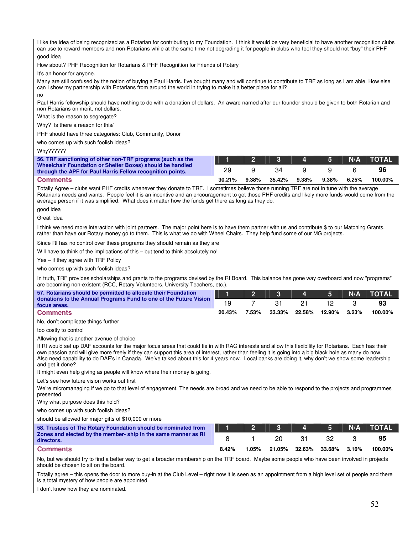I like the idea of being recognized as a Rotarian for contributing to my Foundation. I think it would be very beneficial to have another recognition clubs can use to reward members and non-Rotarians while at the same time not degrading it for people in clubs who feel they should not "buy" their PHF good idea

How about? PHF Recognition for Rotarians & PHF Recognition for Friends of Rotary

It's an honor for anyone.

Many are still confused by the notion of buying a Paul Harris. I've bought many and will continue to contribute to TRF as long as I am able. How else can I show my partnership with Rotarians from around the world in trying to make it a better place for all? no

Paul Harris fellowship should have nothing to do with a donation of dollars. An award named after our founder should be given to both Rotarian and non Rotarians on merit, not dollars.

What is the reason to segregate?

Why? Is there a reason for this/

PHF should have three categories: Club, Community, Donor

who comes up with such foolish ideas?

Why??????

| 56. TRF sanctioning of other non-TRF programs (such as the                                                              |        |       |        | $3 \quad 4 \quad$ | $-5$ $-$ | N/A   | <b>NTOTAL</b> |
|-------------------------------------------------------------------------------------------------------------------------|--------|-------|--------|-------------------|----------|-------|---------------|
| Wheelchair Foundation or Shelter Boxes) should be handled<br>through the APF for Paul Harris Fellow recognition points. | 29     |       | 34     |                   |          |       | 96            |
| <b>Comments</b>                                                                                                         | 30.21% | 9.38% | 35.42% | $9.38\%$          | $9.38\%$ | 6.25% | 100.00%       |

Totally Agree – clubs want PHF credits whenever they donate to TRF. I sometimes believe those running TRF are not in tune with the average Rotarians needs and wants. People feel it is an incentive and an encouragement to get those PHF credits and likely more funds would come from the average person if it was simplified. What does it matter how the funds get there as long as they do.

good idea

Great Idea

I think we need more interaction with joint partners. The major point here is to have them partner with us and contribute \$ to our Matching Grants, rather than have our Rotary money go to them. This is what we do with Wheel Chairs. They help fund some of our MG projects.

Since RI has no control over these programs they should remain as they are

Will have to think of the implications of this – but tend to think absolutely no!

Yes – if they agree with TRF Policy

who comes up with such foolish ideas?

In truth, TRF provides scholarships and grants to the programs devised by the RI Board. This balance has gone way overboard and now "programs" are becoming non-existent (RCC, Rotary Volunteers, University Teachers, etc.).

| 57. Rotarians should be permitted to allocate their Foundation                                                                                                                                                                                                                                                                                                                                                                                                                                                                                                         | ۲۱.    | $\overline{2}$ | 3      | 4      | 5      | N/A   | <b>TOTAL</b> |
|------------------------------------------------------------------------------------------------------------------------------------------------------------------------------------------------------------------------------------------------------------------------------------------------------------------------------------------------------------------------------------------------------------------------------------------------------------------------------------------------------------------------------------------------------------------------|--------|----------------|--------|--------|--------|-------|--------------|
| donations to the Annual Programs Fund to one of the Future Vision<br>focus areas.                                                                                                                                                                                                                                                                                                                                                                                                                                                                                      | 19     | $\overline{7}$ | 31     | 21     | 12     | 3     | 93           |
| <b>Comments</b>                                                                                                                                                                                                                                                                                                                                                                                                                                                                                                                                                        | 20.43% | 7.53%          | 33.33% | 22.58% | 12.90% | 3.23% | 100.00%      |
| No, don't complicate things further                                                                                                                                                                                                                                                                                                                                                                                                                                                                                                                                    |        |                |        |        |        |       |              |
| too costly to control                                                                                                                                                                                                                                                                                                                                                                                                                                                                                                                                                  |        |                |        |        |        |       |              |
| Allowing that is another avenue of choice                                                                                                                                                                                                                                                                                                                                                                                                                                                                                                                              |        |                |        |        |        |       |              |
| If RI would set up DAF accounts for the major focus areas that could tie in with RAG interests and allow this flexibility for Rotarians. Each has their<br>own passion and will give more freely if they can support this area of interest, rather than feeling it is going into a big black hole as many do now.<br>Also need capability to do DAF's in Canada. We've talked about this for 4 years now. Local banks are doing it, why don't we show some leadership<br>and get it done?<br>It might even help giving as people will know where their money is going. |        |                |        |        |        |       |              |
| Let's see how future vision works out first                                                                                                                                                                                                                                                                                                                                                                                                                                                                                                                            |        |                |        |        |        |       |              |
| We're micromanaging if we go to that level of engagement. The needs are broad and we need to be able to respond to the projects and programmes<br>presented                                                                                                                                                                                                                                                                                                                                                                                                            |        |                |        |        |        |       |              |
| Why what purpose does this hold?                                                                                                                                                                                                                                                                                                                                                                                                                                                                                                                                       |        |                |        |        |        |       |              |
| who comes up with such foolish ideas?                                                                                                                                                                                                                                                                                                                                                                                                                                                                                                                                  |        |                |        |        |        |       |              |
| should be allowed for major gifts of \$10,000 or more                                                                                                                                                                                                                                                                                                                                                                                                                                                                                                                  |        |                |        |        |        |       |              |
| 58. Trustees of The Rotary Foundation should be nominated from                                                                                                                                                                                                                                                                                                                                                                                                                                                                                                         | 1      | $\overline{2}$ | 3      | 4      | 5      | N/A   | <b>TOTAL</b> |
| Zones and elected by the member-ship in the same manner as RI<br>directors.                                                                                                                                                                                                                                                                                                                                                                                                                                                                                            | 8      |                | 20     | 31     | 32     | 3     | 95           |
| <b>Comments</b>                                                                                                                                                                                                                                                                                                                                                                                                                                                                                                                                                        | 8.42%  | 1.05%          | 21.05% | 32.63% | 33.68% | 3.16% | 100.00%      |
| No, but we should try to find a better way to get a broader membership on the TRF board. Maybe some people who have been involved in projects<br>should be chosen to sit on the board.                                                                                                                                                                                                                                                                                                                                                                                 |        |                |        |        |        |       |              |

Totally agree – this opens the door to more buy-in at the Club Level – right now it is seen as an appointment from a high level set of people and there is a total mystery of how people are appointed

I don't know how they are nominated.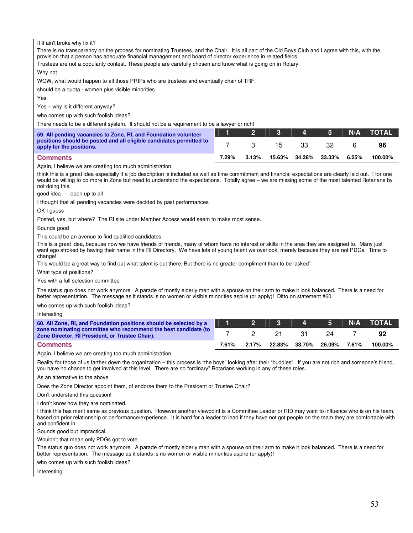If it ain't broke why fix it?

There is no transparency on the process for nominating Trustees, and the Chair. It is all part of the Old Boys Club and I agree with this, with the provision that a person has adequate financial management and board of director experience in related fields. Trustees are not a popularity contest. These people are carefully chosen and know what is going on in Rotary.

Why not

WOW, what would happen to all those PRIPs who are trustees and eventually chair of TRF.

should be a quota - women plus visible minorities

Yes

Yes – why is it different anyway?

who comes up with such foolish ideas?

There needs to be a different system. It should not be a requirement to be a lawyer or rich!

| 59. All pending vacancies to Zone, RI, and Foundation volunteer                                 |       |       |        | 4      | 5.     | N/A   | <b>TOTAL</b> |
|-------------------------------------------------------------------------------------------------|-------|-------|--------|--------|--------|-------|--------------|
| positions should be posted and all eligible candidates permitted to<br>apply for the positions. |       |       | 15     | 33.    |        |       | 96           |
| <b>Comments</b>                                                                                 | 7.29% | 3.13% | 15.63% | 34.38% | 33.33% | 6.25% | 100.00%      |

Again, I believe we are creating too much administration.

think this is a great idea especially if a job description is included as well as time commitment and financial expectations are clearly laid out. I for one would be willing to do more in Zone but need to understand the expectations. Totally agree – we are missing some of the most talented Rotarians by not doing this.

good idea -- open up to all

I thought that all pending vacancies were decided by past performances

OK I guess

Posted, yes, but where? The RI site under Member Access would seem to make most sense.

Sounds good

This could be an avenue to find qualified candidates.

This is a great idea, because now we have friends of friends, many of whom have no interest or skills in the area they are assigned to. Many just want ego stroked by having their name in the RI Directory. We have lots of young talent we overlook, merely because they are not PDGs. Time to change!

This would be a great way to find out what talent is out there. But there is no greater compliment than to be 'asked"

What type of positions?

Yes with a full selection committee

The status quo does not work anymore. A parade of mostly elderly men with a spouse on their arm to make it look balanced. There is a need for better representation. The message as it stands is no women or visible minorities aspire (or apply)! Ditto on statement #60.

who comes up with such foolish ideas?

Interesting

| 60. All Zone, RI, and Foundation positions should be selected by a                                                |       |       |               | $\mathbf{A}$ | 151    |       | N/A TOTAL' |
|-------------------------------------------------------------------------------------------------------------------|-------|-------|---------------|--------------|--------|-------|------------|
| zone nominating committee who recommend the best candidate (to<br>Zone Director, RI President, or Trustee Chair). |       |       |               | -31.         |        |       | 92         |
| <b>Comments</b>                                                                                                   | 7.61% | 2.17% | 22.83% 33.70% |              | 26.09% | 7.61% | 100.00%    |

Again, I believe we are creating too much administration.

Reality for those of us farther down the organization – this process is "the boys" looking after their "buddies". If you are not rich and someone's friend, you have no chance to get involved at this level. There are no "ordinary" Rotarians working in any of these roles.

As an alternative to the above

Does the Zone Director appoint them, of endorse them to the President or Trustee Chair?

Don't understand this question!

I don't know how they are nominated.

I think this has merit same as previous question. However another viewpoint is a Committee Leader or RID may want to influence who is on his team, based on prior relationship or performance/experience. It is hard for a leader to lead if they have not got people on the team they are comfortable with and confident in.

Sounds good but impractical.

Wouldn't that mean only PDGs got to vote

The status quo does not work anymore. A parade of mostly elderly men with a spouse on their arm to make it look balanced. There is a need for better representation. The message as it stands is no women or visible minorities aspire (or apply)!

who comes up with such foolish ideas?

Interesting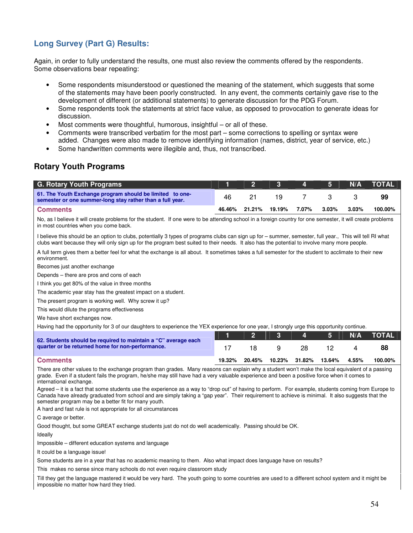# **Long Survey (Part G) Results:**

Again, in order to fully understand the results, one must also review the comments offered by the respondents. Some observations bear repeating:

- Some respondents misunderstood or questioned the meaning of the statement, which suggests that some of the statements may have been poorly constructed. In any event, the comments certainly gave rise to the development of different (or additional statements) to generate discussion for the PDG Forum.
- Some respondents took the statements at strict face value, as opposed to provocation to generate ideas for discussion.
- Most comments were thoughtful, humorous, insightful or all of these.
- Comments were transcribed verbatim for the most part some corrections to spelling or syntax were added. Changes were also made to remove identifying information (names, district, year of service, etc.)
- Some handwritten comments were illegible and, thus, not transcribed.

# **Rotary Youth Programs**

| G. Rotary Youth Programs                                                                                              |        |        | - 3-   | $\mathbf{A}$ | -5.      | N/A   | <b>TOTAL</b> |
|-----------------------------------------------------------------------------------------------------------------------|--------|--------|--------|--------------|----------|-------|--------------|
| 61. The Youth Exchange program should be limited to one-<br>semester or one summer-long stay rather than a full year. | 46     |        | 19     |              |          |       | 99           |
| <b>Comments</b>                                                                                                       | 46.46% | 21.21% | 19.19% | 7.07%        | $3.03\%$ | 3.03% | 100.00%      |

No, as I believe it will create problems for the student. If one were to be attending school in a foreign country for one semester, it will create problems in most countries when you come back.

I believe this should be an option to clubs, potentially 3 types of programs clubs can sign up for – summer, semester, full year., This will tell RI what clubs want because they will only sign up for the program best suited to their needs. It also has the potential to involve many more people.

A full term gives them a better feel for what the exchange is all about. It sometimes takes a full semester for the student to acclimate to their new environment.

Becomes just another exchange

Depends – there are pros and cons of each

I think you get 80% of the value in three months

The academic year stay has the greatest impact on a student.

The present program is working well. Why screw it up?

This would dilute the programs effectiveness

We have short exchanges now.

Having had the opportunity for 3 of our daughters to experience the YEX experience for one year, I strongly urge this opportunity continue.

|                                                                                                                    |        |        |   |                      | 2 3 4 5 | N/A   | <b>TOTAL</b> |
|--------------------------------------------------------------------------------------------------------------------|--------|--------|---|----------------------|---------|-------|--------------|
| 62. Students should be required to maintain a "C" average each<br>quarter or be returned home for non-performance. |        |        | q | 28.                  |         |       | 88           |
| <b>Comments</b>                                                                                                    | 19.32% | 20.45% |   | 10.23% 31.82% 13.64% |         | 4.55% | 100.00%      |

#### There are other values to the exchange program than grades. Many reasons can explain why a student won't make the local equivalent of a passing grade. Even if a student fails the program, he/she may still have had a very valuable experience and been a positive force when it comes to international exchange.

Agreed – it is a fact that some students use the experience as a way to "drop out" of having to perform. For example, students coming from Europe to Canada have already graduated from school and are simply taking a "gap year". Their requirement to achieve is minimal. It also suggests that the semester program may be a better fit for many youth.

A hard and fast rule is not appropriate for all circumstances

C average or better.

Good thought, but some GREAT exchange students just do not do well academically. Passing should be OK.

Ideally

Impossible – different education systems and language

It could be a language issue!

Some students are in a year that has no academic meaning to them. Also what impact does language have on results?

This makes no sense since many schools do not even require classroom study

Till they get the language mastered it would be very hard. The youth going to some countries are used to a different school system and it might be impossible no matter how hard they tried.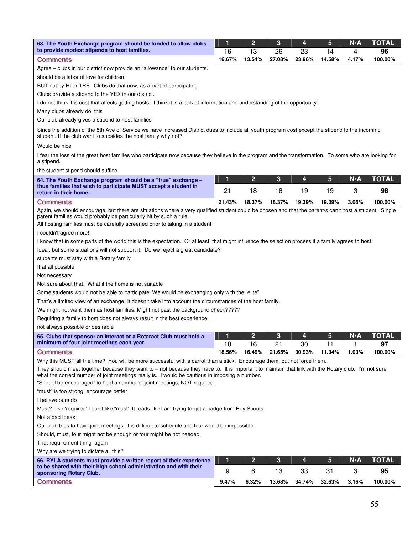| 63. The Youth Exchange program should be funded to allow clubs                                                                                                                                                                                                                                                                          | 1      | $\overline{2}$ | 3      | 4      | 5      | N/A   | <b>TOTAL</b> |
|-----------------------------------------------------------------------------------------------------------------------------------------------------------------------------------------------------------------------------------------------------------------------------------------------------------------------------------------|--------|----------------|--------|--------|--------|-------|--------------|
| to provide modest stipends to host families.                                                                                                                                                                                                                                                                                            | 16     | 13             | 26     | 23     | 14     | 4     | 96           |
| <b>Comments</b>                                                                                                                                                                                                                                                                                                                         | 16.67% | 13.54%         | 27.08% | 23.96% | 14.58% | 4.17% | 100.00%      |
| Agree – clubs in our district now provide an "allowance" to our students.                                                                                                                                                                                                                                                               |        |                |        |        |        |       |              |
| should be a labor of love for children.                                                                                                                                                                                                                                                                                                 |        |                |        |        |        |       |              |
| BUT not by RI or TRF. Clubs do that now, as a part of participating.                                                                                                                                                                                                                                                                    |        |                |        |        |        |       |              |
| Clubs provide a stipend to the YEX in our district.                                                                                                                                                                                                                                                                                     |        |                |        |        |        |       |              |
| I do not think it is cost that affects getting hosts. I think it is a lack of information and understanding of the opportunity.                                                                                                                                                                                                         |        |                |        |        |        |       |              |
| Many clubs already do this                                                                                                                                                                                                                                                                                                              |        |                |        |        |        |       |              |
| Our club already gives a stipend to host families                                                                                                                                                                                                                                                                                       |        |                |        |        |        |       |              |
| Since the addition of the 5th Ave of Service we have increased District dues to include all youth program cost except the stipend to the incoming<br>student. If the club want to subsides the host family why not?                                                                                                                     |        |                |        |        |        |       |              |
| Would be nice                                                                                                                                                                                                                                                                                                                           |        |                |        |        |        |       |              |
| I fear the loss of the great host families who participate now because they believe in the program and the transformation. To some who are looking for<br>a stipend.                                                                                                                                                                    |        |                |        |        |        |       |              |
| the student stipend should suffice                                                                                                                                                                                                                                                                                                      |        |                |        |        |        |       |              |
| 64. The Youth Exchange program should be a "true" exchange -                                                                                                                                                                                                                                                                            | 1      | $\mathbf{2}$   | 3      | 4      | 5      | N/A   | <b>TOTAL</b> |
| thus families that wish to participate MUST accept a student in<br>return in their home.                                                                                                                                                                                                                                                | 21     | 18             | 18     | 19     | 19     | 3     | 98           |
| <b>Comments</b>                                                                                                                                                                                                                                                                                                                         | 21.43% | 18.37%         | 18.37% | 19.39% | 19.39% | 3.06% | 100.00%      |
| Again, we should encourage, but there are situations where a very qualified student could be chosen and that the parent/s can't host a student. Single<br>parent families would probably be particularly hit by such a rule.<br>All hosting families must be carefully screened prior to taking in a student<br>I couldn't agree more!! |        |                |        |        |        |       |              |
| I know that in some parts of the world this is the expectation. Or at least, that might influence the selection process if a family agrees to host.                                                                                                                                                                                     |        |                |        |        |        |       |              |
| Ideal, but some situations will not support it. Do we reject a great candidate?                                                                                                                                                                                                                                                         |        |                |        |        |        |       |              |
| students must stay with a Rotary family                                                                                                                                                                                                                                                                                                 |        |                |        |        |        |       |              |
| If at all possible                                                                                                                                                                                                                                                                                                                      |        |                |        |        |        |       |              |
| Not necessary                                                                                                                                                                                                                                                                                                                           |        |                |        |        |        |       |              |
| Not sure about that. What if the home is not suitable                                                                                                                                                                                                                                                                                   |        |                |        |        |        |       |              |
| Some students would not be able to participate. We would be exchanging only with the "elite"                                                                                                                                                                                                                                            |        |                |        |        |        |       |              |
| That's a limited view of an exchange. It doesn't take into account the circumstances of the host family.                                                                                                                                                                                                                                |        |                |        |        |        |       |              |
| We might not want them as host families. Might not past the background check?????                                                                                                                                                                                                                                                       |        |                |        |        |        |       |              |
| Requiring a family to host does not always result in the best experience.                                                                                                                                                                                                                                                               |        |                |        |        |        |       |              |
| not always possible or desirable                                                                                                                                                                                                                                                                                                        |        |                |        |        |        |       |              |
| 65. Clubs that sponsor an Interact or a Rotaract Club must hold a                                                                                                                                                                                                                                                                       | 1      | $\mathbf{2}$   | 3      | 4      | 5      | N/A   | <b>TOTAL</b> |
| minimum of four joint meetings each year.                                                                                                                                                                                                                                                                                               | 18     | 16             | 21     | 30     | 11     | 1     | 97           |
| <b>Comments</b>                                                                                                                                                                                                                                                                                                                         | 18.56% | 16.49%         | 21.65% | 30.93% | 11.34% | 1.03% | 100.00%      |
| Why this MUST all the time? You will be more successful with a carrot than a stick. Encourage them, but not force them.                                                                                                                                                                                                                 |        |                |        |        |        |       |              |
| They should meet together because they want to - not because they have to. It is important to maintain that link with the Rotary club. I'm not sure<br>what the correct number of joint meetings really is. I would be cautious in imposing a number.<br>"Should be encouraged" to hold a number of joint meetings, NOT required.       |        |                |        |        |        |       |              |
| "must" is too strong, encourage better                                                                                                                                                                                                                                                                                                  |        |                |        |        |        |       |              |
| I believe ours do                                                                                                                                                                                                                                                                                                                       |        |                |        |        |        |       |              |
| Must? Like 'required' I don't like "must'. It reads like I am trying to get a badge from Boy Scouts.                                                                                                                                                                                                                                    |        |                |        |        |        |       |              |
| Not a bad Ideas                                                                                                                                                                                                                                                                                                                         |        |                |        |        |        |       |              |
| Our club tries to have joint meetings. It is difficult to schedule and four would be impossible.                                                                                                                                                                                                                                        |        |                |        |        |        |       |              |
| Should, must, four might not be enough or four might be not needed.                                                                                                                                                                                                                                                                     |        |                |        |        |        |       |              |
| That requirement thing again                                                                                                                                                                                                                                                                                                            |        |                |        |        |        |       |              |
| Why are we trying to dictate all this?                                                                                                                                                                                                                                                                                                  |        |                |        |        |        |       |              |
| 66. RYLA students must provide a written report of their experience                                                                                                                                                                                                                                                                     | 1      | $\mathbf{2}$   | 3      | 4      | 5      | N/A   | <b>TOTAL</b> |
| to be shared with their high school administration and with their<br>sponsoring Rotary Club.                                                                                                                                                                                                                                            | 9      | 6              | 13     | 33     | 31     | 3     | 95           |
| <b>Comments</b>                                                                                                                                                                                                                                                                                                                         | 9.47%  | 6.32%          | 13.68% | 34.74% | 32.63% | 3.16% | 100.00%      |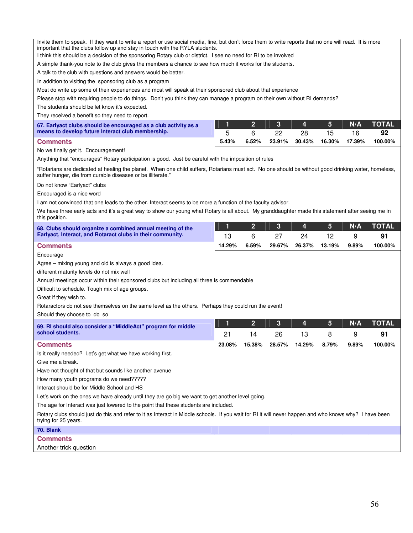Invite them to speak. If they want to write a report or use social media, fine, but don't force them to write reports that no one will read. It is more important that the clubs follow up and stay in touch with the RYLA students.

I think this should be a decision of the sponsoring Rotary club or district. I see no need for RI to be involved

A simple thank-you note to the club gives the members a chance to see how much it works for the students.

A talk to the club with questions and answers would be better.

In addition to visiting the sponsoring club as a program

Most do write up some of their experiences and most will speak at their sponsored club about that experience

Please stop with requiring people to do things. Don't you think they can manage a program on their own without RI demands?

The students should be let know it's expected.

They received a benefit so they need to report.

| 67. Earlyact clubs should be encouraged as a club activity as a |       | 2345                              |      |  | N/A TOTAL |
|-----------------------------------------------------------------|-------|-----------------------------------|------|--|-----------|
| means to develop future Interact club membership.               |       |                                   | -28. |  | 92        |
| <b>Comments</b>                                                 | 5.43% | 6.52% 23.91% 30.43% 16.30% 17.39% |      |  | 100.00%   |

No we finally get it. Encouragement!

Anything that "encourages" Rotary participation is good. Just be careful with the imposition of rules

"Rotarians are dedicated at healing the planet. When one child suffers, Rotarians must act. No one should be without good drinking water, homeless, suffer hunger, die from curable diseases or be illiterate."

Do not know "Earlyact" clubs

Encouraged is a nice word

I am not convinced that one leads to the other. Interact seems to be more a function of the faculty advisor.

We have three early acts and it's a great way to show our young what Rotary is all about. My granddaughter made this statement after seeing me in this position.

| 68. Clubs should organize a combined annual meeting of the                                                                                                                     |        | $\overline{2}$ | 3      | 4      | 5      | N/A   | TOTAL        |
|--------------------------------------------------------------------------------------------------------------------------------------------------------------------------------|--------|----------------|--------|--------|--------|-------|--------------|
| Earlyact, Interact, and Rotaract clubs in their community.                                                                                                                     | 13     | 6              | 27     | 24     | 12     | 9     | 91           |
| <b>Comments</b>                                                                                                                                                                | 14.29% | 6.59%          | 29.67% | 26.37% | 13.19% | 9.89% | 100.00%      |
| Encourage                                                                                                                                                                      |        |                |        |        |        |       |              |
| Agree – mixing young and old is always a good idea.                                                                                                                            |        |                |        |        |        |       |              |
| different maturity levels do not mix well                                                                                                                                      |        |                |        |        |        |       |              |
| Annual meetings occur within their sponsored clubs but including all three is commendable                                                                                      |        |                |        |        |        |       |              |
| Difficult to schedule. Tough mix of age groups.                                                                                                                                |        |                |        |        |        |       |              |
| Great if they wish to.                                                                                                                                                         |        |                |        |        |        |       |              |
| Rotaractors do not see themselves on the same level as the others. Perhaps they could run the event!                                                                           |        |                |        |        |        |       |              |
| Should they choose to do so                                                                                                                                                    |        |                |        |        |        |       |              |
| 69. RI should also consider a "MiddleAct" program for middle                                                                                                                   | 1      | $\overline{2}$ | 3      | 4      | 5      | N/A   | <b>TOTAL</b> |
| school students.                                                                                                                                                               | 21     | 14             | 26     | 13     | 8      | 9     | 91           |
| <b>Comments</b>                                                                                                                                                                | 23.08% | 15.38%         | 28.57% | 14.29% | 8.79%  | 9.89% | 100.00%      |
| Is it really needed? Let's get what we have working first.                                                                                                                     |        |                |        |        |        |       |              |
| Give me a break.                                                                                                                                                               |        |                |        |        |        |       |              |
| Have not thought of that but sounds like another avenue                                                                                                                        |        |                |        |        |        |       |              |
| How many youth programs do we need?????                                                                                                                                        |        |                |        |        |        |       |              |
| Interact should be for Middle School and HS                                                                                                                                    |        |                |        |        |        |       |              |
| Let's work on the ones we have already until they are go big we want to get another level going.                                                                               |        |                |        |        |        |       |              |
| The age for Interact was just lowered to the point that these students are included.                                                                                           |        |                |        |        |        |       |              |
| Rotary clubs should just do this and refer to it as Interact in Middle schools. If you wait for RI it will never happen and who knows why? I have been<br>trying for 25 years. |        |                |        |        |        |       |              |
| 70. Blank                                                                                                                                                                      |        |                |        |        |        |       |              |
| <b>Comments</b>                                                                                                                                                                |        |                |        |        |        |       |              |

Another trick question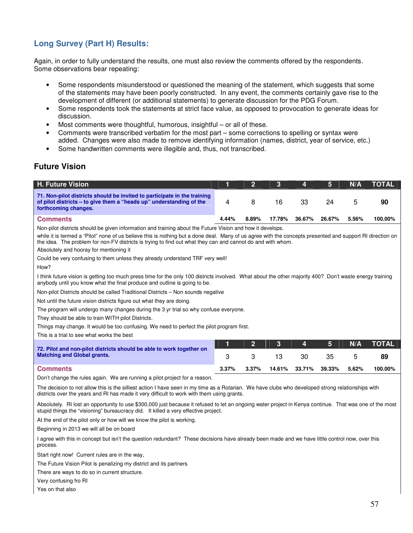# **Long Survey (Part H) Results:**

Again, in order to fully understand the results, one must also review the comments offered by the respondents. Some observations bear repeating:

- Some respondents misunderstood or questioned the meaning of the statement, which suggests that some of the statements may have been poorly constructed. In any event, the comments certainly gave rise to the development of different (or additional statements) to generate discussion for the PDG Forum.
- Some respondents took the statements at strict face value, as opposed to provocation to generate ideas for discussion.
- Most comments were thoughtful, humorous, insightful or all of these.
- Comments were transcribed verbatim for the most part some corrections to spelling or syntax were added. Changes were also made to remove identifying information (names, district, year of service, etc.)
- Some handwritten comments were illegible and, thus, not transcribed.

# **Future Vision**

| <b>H. Future Vision</b>                                                                                                                                                                                                                                                                                             | 1     | $\overline{2}$ | 3      | 4      | 5      | N/A   | <b>TOTAL</b> |
|---------------------------------------------------------------------------------------------------------------------------------------------------------------------------------------------------------------------------------------------------------------------------------------------------------------------|-------|----------------|--------|--------|--------|-------|--------------|
| 71. Non-pilot districts should be invited to participate in the training<br>of pilot districts – to give them a "heads up" understanding of the<br>forthcoming changes.                                                                                                                                             | 4     | 8              | 16     | 33     | 24     | 5     | 90           |
| <b>Comments</b>                                                                                                                                                                                                                                                                                                     | 4.44% | 8.89%          | 17.78% | 36.67% | 26.67% | 5.56% | 100.00%      |
| Non-pilot districts should be given information and training about the Future Vision and how it develops.                                                                                                                                                                                                           |       |                |        |        |        |       |              |
| while it is termed a "Pilot" none of us believe this is nothing but a done deal. Many of us agree with the concepts presented and support RI direction on<br>the idea. The problem for non-FV districts is trying to find out what they can and cannot do and with whom.<br>Absolutely and hooray for mentioning it |       |                |        |        |        |       |              |
| Could be very confusing to them unless they already understand TRF very well!                                                                                                                                                                                                                                       |       |                |        |        |        |       |              |
| How?                                                                                                                                                                                                                                                                                                                |       |                |        |        |        |       |              |
| I think future vision is getting too much press time for the only 100 districts involved. What about the other majority 400? Don't waste energy training<br>anybody until you know what the final produce and outline is going to be.                                                                               |       |                |        |        |        |       |              |
| Non-pilot Districts should be called Traditional Districts – Non sounds negative                                                                                                                                                                                                                                    |       |                |        |        |        |       |              |
| Not until the future vision districts figure out what they are doing.                                                                                                                                                                                                                                               |       |                |        |        |        |       |              |
| The program will undergo many changes during the 3 yr trial so why confuse everyone.                                                                                                                                                                                                                                |       |                |        |        |        |       |              |
| They should be able to train WITH pilot Districts.                                                                                                                                                                                                                                                                  |       |                |        |        |        |       |              |
| Things may change. It would be too confusing. We need to perfect the pilot program first.                                                                                                                                                                                                                           |       |                |        |        |        |       |              |
| This is a trial to see what works the best                                                                                                                                                                                                                                                                          |       |                |        |        |        |       |              |
|                                                                                                                                                                                                                                                                                                                     | 1     | $\overline{2}$ | 3      | 4      | 5      | N/A   | <b>TOTAL</b> |
| 72. Pilot and non-pilot districts should be able to work together on<br><b>Matching and Global grants.</b>                                                                                                                                                                                                          | 3     | 3              | 13     | 30     | 35     | 5     | 89           |
| <b>Comments</b>                                                                                                                                                                                                                                                                                                     | 3.37% | 3.37%          | 14.61% | 33.71% | 39.33% | 5.62% | 100.00%      |
| Don't change the rules again. We are running a pilot project for a reason.                                                                                                                                                                                                                                          |       |                |        |        |        |       |              |

The decision to not allow this is the silliest action I have seen in my time as a Rotarian. We have clubs who developed strong relationships with districts over the years and RI has made it very difficult to work with them using grants.

Absolutely. RI lost an opportunity to use \$300,000 just because it refused to let an ongoing water project in Kenya continue. That was one of the most stupid things the "visioning" bureaucracy did. It killed a very effective project.

At the end of the pilot only or how will we know the pilot is working.

Beginning in 2013 we will all be on board

I agree with this in concept but isn't the question redundant? These decisions have already been made and we have little control now, over this process.

Start right now! Current rules are in the way,

The Future Vision Pilot is penalizing my district and its partners

There are ways to do so in current structure.

- Very confusing fro RI
- Yes on that also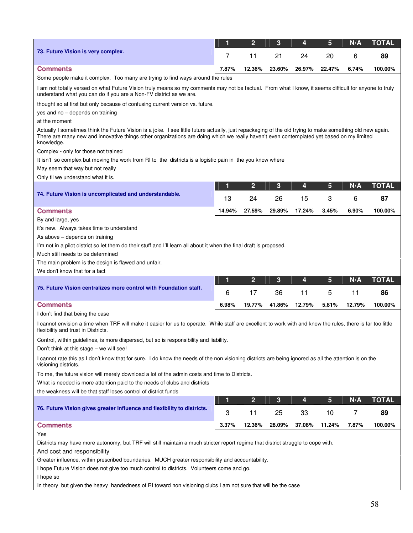|                                                                                                                                                                                                                             | 1        | $\overline{2}$ | 3            | 4      | 5      | N/A    | <b>TOTAL</b> |
|-----------------------------------------------------------------------------------------------------------------------------------------------------------------------------------------------------------------------------|----------|----------------|--------------|--------|--------|--------|--------------|
| 73. Future Vision is very complex.                                                                                                                                                                                          | 7        | 11             | 21           | 24     | 20     | 6      | 89           |
| <b>Comments</b>                                                                                                                                                                                                             | 7.87%    | 12.36%         | 23.60%       | 26.97% | 22.47% | 6.74%  | 100.00%      |
| Some people make it complex. Too many are trying to find ways around the rules                                                                                                                                              |          |                |              |        |        |        |              |
| I am not totally versed on what Future Vision truly means so my comments may not be factual. From what I know, it seems difficult for anyone to truly<br>understand what you can do if you are a Non-FV district as we are. |          |                |              |        |        |        |              |
| thought so at first but only because of confusing current version vs. future.                                                                                                                                               |          |                |              |        |        |        |              |
| yes and no - depends on training                                                                                                                                                                                            |          |                |              |        |        |        |              |
| at the moment<br>Actually I sometimes think the Future Vision is a joke. I see little future actually, just repackaging of the old trying to make something old new again.                                                  |          |                |              |        |        |        |              |
| There are many new and innovative things other organizations are doing which we really haven't even contemplated yet based on my limited<br>knowledge.                                                                      |          |                |              |        |        |        |              |
| Complex - only for those not trained                                                                                                                                                                                        |          |                |              |        |        |        |              |
| It isn't so complex but moving the work from RI to the districts is a logistic pain in the you know where<br>May seem that way but not really                                                                               |          |                |              |        |        |        |              |
| Only til we understand what it is.                                                                                                                                                                                          |          |                |              |        |        |        |              |
|                                                                                                                                                                                                                             | 1        | $\overline{2}$ | 3            | 4      | 5      | N/A    | <b>TOTAL</b> |
| 74. Future Vision is uncomplicated and understandable.                                                                                                                                                                      | 13       | 24             | 26           | 15     | 3      | 6      | 87           |
| <b>Comments</b>                                                                                                                                                                                                             | 14.94%   | 27.59%         | 29.89%       | 17.24% | 3.45%  | 6.90%  | 100.00%      |
| By and large, yes                                                                                                                                                                                                           |          |                |              |        |        |        |              |
| it's new. Always takes time to understand                                                                                                                                                                                   |          |                |              |        |        |        |              |
| As above – depends on training<br>I'm not in a pilot district so let them do their stuff and I'll learn all about it when the final draft is proposed.                                                                      |          |                |              |        |        |        |              |
| Much still needs to be determined                                                                                                                                                                                           |          |                |              |        |        |        |              |
| The main problem is the design is flawed and unfair.                                                                                                                                                                        |          |                |              |        |        |        |              |
| We don't know that for a fact                                                                                                                                                                                               |          |                |              |        |        |        |              |
|                                                                                                                                                                                                                             | 1        | $\overline{2}$ | 3            | 4      | 5      | N/A    | <b>TOTAL</b> |
| 75. Future Vision centralizes more control with Foundation staff.                                                                                                                                                           | 6        | 17             | 36           | 11     | 5      | 11     | 86           |
| <b>Comments</b>                                                                                                                                                                                                             | 6.98%    | 19.77%         | 41.86%       | 12.79% | 5.81%  | 12.79% | 100.00%      |
| I don't find that being the case                                                                                                                                                                                            |          |                |              |        |        |        |              |
| I cannot envision a time when TRF will make it easier for us to operate. While staff are excellent to work with and know the rules, there is far too little<br>flexibility and trust in Districts.                          |          |                |              |        |        |        |              |
| Control, within guidelines, is more dispersed, but so is responsibility and liability.                                                                                                                                      |          |                |              |        |        |        |              |
| Don't think at this stage - we will see!                                                                                                                                                                                    |          |                |              |        |        |        |              |
| I cannot rate this as I don't know that for sure. I do know the needs of the non visioning districts are being ignored as all the attention is on the<br>visioning districts.                                               |          |                |              |        |        |        |              |
| To me, the future vision will merely download a lot of the admin costs and time to Districts.                                                                                                                               |          |                |              |        |        |        |              |
| What is needed is more attention paid to the needs of clubs and districts<br>the weakness will be that staff loses control of district funds                                                                                |          |                |              |        |        |        |              |
|                                                                                                                                                                                                                             |          |                |              |        | 5      | N/A    | <b>TOTAL</b> |
|                                                                                                                                                                                                                             | 1        | $\overline{2}$ | $\mathbf{3}$ | 4      |        |        |              |
| 76. Future Vision gives greater influence and flexibility to districts.                                                                                                                                                     | 3        | 11             | 25           | 33     | 10     | 7      | 89           |
| <b>Comments</b>                                                                                                                                                                                                             | $3.37\%$ | 12.36%         | 28.09%       | 37.08% | 11.24% | 7.87%  | 100.00%      |
| Yes                                                                                                                                                                                                                         |          |                |              |        |        |        |              |
| Districts may have more autonomy, but TRF will still maintain a much stricter report regime that district struggle to cope with.<br>And cost and responsibility                                                             |          |                |              |        |        |        |              |
| Greater influence, within prescribed boundaries. MUCH greater responsibility and accountability.<br>I hope Future Vision does not give too much control to districts. Volunteers come and go.<br>I hope so                  |          |                |              |        |        |        |              |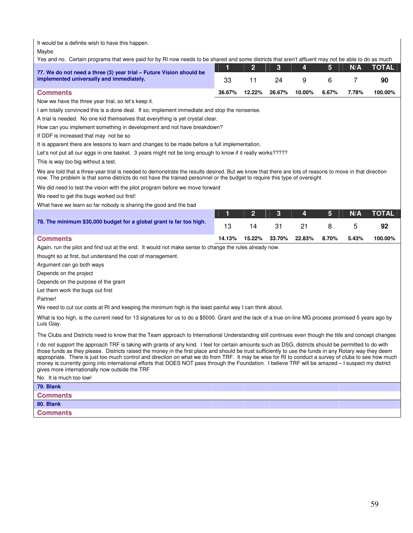It would be a definite wish to have this happen.

Maybe

Yes and no. Certain programs that were paid for by RI now needs to be shared and some districts that aren't affluent may not be able to do as much

|                                                                                                                 |        |               | $2 \mid 3 \mid 4 \mid 5 \mid$ |       | N/A   | <b>NTOTAL</b> |
|-----------------------------------------------------------------------------------------------------------------|--------|---------------|-------------------------------|-------|-------|---------------|
| 77. We do not need a three (3) year trial – Future Vision should be<br>implemented universally and immediately. | 33     | 24            | <b>Q</b>                      |       |       | 90            |
| <b>Comments</b>                                                                                                 | 36.67% | 12.22% 26.67% | 10.00%                        | 6.67% | 7.78% | 100.00%       |

Now we have the three year trial, so let's keep it.

I am totally convinced this is a done deal. If so, implement immediate and stop the nonsense.

A trial is needed. No one kid themselves that everything is yet crystal clear.

How can you implement something in development and not have breakdown?

If DDF is increased that may not be so

It is apparent there are lessons to learn and changes to be made before a full implementation.

Let's not put all our eggs in one basket. 3 years might not be long enough to know if it really works?????

This is way too big without a test.

We are told that a three-year trial is needed to demonstrate the results desired. But we know that there are lots of reasons to move in that direction now. The problem is that some districts do not have the trained personnel or the budget to require this type of oversight

We did need to test the vision with the pilot program before we move forward

We need to get the bugs worked out first!

What have we learn so far nobody is sharing the good and the bad

|                                                                     |        |        |      |                     |   | N/A   | <b>NOTAL</b> |
|---------------------------------------------------------------------|--------|--------|------|---------------------|---|-------|--------------|
| 78. The minimum \$30,000 budget for a global grant is far too high. |        | 14     | - 31 | -21                 | 8 |       | 92           |
| <b>Comments</b>                                                     | 14.13% | 15.22% |      | 33.70% 22.83% 8.70% |   | 5.43% | 100.00%      |

Again, run the pilot and find out at the end. It would not make sense to change the rules already now.

thought so at first, but understand the cost of management.

Argument can go both ways

Depends on the project

Depends on the purpose of the grant

Let them work the bugs out first

Partner!

We need to cut our costs at RI and keeping the minimum high is the least painful way I can think about.

What is too high, is the current need for 13 signatures for us to do a \$5000. Grant and the lack of a true on-line MG process promised 5 years ago by Luis Giay.

The Clubs and Districts need to know that the Team approach to International Understanding still continues even though the title and concept changes

I do not support the approach TRF is taking with grants of any kind. I feel for certain amounts such as DSG, districts should be permitted to do with those funds as they please. Districts raised the money in the first place and should be trust sufficiently to use the funds in any Rotary way they deem appropriate. There is just too much control and direction on what we do from TRF. It may be wise for RI to conduct a survey of clubs to see how much money is currently going into international efforts that DOES NOT pass through the Foundation. I believe TRF will be amazed – I suspect my district gives more internationally now outside the TRF

No. It is much too low!

**79. Blank** 

**Comments** 

**80. Blank** 

**Comments**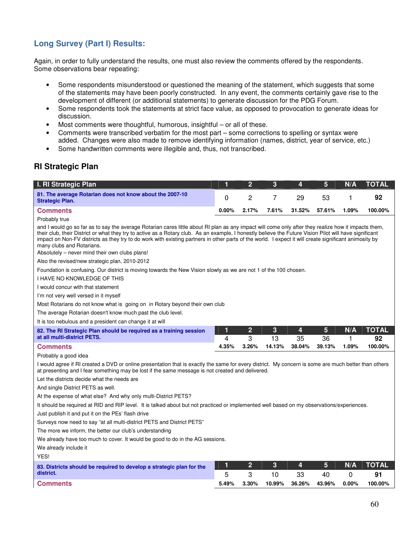# **Long Survey (Part I) Results:**

Again, in order to fully understand the results, one must also review the comments offered by the respondents. Some observations bear repeating:

- Some respondents misunderstood or questioned the meaning of the statement, which suggests that some of the statements may have been poorly constructed. In any event, the comments certainly gave rise to the development of different (or additional statements) to generate discussion for the PDG Forum.
- Some respondents took the statements at strict face value, as opposed to provocation to generate ideas for discussion.
- Most comments were thoughtful, humorous, insightful or all of these.
- Comments were transcribed verbatim for the most part some corrections to spelling or syntax were added. Changes were also made to remove identifying information (names, district, year of service, etc.)
- Some handwritten comments were illegible and, thus, not transcribed.

# **RI Strategic Plan**

| I. RI Strategic Plan                                                                                                                                                                                                                                                                                                                                                                                                                                                                                                                                     | 1          | $\overline{2}$      | 3            | 4            | 5            | N/A        | <b>TOTAL</b>       |
|----------------------------------------------------------------------------------------------------------------------------------------------------------------------------------------------------------------------------------------------------------------------------------------------------------------------------------------------------------------------------------------------------------------------------------------------------------------------------------------------------------------------------------------------------------|------------|---------------------|--------------|--------------|--------------|------------|--------------------|
| 81. The average Rotarian does not know about the 2007-10<br><b>Strategic Plan.</b>                                                                                                                                                                                                                                                                                                                                                                                                                                                                       | 0          | 2                   | 7            | 29           | 53           | 1          | 92                 |
| <b>Comments</b>                                                                                                                                                                                                                                                                                                                                                                                                                                                                                                                                          | $0.00\%$   | 2.17%               | 7.61%        | 31.52%       | 57.61%       | 1.09%      | 100.00%            |
| Probably true                                                                                                                                                                                                                                                                                                                                                                                                                                                                                                                                            |            |                     |              |              |              |            |                    |
| and I would go so far as to say the average Rotarian cares little about RI plan as any impact will come only after they realize how it impacts them,<br>their club, their District or what they try to active as a Rotary club. As an example, I honestly believe the Future Vision Pilot will have significant<br>impact on Non-FV districts as they try to do work with existing partners in other parts of the world. I expect it will create significant animosity by<br>many clubs and Rotarians.<br>Absolutely – never mind their own clubs plans! |            |                     |              |              |              |            |                    |
| Also the revised/new strategic plan, 2010-2012                                                                                                                                                                                                                                                                                                                                                                                                                                                                                                           |            |                     |              |              |              |            |                    |
| Foundation is confusing. Our district is moving towards the New Vision slowly as we are not 1 of the 100 chosen.                                                                                                                                                                                                                                                                                                                                                                                                                                         |            |                     |              |              |              |            |                    |
| I HAVE NO KNOWLEDGE OF THIS                                                                                                                                                                                                                                                                                                                                                                                                                                                                                                                              |            |                     |              |              |              |            |                    |
| I would concur with that statement                                                                                                                                                                                                                                                                                                                                                                                                                                                                                                                       |            |                     |              |              |              |            |                    |
| I'm not very well versed in it myself                                                                                                                                                                                                                                                                                                                                                                                                                                                                                                                    |            |                     |              |              |              |            |                    |
| Most Rotarians do not know what is going on in Rotary beyond their own club                                                                                                                                                                                                                                                                                                                                                                                                                                                                              |            |                     |              |              |              |            |                    |
| The average Rotarian doesn't know much past the club level.                                                                                                                                                                                                                                                                                                                                                                                                                                                                                              |            |                     |              |              |              |            |                    |
| It is too nebulous and a president can change it at will                                                                                                                                                                                                                                                                                                                                                                                                                                                                                                 |            |                     |              |              |              |            |                    |
| 82. The RI Strategic Plan should be required as a training session<br>at all multi-district PETS.                                                                                                                                                                                                                                                                                                                                                                                                                                                        | 1<br>4     | $\overline{2}$<br>3 | 3<br>13      | 4<br>35      | 5<br>36      | N/A<br>1   | <b>TOTAL</b><br>92 |
| <b>Comments</b>                                                                                                                                                                                                                                                                                                                                                                                                                                                                                                                                          | 4.35%      | 3.26%               | 14.13%       | 38.04%       | 39.13%       | 1.09%      | 100.00%            |
| Probably a good idea                                                                                                                                                                                                                                                                                                                                                                                                                                                                                                                                     |            |                     |              |              |              |            |                    |
| I would agree if RI created a DVD or online presentation that is exactly the same for every district. My concern is some are much better than others                                                                                                                                                                                                                                                                                                                                                                                                     |            |                     |              |              |              |            |                    |
| at presenting and I fear something may be lost if the same message is not created and delivered.                                                                                                                                                                                                                                                                                                                                                                                                                                                         |            |                     |              |              |              |            |                    |
| Let the districts decide what the needs are                                                                                                                                                                                                                                                                                                                                                                                                                                                                                                              |            |                     |              |              |              |            |                    |
| And single District PETS as well.                                                                                                                                                                                                                                                                                                                                                                                                                                                                                                                        |            |                     |              |              |              |            |                    |
| At the expense of what else? And why only multi-District PETS?                                                                                                                                                                                                                                                                                                                                                                                                                                                                                           |            |                     |              |              |              |            |                    |
| It should be required at RID and RIP level. It is talked about but not practiced or implemented well based on my observations/experiences.                                                                                                                                                                                                                                                                                                                                                                                                               |            |                     |              |              |              |            |                    |
| Just publish it and put it on the PEs' flash drive                                                                                                                                                                                                                                                                                                                                                                                                                                                                                                       |            |                     |              |              |              |            |                    |
| Surveys now need to say "at all multi-district PETS and District PETS"                                                                                                                                                                                                                                                                                                                                                                                                                                                                                   |            |                     |              |              |              |            |                    |
| The more we inform, the better our club's understanding                                                                                                                                                                                                                                                                                                                                                                                                                                                                                                  |            |                     |              |              |              |            |                    |
| We already have too much to cover. It would be good to do in the AG sessions.                                                                                                                                                                                                                                                                                                                                                                                                                                                                            |            |                     |              |              |              |            |                    |
| We already include it                                                                                                                                                                                                                                                                                                                                                                                                                                                                                                                                    |            |                     |              |              |              |            |                    |
| YES!                                                                                                                                                                                                                                                                                                                                                                                                                                                                                                                                                     |            |                     |              |              |              |            |                    |
| 83. Districts should be required to develop a strategic plan for the                                                                                                                                                                                                                                                                                                                                                                                                                                                                                     | 1          | $\overline{2}$      | 3            | 4            | 5            | N/A        | <b>TOTAL</b>       |
| district.<br><b>Comments</b>                                                                                                                                                                                                                                                                                                                                                                                                                                                                                                                             | 5<br>5.49% | 3<br>3.30%          | 10<br>10.99% | 33<br>36.26% | 40<br>43.96% | 0<br>0.00% | 91<br>100.00%      |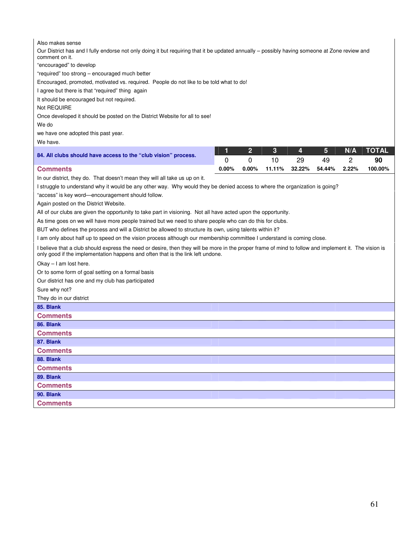| Also makes sense<br>Our District has and I fully endorse not only doing it but requiring that it be updated annually - possibly having someone at Zone review and<br>comment on it.<br>"encouraged" to develop<br>"required" too strong - encouraged much better<br>Encouraged, promoted, motivated vs. required. People do not like to be told what to do!<br>I agree but there is that "required" thing again<br>It should be encouraged but not required.<br>Not REQUIRE<br>Once developed it should be posted on the District Website for all to see!<br>We do<br>we have one adopted this past year.<br>We have.                                                                                                                                                                                                                                                                                                                                                                                                                                                                                                                                                                                                  |            |                |              |              |              |            |               |
|------------------------------------------------------------------------------------------------------------------------------------------------------------------------------------------------------------------------------------------------------------------------------------------------------------------------------------------------------------------------------------------------------------------------------------------------------------------------------------------------------------------------------------------------------------------------------------------------------------------------------------------------------------------------------------------------------------------------------------------------------------------------------------------------------------------------------------------------------------------------------------------------------------------------------------------------------------------------------------------------------------------------------------------------------------------------------------------------------------------------------------------------------------------------------------------------------------------------|------------|----------------|--------------|--------------|--------------|------------|---------------|
| 84. All clubs should have access to the "club vision" process.                                                                                                                                                                                                                                                                                                                                                                                                                                                                                                                                                                                                                                                                                                                                                                                                                                                                                                                                                                                                                                                                                                                                                         | 1          | $\overline{2}$ | 3            | 4            | 5            | N/A        | <b>TOTAL</b>  |
| <b>Comments</b>                                                                                                                                                                                                                                                                                                                                                                                                                                                                                                                                                                                                                                                                                                                                                                                                                                                                                                                                                                                                                                                                                                                                                                                                        | 0<br>0.00% | 0<br>$0.00\%$  | 10<br>11.11% | 29<br>32.22% | 49<br>54.44% | 2<br>2.22% | 90<br>100.00% |
| In our district, they do. That doesn't mean they will all take us up on it.<br>I struggle to understand why it would be any other way. Why would they be denied access to where the organization is going?<br>"access" is key word-encouragement should follow.<br>Again posted on the District Website.<br>All of our clubs are given the opportunity to take part in visioning. Not all have acted upon the opportunity.<br>As time goes on we will have more people trained but we need to share people who can do this for clubs.<br>BUT who defines the process and will a District be allowed to structure its own, using talents within it?<br>I am only about half up to speed on the vision process although our membership committee I understand is coming close.<br>I believe that a club should express the need or desire, then they will be more in the proper frame of mind to follow and implement it. The vision is<br>only good if the implementation happens and often that is the link left undone.<br>Okay $-1$ am lost here.<br>Or to some form of goal setting on a formal basis<br>Our district has one and my club has participated<br>Sure why not?<br>They do in our district<br>85. Blank |            |                |              |              |              |            |               |
| <b>Comments</b>                                                                                                                                                                                                                                                                                                                                                                                                                                                                                                                                                                                                                                                                                                                                                                                                                                                                                                                                                                                                                                                                                                                                                                                                        |            |                |              |              |              |            |               |
| 86. Blank                                                                                                                                                                                                                                                                                                                                                                                                                                                                                                                                                                                                                                                                                                                                                                                                                                                                                                                                                                                                                                                                                                                                                                                                              |            |                |              |              |              |            |               |
| <b>Comments</b>                                                                                                                                                                                                                                                                                                                                                                                                                                                                                                                                                                                                                                                                                                                                                                                                                                                                                                                                                                                                                                                                                                                                                                                                        |            |                |              |              |              |            |               |
| 87. Blank                                                                                                                                                                                                                                                                                                                                                                                                                                                                                                                                                                                                                                                                                                                                                                                                                                                                                                                                                                                                                                                                                                                                                                                                              |            |                |              |              |              |            |               |
| <b>Comments</b>                                                                                                                                                                                                                                                                                                                                                                                                                                                                                                                                                                                                                                                                                                                                                                                                                                                                                                                                                                                                                                                                                                                                                                                                        |            |                |              |              |              |            |               |
| 88. Blank                                                                                                                                                                                                                                                                                                                                                                                                                                                                                                                                                                                                                                                                                                                                                                                                                                                                                                                                                                                                                                                                                                                                                                                                              |            |                |              |              |              |            |               |
| <b>Comments</b>                                                                                                                                                                                                                                                                                                                                                                                                                                                                                                                                                                                                                                                                                                                                                                                                                                                                                                                                                                                                                                                                                                                                                                                                        |            |                |              |              |              |            |               |
| 89. Blank                                                                                                                                                                                                                                                                                                                                                                                                                                                                                                                                                                                                                                                                                                                                                                                                                                                                                                                                                                                                                                                                                                                                                                                                              |            |                |              |              |              |            |               |
| <b>Comments</b>                                                                                                                                                                                                                                                                                                                                                                                                                                                                                                                                                                                                                                                                                                                                                                                                                                                                                                                                                                                                                                                                                                                                                                                                        |            |                |              |              |              |            |               |
| 90. Blank                                                                                                                                                                                                                                                                                                                                                                                                                                                                                                                                                                                                                                                                                                                                                                                                                                                                                                                                                                                                                                                                                                                                                                                                              |            |                |              |              |              |            |               |
| <b>Comments</b>                                                                                                                                                                                                                                                                                                                                                                                                                                                                                                                                                                                                                                                                                                                                                                                                                                                                                                                                                                                                                                                                                                                                                                                                        |            |                |              |              |              |            |               |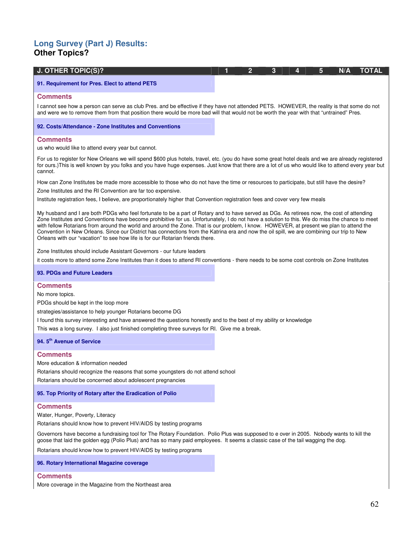# **Long Survey (Part J) Results: Other Topics?**

| <b>J. OTHER TOPIC(S)?</b>                                                                                                                                                                                                                                                              |  |  | -3 | 4 | 5 | N/A | TOTAL |
|----------------------------------------------------------------------------------------------------------------------------------------------------------------------------------------------------------------------------------------------------------------------------------------|--|--|----|---|---|-----|-------|
| 91. Requirement for Pres. Elect to attend PETS                                                                                                                                                                                                                                         |  |  |    |   |   |     |       |
| <b>Comments</b>                                                                                                                                                                                                                                                                        |  |  |    |   |   |     |       |
| I cannot see how a person can serve as club Pres. and be effective if they have not attended PETS. HOWEVER, the reality is that some do not<br>and were we to remove them from that position there would be more bad will that would not be worth the year with that "untrained" Pres. |  |  |    |   |   |     |       |

**92. Costs/Attendance - Zone Institutes and Conventions** 

### **Comments**

us who would like to attend every year but cannot.

For us to register for New Orleans we will spend \$600 plus hotels, travel, etc. (you do have some great hotel deals and we are already registered for ours.)This is well known by you folks and you have huge expenses. Just know that there are a lot of us who would like to attend every year but cannot.

How can Zone Institutes be made more accessible to those who do not have the time or resources to participate, but still have the desire?

Zone Institutes and the RI Convention are far too expensive.

Institute registration fees, I believe, are proportionately higher that Convention registration fees and cover very few meals

My husband and I are both PDGs who feel fortunate to be a part of Rotary and to have served as DGs. As retirees now, the cost of attending Zone Institutes and Conventions have become prohibitive for us. Unfortunately, I do not have a solution to this. We do miss the chance to meet with fellow Rotarians from around the world and around the Zone. That is our problem, I know. HOWEVER, at present we plan to attend the Convention in New Orleans. Since our District has connections from the Katrina era and now the oil spill, we are combining our trip to New Orleans with our "vacation" to see how life is for our Rotarian friends there.

Zone Institutes should include Assistant Governors - our future leaders

it costs more to attend some Zone Institutes than it does to attend RI conventions - there needs to be some cost controls on Zone Institutes

#### **93. PDGs and Future Leaders**

#### **Comments**

No more topics.

PDGs should be kept in the loop more

strategies/assistance to help younger Rotarians become DG

I found this survey interesting and have answered the questions honestly and to the best of my ability or knowledge

This was a long survey. I also just finished completing three surveys for RI. Give me a break.

#### **94. 5th Avenue of Service**

### **Comments**

More education & information needed

Rotarians should recognize the reasons that some youngsters do not attend school

Rotarians should be concerned about adolescent pregnancies

#### **95. Top Priority of Rotary after the Eradication of Polio**

## **Comments**

Water, Hunger, Poverty, Literacy

Rotarians should know how to prevent HIV/AIDS by testing programs

Governors have become a fundraising tool for The Rotary Foundation. Polio Plus was supposed to e over in 2005. Nobody wants to kill the goose that laid the golden egg (Polio Plus) and has so many paid employees. It seems a classic case of the tail wagging the dog.

Rotarians should know how to prevent HIV/AIDS by testing programs

#### **96. Rotary International Magazine coverage**

## **Comments**

More coverage in the Magazine from the Northeast area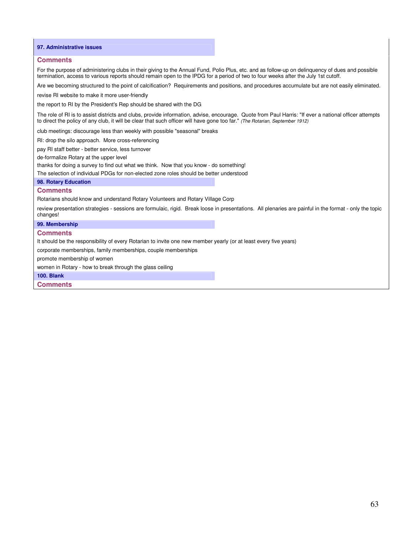#### **97. Administrative issues**

#### **Comments**

For the purpose of administering clubs in their giving to the Annual Fund, Polio Plus, etc. and as follow-up on delinquency of dues and possible termination, access to various reports should remain open to the IPDG for a period of two to four weeks after the July 1st cutoff.

Are we becoming structured to the point of calcification? Requirements and positions, and procedures accumulate but are not easily eliminated.

revise RI website to make it more user-friendly

the report to RI by the President's Rep should be shared with the DG

The role of RI is to assist districts and clubs, provide information, advise, encourage. Quote from Paul Harris: "If ever a national officer attempts to direct the policy of any club, it will be clear that such officer will have gone too far." (The Rotarian, September 1912)

club meetings: discourage less than weekly with possible "seasonal" breaks

RI: drop the silo approach. More cross-referencing

pay RI staff better - better service, less turnover

de-formalize Rotary at the upper level

thanks for doing a survey to find out what we think. Now that you know - do something!

The selection of individual PDGs for non-elected zone roles should be better understood

#### **98. Rotary Education**

#### **Comments**

Rotarians should know and understand Rotary Volunteers and Rotary Village Corp

review presentation strategies - sessions are formulaic, rigid. Break loose in presentations. All plenaries are painful in the format - only the topic changes!

#### **99. Membership**

#### **Comments**

It should be the responsibility of every Rotarian to invite one new member yearly (or at least every five years)

corporate memberships, family memberships, couple memberships

promote membership of women

women in Rotary - how to break through the glass ceiling

#### **100. Blank**

**Comments**